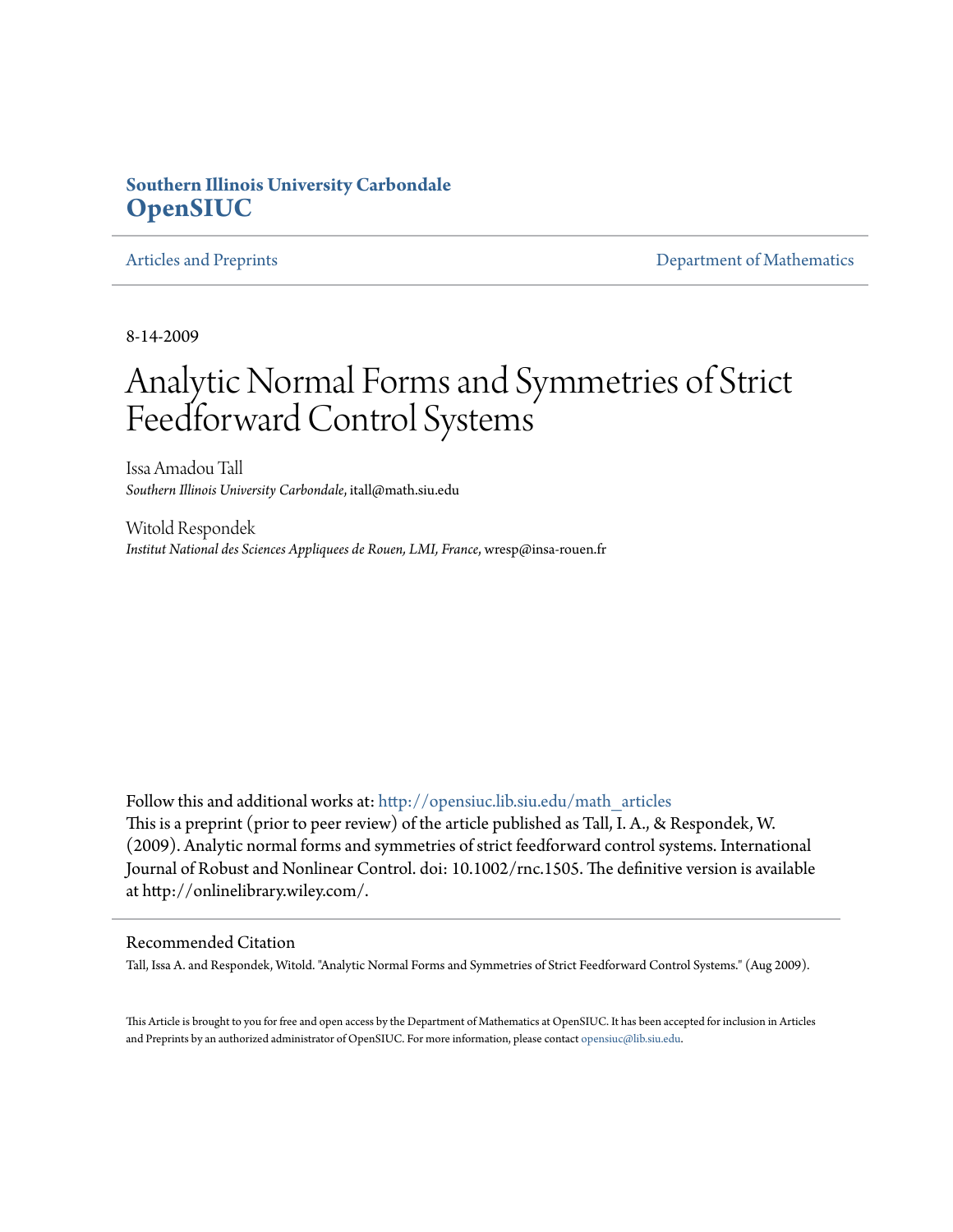## **Southern Illinois University Carbondale [OpenSIUC](http://opensiuc.lib.siu.edu?utm_source=opensiuc.lib.siu.edu%2Fmath_articles%2F109&utm_medium=PDF&utm_campaign=PDFCoverPages)**

[Articles and Preprints](http://opensiuc.lib.siu.edu/math_articles?utm_source=opensiuc.lib.siu.edu%2Fmath_articles%2F109&utm_medium=PDF&utm_campaign=PDFCoverPages) **[Department of Mathematics](http://opensiuc.lib.siu.edu/math?utm_source=opensiuc.lib.siu.edu%2Fmath_articles%2F109&utm_medium=PDF&utm_campaign=PDFCoverPages)** Department of Mathematics

8-14-2009

## Analytic Normal Forms and Symmetries of Strict Feedforward Control Systems

Issa Amadou Tall *Southern Illinois University Carbondale*, itall@math.siu.edu

Witold Respondek *Institut National des Sciences Appliquees de Rouen, LMI, France*, wresp@insa-rouen.fr

Follow this and additional works at: [http://opensiuc.lib.siu.edu/math\\_articles](http://opensiuc.lib.siu.edu/math_articles?utm_source=opensiuc.lib.siu.edu%2Fmath_articles%2F109&utm_medium=PDF&utm_campaign=PDFCoverPages) This is a preprint (prior to peer review) of the article published as Tall, I. A., & Respondek, W. (2009). Analytic normal forms and symmetries of strict feedforward control systems. International Journal of Robust and Nonlinear Control. doi: 10.1002/rnc.1505. The definitive version is available at http://onlinelibrary.wiley.com/.

#### Recommended Citation

Tall, Issa A. and Respondek, Witold. "Analytic Normal Forms and Symmetries of Strict Feedforward Control Systems." (Aug 2009).

This Article is brought to you for free and open access by the Department of Mathematics at OpenSIUC. It has been accepted for inclusion in Articles and Preprints by an authorized administrator of OpenSIUC. For more information, please contact [opensiuc@lib.siu.edu](mailto:opensiuc@lib.siu.edu).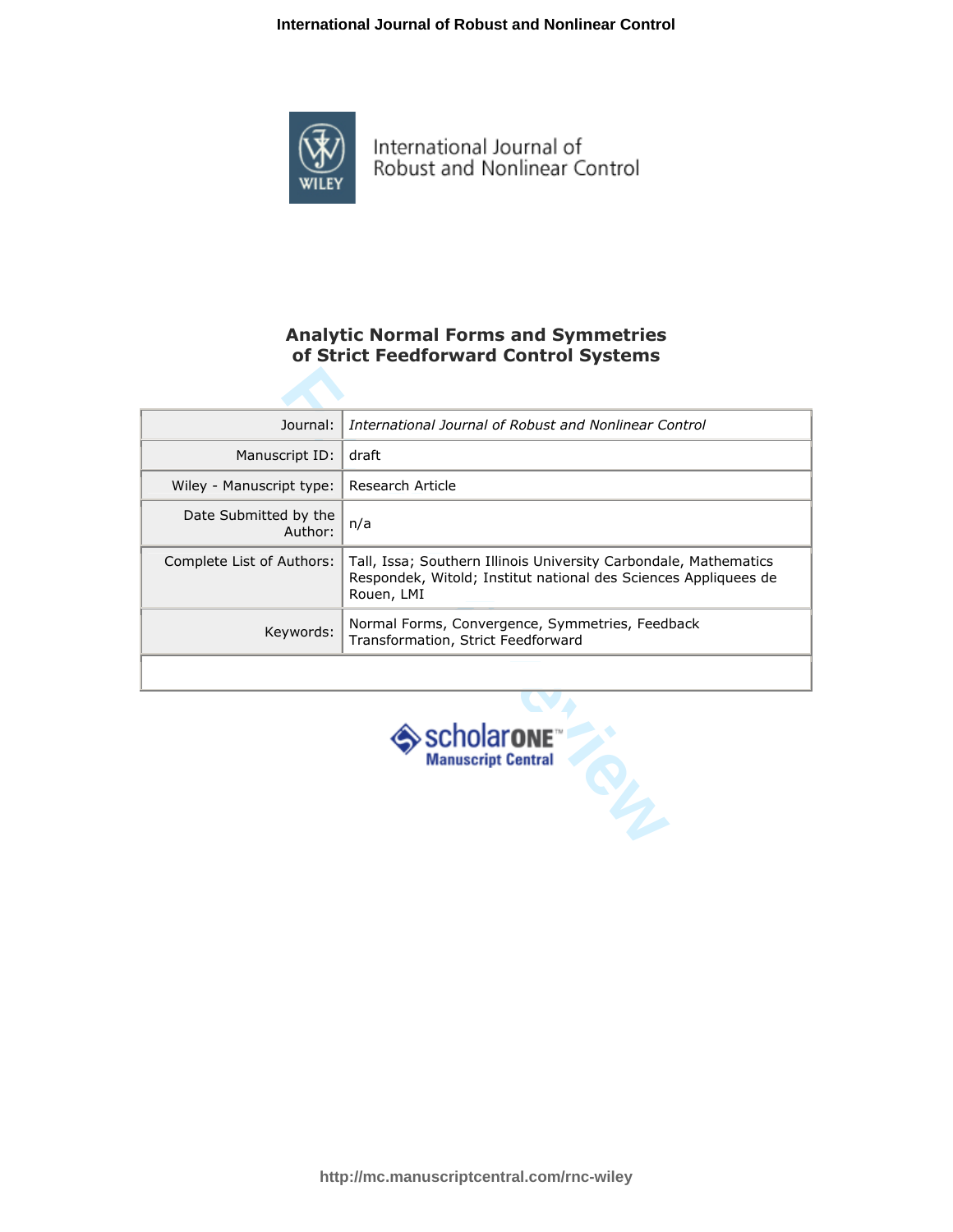

International Journal of<br>Robust and Nonlinear Control

### Analytic Normal Forms and Symmetries of Strict Feedforward Control Systems

| Journal:                                                       | International Journal of Robust and Nonlinear Control                                                                                             |  |
|----------------------------------------------------------------|---------------------------------------------------------------------------------------------------------------------------------------------------|--|
| Manuscript ID:                                                 | draft                                                                                                                                             |  |
| Wiley - Manuscript type:                                       | Research Article                                                                                                                                  |  |
| Date Submitted by the<br>Author:                               | n/a                                                                                                                                               |  |
| Complete List of Authors:                                      | Tall, Issa; Southern Illinois University Carbondale, Mathematics<br>Respondek, Witold; Institut national des Sciences Appliquees de<br>Rouen, LMI |  |
| Keywords:                                                      | Normal Forms, Convergence, Symmetries, Feedback<br>Transformation, Strict Feedforward                                                             |  |
|                                                                |                                                                                                                                                   |  |
| $\triangleright$ SCholarone <sup>"</sup><br>Manuscript Central |                                                                                                                                                   |  |

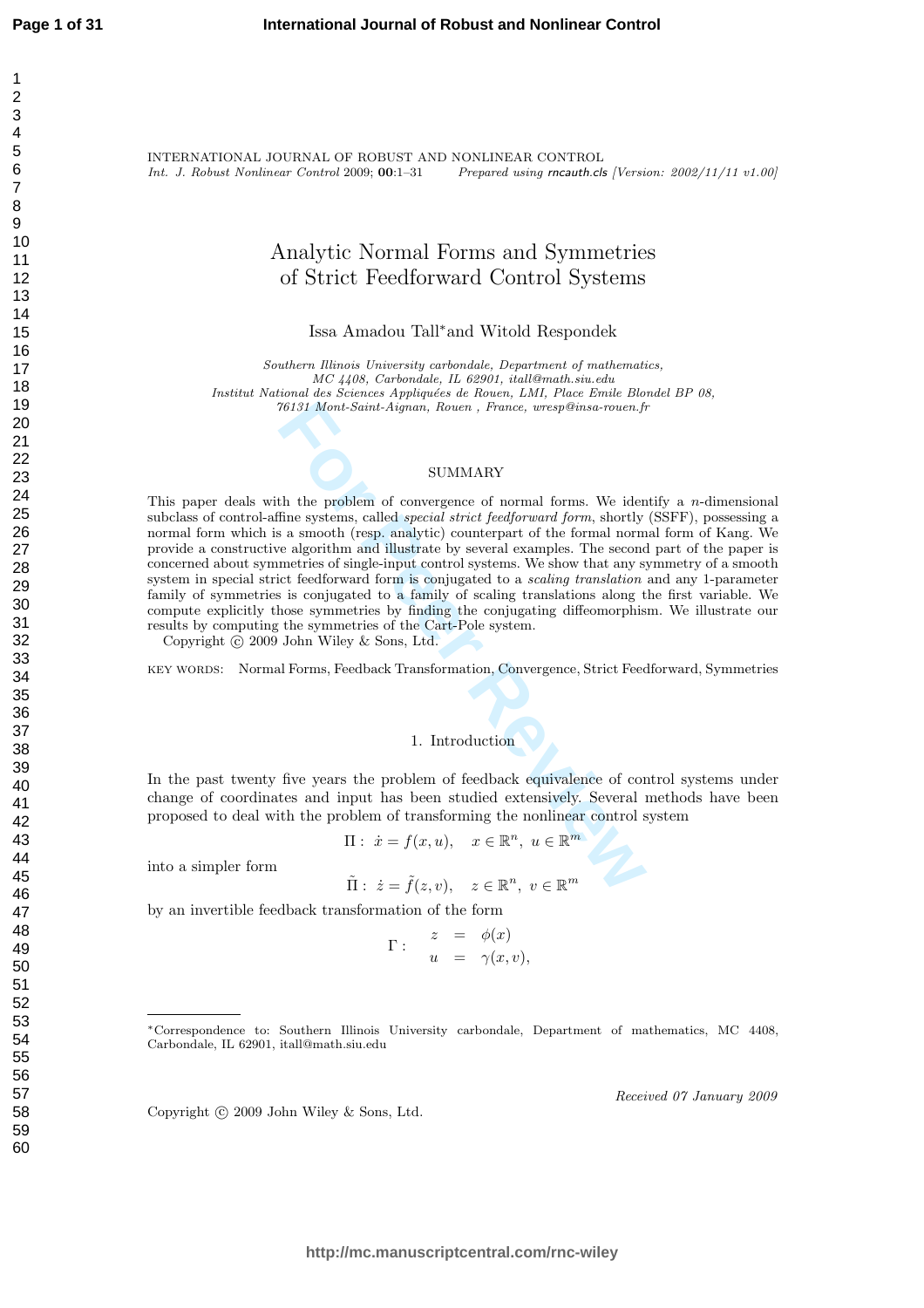INTERNATIONAL JOURNAL OF ROBUST AND NONLINEAR CONTROL Int. J. Robust Nonlinear Control 2009; 00:1–31 Prepared using rncauth.cls [Version: 2002/11/11 v1.00]

## Analytic Normal Forms and Symmetries of Strict Feedforward Control Systems

Issa Amadou Tall <sup>∗</sup>and Witold Respondek

Southern Illinois University carbondale, Department of mathematics, MC 4408, Carbondale, IL 62901, itall@math.siu.edu Institut National des Sciences Appliquées de Rouen, LMI, Place Emile Blondel BP 08, 76131 Mont-Saint-Aignan, Rouen , France, wresp@insa-rouen.fr

#### SUMMARY

76131 Mont-Saint-Aignan, Rouen , France, wresp@insa-rouen.fr<br>
SUMMARY<br>
SUMMARY<br>
th the problem of convergence of normal forms. We iden<br>
fine systems, called *special strict feedforward form*, shortly<br>
a smooth (resp. anal This paper deals with the problem of convergence of normal forms. We identify a  $n$ -dimensional subclass of control-affine systems, called special strict feedforward form, shortly (SSFF), possessing a normal form which is a smooth (resp. analytic) counterpart of the formal normal form of Kang. We provide a constructive algorithm and illustrate by several examples. The second part of the paper is concerned about symmetries of single-input control systems. We show that any symmetry of a smooth system in special strict feedforward form is conjugated to a *scaling translation* and any 1-parameter family of symmetries is conjugated to a family of scaling translations along the first variable. We compute explicitly those symmetries by finding the conjugating diffeomorphism. We illustrate our results by computing the symmetries of the Cart-Pole system.

Copyright  $\odot$  2009 John Wiley & Sons, Ltd.

key words: Normal Forms, Feedback Transformation, Convergence, Strict Feedforward, Symmetries

#### 1. Introduction

In the past twenty five years the problem of feedback equivalence of control systems under change of coordinates and input has been studied extensively. Several methods have been proposed to deal with the problem of transforming the nonlinear control system

$$
\Pi: \ \dot{x} = f(x, u), \quad x \in \mathbb{R}^n, \ u \in \mathbb{R}^m
$$

into a simpler form

$$
\tilde{\Pi}: \ \dot{z} = \tilde{f}(z, v), \quad z \in \mathbb{R}^n, \ v \in \mathbb{R}^m
$$

by an invertible feedback transformation of the form

$$
\Gamma: \begin{array}{rcl} z & = & \phi(x) \\ u & = & \gamma(x, v) \end{array}
$$

Copyright  $\odot$  2009 John Wiley & Sons, Ltd.

Received 07 January 2009

<sup>∗</sup>Correspondence to: Southern Illinois University carbondale, Department of mathematics, MC 4408, Carbondale, IL 62901, itall@math.siu.edu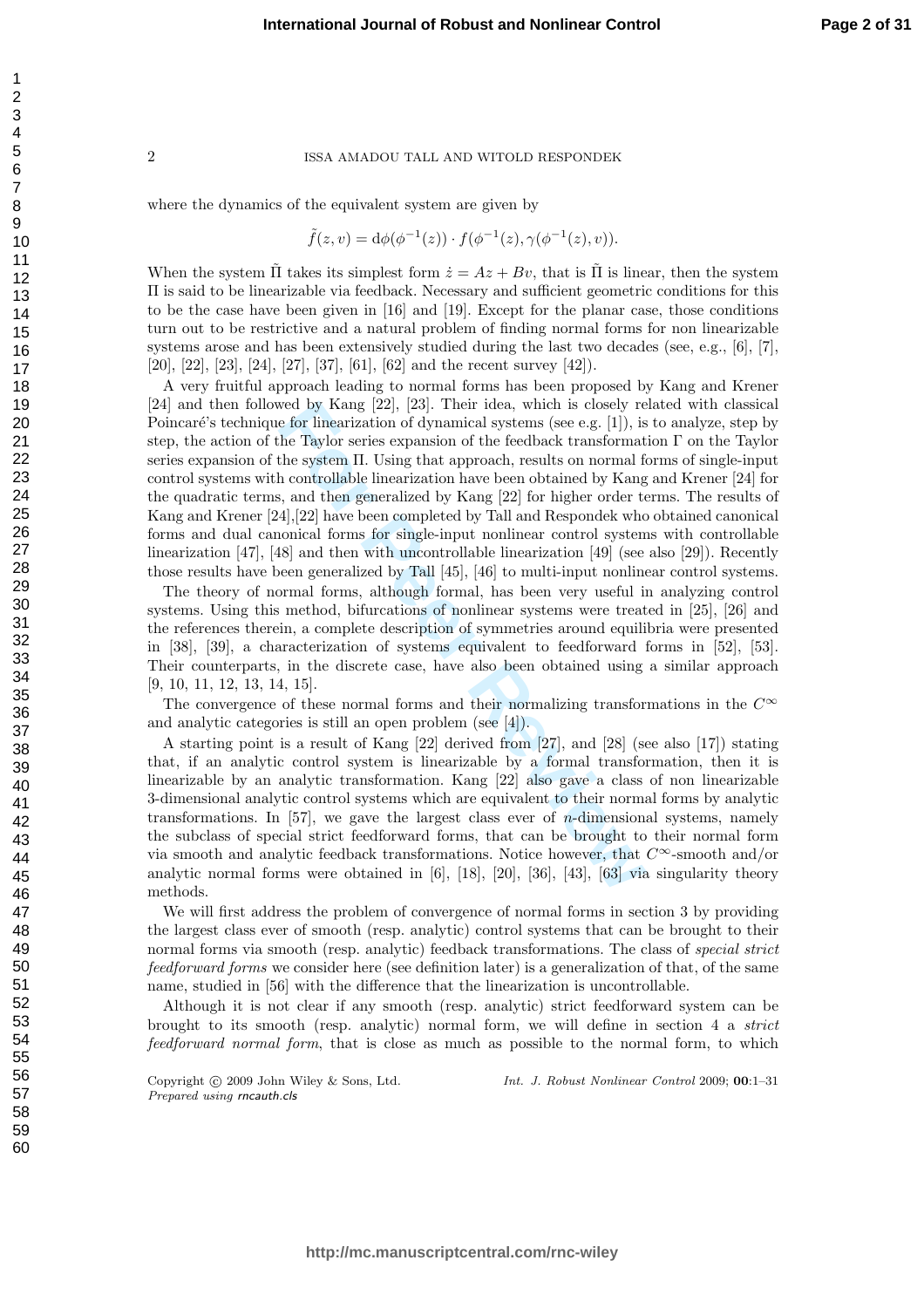where the dynamics of the equivalent system are given by

$$
\tilde{f}(z,v) = d\phi(\phi^{-1}(z)) \cdot f(\phi^{-1}(z), \gamma(\phi^{-1}(z), v)).
$$

When the system  $\tilde{\Pi}$  takes its simplest form  $\dot{z} = Az + Bv$ , that is  $\tilde{\Pi}$  is linear, then the system Π is said to be linearizable via feedback. Necessary and sufficient geometric conditions for this to be the case have been given in [16] and [19]. Except for the planar case, those conditions turn out to be restrictive and a natural problem of finding normal forms for non linearizable systems arose and has been extensively studied during the last two decades (see, e.g., [6], [7], [20], [22], [23], [24], [27], [37], [61], [62] and the recent survey [42]).

by Kang [22], [23]. Their idea, which is closely re<br>for linearization of dynamical systems (see e.g. [1]), is<br>the Taylor series expansion of the feedback transformat<br>the system II. Using that approach, results on normal fi A very fruitful approach leading to normal forms has been proposed by Kang and Krener [24] and then followed by Kang [22], [23]. Their idea, which is closely related with classical Poincaré's technique for linearization of dynamical systems (see e.g. [1]), is to analyze, step by step, the action of the Taylor series expansion of the feedback transformation Γ on the Taylor series expansion of the system Π. Using that approach, results on normal forms of single-input control systems with controllable linearization have been obtained by Kang and Krener [24] for the quadratic terms, and then generalized by Kang [22] for higher order terms. The results of Kang and Krener [24],[22] have been completed by Tall and Respondek who obtained canonical forms and dual canonical forms for single-input nonlinear control systems with controllable linearization [47], [48] and then with uncontrollable linearization [49] (see also [29]). Recently those results have been generalized by Tall [45], [46] to multi-input nonlinear control systems.

The theory of normal forms, although formal, has been very useful in analyzing control systems. Using this method, bifurcations of nonlinear systems were treated in [25], [26] and the references therein, a complete description of symmetries around equilibria were presented in [38], [39], a characterization of systems equivalent to feedforward forms in [52], [53]. Their counterparts, in the discrete case, have also been obtained using a similar approach [9, 10, 11, 12, 13, 14, 15].

The convergence of these normal forms and their normalizing transformations in the  $C^{\infty}$ and analytic categories is still an open problem (see [4]).

A starting point is a result of Kang [22] derived from [27], and [28] (see also [17]) stating that, if an analytic control system is linearizable by a formal transformation, then it is linearizable by an analytic transformation. Kang [22] also gave a class of non linearizable 3-dimensional analytic control systems which are equivalent to their normal forms by analytic transformations. In [57], we gave the largest class ever of n-dimensional systems, namely the subclass of special strict feedforward forms, that can be brought to their normal form via smooth and analytic feedback transformations. Notice however, that  $C^{\infty}$ -smooth and/or analytic normal forms were obtained in  $[6]$ ,  $[18]$ ,  $[20]$ ,  $[36]$ ,  $[43]$ ,  $[63]$  via singularity theory methods.

We will first address the problem of convergence of normal forms in section 3 by providing the largest class ever of smooth (resp. analytic) control systems that can be brought to their normal forms via smooth (resp. analytic) feedback transformations. The class of *special strict* feedforward forms we consider here (see definition later) is a generalization of that, of the same name, studied in [56] with the difference that the linearization is uncontrollable.

Although it is not clear if any smooth (resp. analytic) strict feedforward system can be brought to its smooth (resp. analytic) normal form, we will define in section 4 a strict feedforward normal form, that is close as much as possible to the normal form, to which

Copyright  $\circled{c}$  2009 John Wiley & Sons, Ltd. Prepared using rncauth.cls

Int. J. Robust Nonlinear Control 2009; 00:1–31

123456789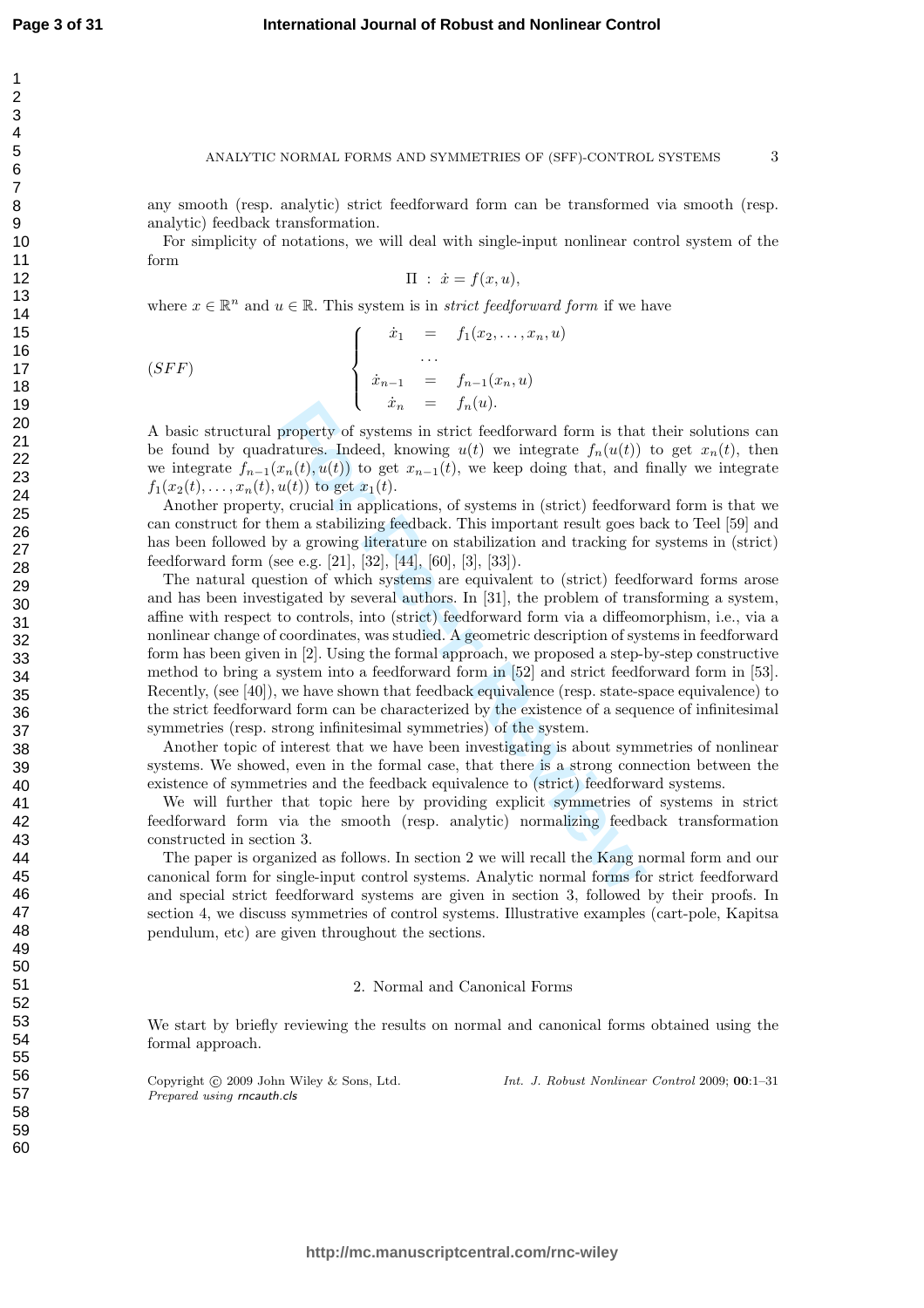#### ANALYTIC NORMAL FORMS AND SYMMETRIES OF (SFF)-CONTROL SYSTEMS

3

any smooth (resp. analytic) strict feedforward form can be transformed via smooth (resp. analytic) feedback transformation.

For simplicity of notations, we will deal with single-input nonlinear control system of the form

$$
\Pi : \dot{x} = f(x, u),
$$

where  $x \in \mathbb{R}^n$  and  $u \in \mathbb{R}$ . This system is in *strict feedforward form* if we have

(SFF)  

$$
\begin{cases}\n\dot{x}_1 = f_1(x_2,...,x_n, u) \\
... \\
\dot{x}_{n-1} = f_{n-1}(x_n, u) \\
\dot{x}_n = f_n(u).\n\end{cases}
$$

A basic structural property of systems in strict feedforward form is that their solutions can be found by quadratures. Indeed, knowing  $u(t)$  we integrate  $f_n(u(t))$  to get  $x_n(t)$ , then we integrate  $f_{n-1}(x_n(t), u(t))$  to get  $x_{n-1}(t)$ , we keep doing that, and finally we integrate  $f_1(x_2(t),...,x_n(t),u(t))$  to get  $x_1(t)$ .

Another property, crucial in applications, of systems in (strict) feedforward form is that we can construct for them a stabilizing feedback. This important result goes back to Teel [59] and has been followed by a growing literature on stabilization and tracking for systems in (strict) feedforward form (see e.g. [21], [32], [44], [60], [3], [33]).

 $x_n = f_n(u)$ .<br> **Force Algent** is strict feedforward form is that<br>
ratures. Indeed, knowing  $u(t)$  we integrate  $f_n(u(t))$ <br>  $u(t)$  to get  $x_{n-1}(t)$ , we keep doing that, and  $u(t)$  to get  $x_1(t)$ .<br>  $v_n(t)$  to get  $x_1(t)$ .<br>  $v_n(t)$  to The natural question of which systems are equivalent to (strict) feedforward forms arose and has been investigated by several authors. In [31], the problem of transforming a system, affine with respect to controls, into (strict) feedforward form via a diffeomorphism, i.e., via a nonlinear change of coordinates, was studied. A geometric description of systems in feedforward form has been given in [2]. Using the formal approach, we proposed a step-by-step constructive method to bring a system into a feedforward form in [52] and strict feedforward form in [53]. Recently, (see [40]), we have shown that feedback equivalence (resp. state-space equivalence) to the strict feedforward form can be characterized by the existence of a sequence of infinitesimal symmetries (resp. strong infinitesimal symmetries) of the system.

Another topic of interest that we have been investigating is about symmetries of nonlinear systems. We showed, even in the formal case, that there is a strong connection between the existence of symmetries and the feedback equivalence to (strict) feedforward systems.

We will further that topic here by providing explicit symmetries of systems in strict feedforward form via the smooth (resp. analytic) normalizing feedback transformation constructed in section 3.

The paper is organized as follows. In section 2 we will recall the Kang normal form and our canonical form for single-input control systems. Analytic normal forms for strict feedforward and special strict feedforward systems are given in section 3, followed by their proofs. In section 4, we discuss symmetries of control systems. Illustrative examples (cart-pole, Kapitsa pendulum, etc) are given throughout the sections.

#### 2. Normal and Canonical Forms

We start by briefly reviewing the results on normal and canonical forms obtained using the formal approach.

Copyright (c) 2009 John Wiley & Sons, Ltd. Prepared using rncauth.cls

Int. J. Robust Nonlinear Control 2009; 00:1–31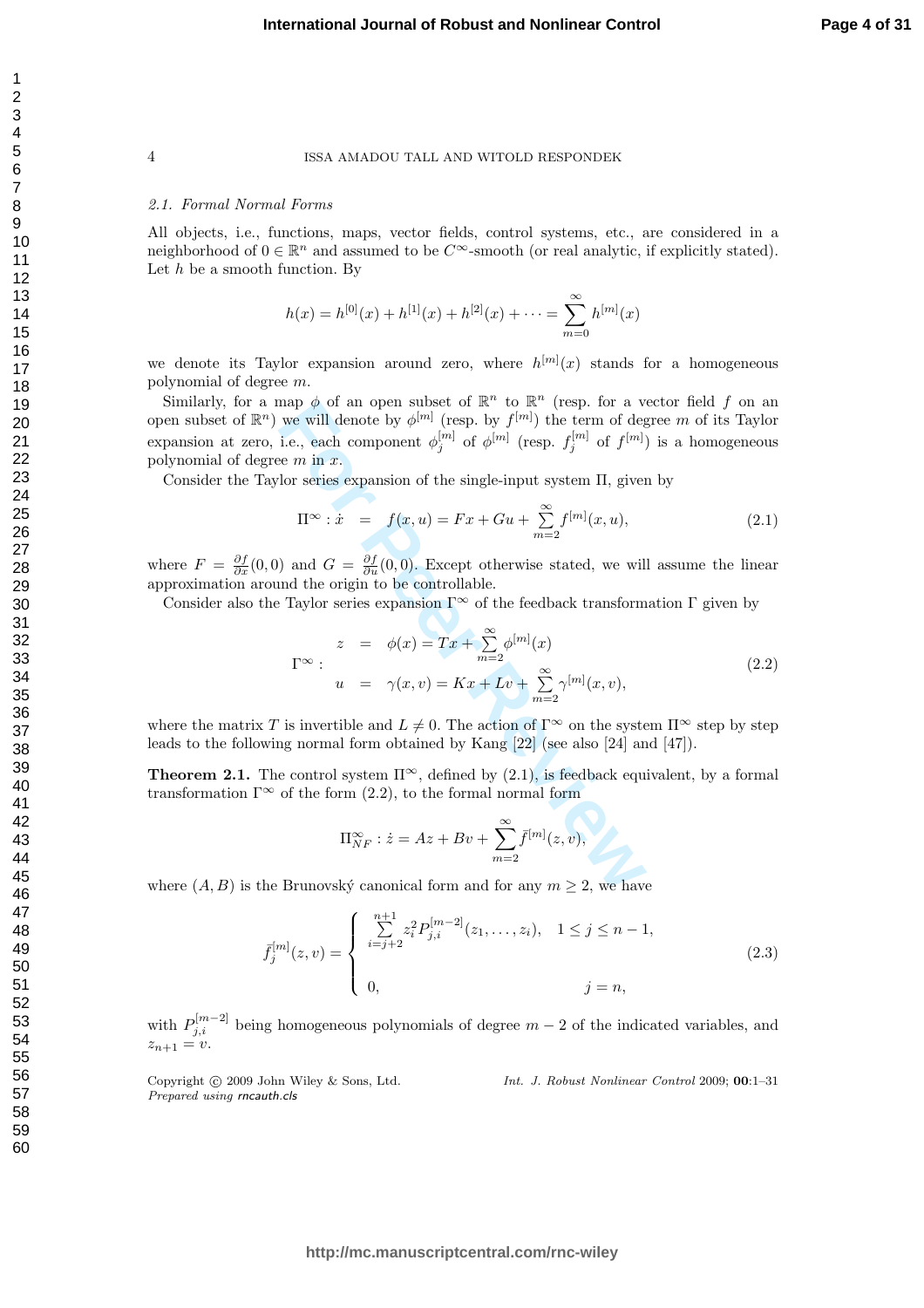#### 2.1. Formal Normal Forms

All objects, i.e., functions, maps, vector fields, control systems, etc., are considered in a neighborhood of  $0 \in \mathbb{R}^n$  and assumed to be  $C^{\infty}$ -smooth (or real analytic, if explicitly stated). Let  $h$  be a smooth function. By

$$
h(x) = h^{[0]}(x) + h^{[1]}(x) + h^{[2]}(x) + \dots = \sum_{m=0}^{\infty} h^{[m]}(x)
$$

we denote its Taylor expansion around zero, where  $h^{[m]}(x)$  stands for a homogeneous polynomial of degree m.

Similarly, for a map  $\phi$  of an open subset of  $\mathbb{R}^n$  to  $\mathbb{R}^n$  (resp. for a vector field f on an open subset of  $\mathbb{R}^n$ ) we will denote by  $\phi^{[m]}$  (resp. by  $f^{[m]}$ ) the term of degree m of its Taylor expansion at zero, i.e., each component  $\phi_j^{[m]}$  of  $\phi^{[m]}$  (resp.  $f_j^{[m]}$  of  $f^{[m]}$ ) is a homogeneous polynomial of degree  $m$  in  $x$ .

Consider the Taylor series expansion of the single-input system Π, given by

$$
\Pi^{\infty} : \dot{x} = f(x, u) = Fx + Gu + \sum_{m=2}^{\infty} f^{[m]}(x, u), \qquad (2.1)
$$

where  $F = \frac{\partial f}{\partial x}(0,0)$  and  $G = \frac{\partial f}{\partial u}(0,0)$ . Except otherwise stated, we will assume the linear approximation around the origin to be controllable.

Consider also the Taylor series expansion  $\Gamma^{\infty}$  of the feedback transformation  $\Gamma$  given by

map 
$$
\varphi
$$
 of an open subset of  $\mathbb{R}^n$  to  $\mathbb{R}^n$  (resp. for a vector field  $J$  on an  
we will denote by  $\phi_j^{[m]}$  (resp. by  $f_{[m]}^{[m]}$ ) the term of degree  $m$  of its Taylor  
i.e., each component  $\phi_j^{[m]}$  of  $\varphi_{[m]}^{[m]}$  (resp.  $f_j^{[m]}$  of  $f_{[m]}$ ) is a homogeneous  
se  $m$  in  $x$ .  
lor series expansion of the single-input system  $\Pi$ , given by  
 $\Pi^{\infty}$ :  $\dot{x} = f(x, u) = Fx + Gu + \sum_{m=2}^{\infty} f_{[m]}(x, u)$ , (2.1)  
) and  $G = \frac{\partial f}{\partial u}(0, 0)$ . Except otherwise stated, we will assume the linear  
and the origin to be controllable.  
: Taylor series expansion  $\Gamma^{\infty}$  of the feedback transformation  $\Gamma$  given by  
 $z = \phi(x) = Tx + \sum_{m=2}^{\infty} \phi^{[m]}(x)$   
 $\Gamma^{\infty}$ :  
 $u = \gamma(x, v) = Kx + Lv + \sum_{m=2}^{\infty} \gamma^{[m]}(x, v)$ ,  
is invertible and  $L \neq 0$ . The action of  $\Gamma^{\infty}$  on the system  $\Pi^{\infty}$  step by step  
ag normal form obtained by Kang [22] (see also [24] and [47]).  
e control system  $\Pi^{\infty}$ , defined by (2.1), is feedback equivalent, by a formal  
of the form (2.2), to the formal normal form  
 $\Pi^{\infty}_{NF} : \dot{z} = Az + Bv + \sum_{m=2}^{\infty} \bar{f}^{[m]}(z, v)$ ,  
Brunovsky canonical form and for any  $m \geq 2$ , we have

where the matrix T is invertible and  $L \neq 0$ . The action of  $\Gamma^{\infty}$  on the system  $\Pi^{\infty}$  step by step leads to the following normal form obtained by Kang [22] (see also [24] and [47]).

**Theorem 2.1.** The control system  $\Pi^{\infty}$ , defined by (2.1), is feedback equivalent, by a formal transformation  $\Gamma^{\infty}$  of the form  $(2.2)$ , to the formal normal form

$$
\Pi_{NF}^{\infty}: \dot{z}=Az+ Bv + \sum_{m=2}^{\infty} \bar{f}^{[m]}(z,v),
$$

where  $(A, B)$  is the Brunovský canonical form and for any  $m \geq 2$ , we have

$$
\bar{f}_j^{[m]}(z,v) = \begin{cases}\n\sum_{i=j+2}^{n+1} z_i^2 P_{j,i}^{[m-2]}(z_1,\ldots,z_i), & 1 \le j \le n-1, \\
0, & j = n,\n\end{cases}
$$
\n(2.3)

with  $P_{j,i}^{[m-2]}$  being homogeneous polynomials of degree  $m-2$  of the indicated variables, and  $z_{n+1}=v.$ 

Copyright  $\circled{c}$  2009 John Wiley & Sons, Ltd. Prepared using rncauth.cls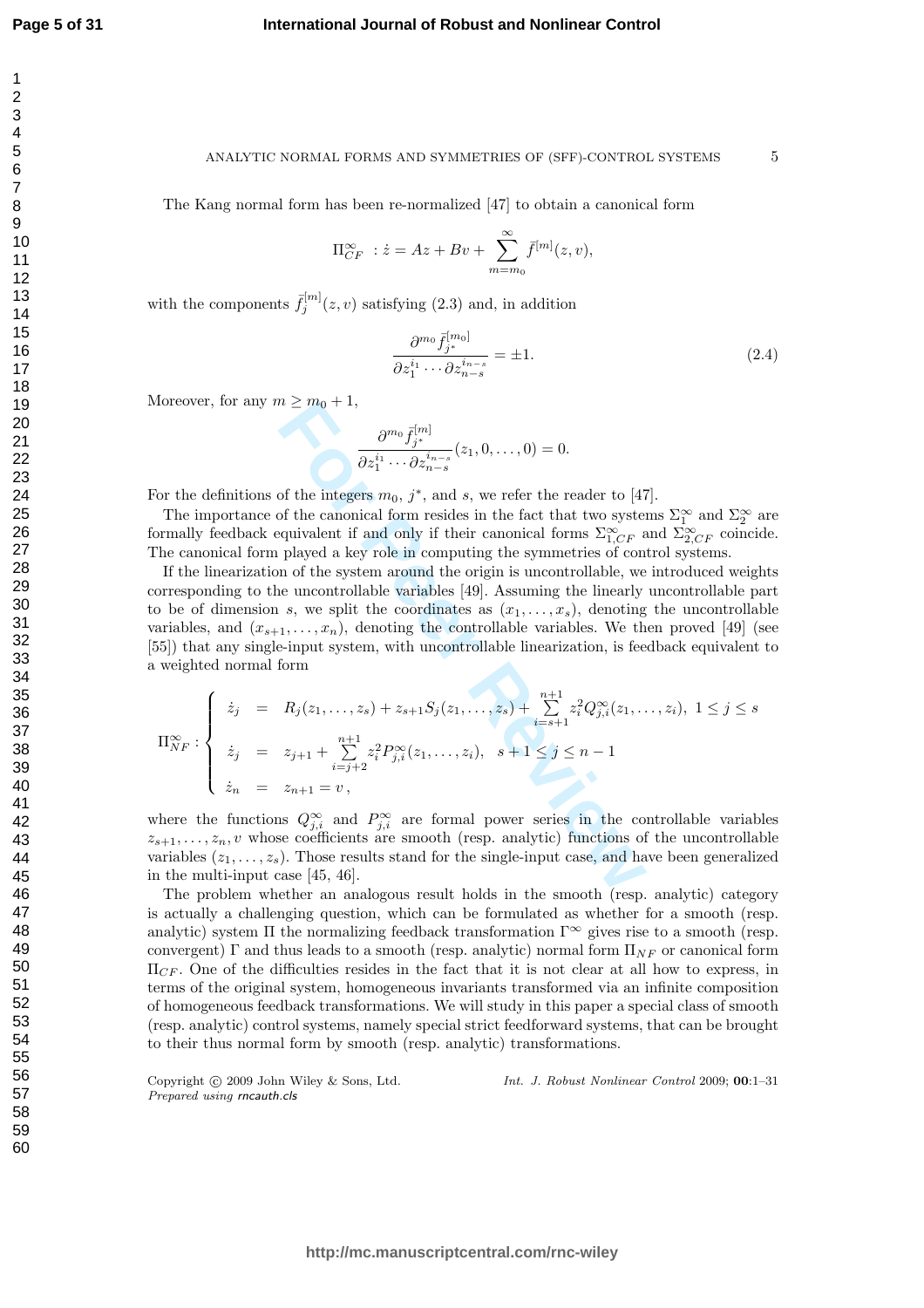$\overline{1}$  $\overline{2}$ 3  $\overline{4}$ 5 6  $\overline{7}$ 8 9

#### **International Journal of Robust and Nonlinear Control**

#### ANALYTIC NORMAL FORMS AND SYMMETRIES OF (SFF)-CONTROL SYSTEMS

The Kang normal form has been re-normalized [47] to obtain a canonical form

$$
\Pi_{CF}^{\infty} : \dot{z} = Az + Bv + \sum_{m=m_0}^{\infty} \bar{f}^{[m]}(z, v),
$$

with the components  $\bar{f}_j^{[m]}(z,v)$  satisfying (2.3) and, in addition

$$
\frac{\partial^{m_0} \bar{f}_j^{[m_0]}}{\partial z_1^{i_1} \cdots \partial z_{n-s}^{i_{n-s}}} = \pm 1.
$$
\n(2.4)

5

Moreover, for any  $m \geq m_0 + 1$ ,

$$
\frac{\partial^{m_0} \bar{f}_{j^*}^{[m]}}{\partial z_1^{i_1} \cdots \partial z_{n-s}^{i_{n-s}}}(z_1,0,\ldots,0)=0.
$$

For the definitions of the integers  $m_0$ ,  $j^*$ , and s, we refer the reader to [47].

The importance of the canonical form resides in the fact that two systems  $\Sigma_1^{\infty}$  and  $\Sigma_2^{\infty}$  are formally feedback equivalent if and only if their canonical forms  $\Sigma_{1,CF}^{\infty}$  and  $\Sigma_{2,CF}^{\infty}$  coincide. The canonical form played a key role in computing the symmetries of control systems.

 $m \geq m_0 + 1$ ,<br>  $\frac{\partial^{m_0} \bar{f}_{j^*}^{[m]}}{\partial z_1^{i_1} \cdots \partial z_{n-s}^{i_{n-s}}}(z_1, 0, \ldots, 0) = 0.$ <br>
of the integers  $m_0$ ,  $j^*$ , and  $s$ , we refer the reader to [47]<br>
of the canonical form resides in the fact that two system<br>
played If the linearization of the system around the origin is uncontrollable, we introduced weights corresponding to the uncontrollable variables [49]. Assuming the linearly uncontrollable part to be of dimension s, we split the coordinates as  $(x_1, \ldots, x_s)$ , denoting the uncontrollable variables, and  $(x_{s+1},...,x_n)$ , denoting the controllable variables. We then proved [49] (see [55]) that any single-input system, with uncontrollable linearization, is feedback equivalent to a weighted normal form

$$
\Pi_{NF}^{\infty} : \begin{cases} \dot{z}_j = R_j(z_1, \dots, z_s) + z_{s+1} S_j(z_1, \dots, z_s) + \sum_{i=s+1}^{n+1} z_i^2 Q_{j,i}^{\infty}(z_1, \dots, z_i), & 1 \le j \le s \\ \dot{z}_j = z_{j+1} + \sum_{i=j+2}^{n+1} z_i^2 P_{j,i}^{\infty}(z_1, \dots, z_i), & s+1 \le j \le n-1 \\ \dot{z}_n = z_{n+1} = v, & \end{cases}
$$

where the functions  $Q_{j,i}^{\infty}$  and  $P_{j,i}^{\infty}$  are formal power series in the controllable variables  $z_{s+1}, \ldots, z_n, v$  whose coefficients are smooth (resp. analytic) functions of the uncontrollable variables  $(z_1, \ldots, z_s)$ . Those results stand for the single-input case, and have been generalized in the multi-input case [45, 46].

The problem whether an analogous result holds in the smooth (resp. analytic) category is actually a challenging question, which can be formulated as whether for a smooth (resp. analytic) system  $\Pi$  the normalizing feedback transformation  $\Gamma^{\infty}$  gives rise to a smooth (resp. convergent) Γ and thus leads to a smooth (resp. analytic) normal form  $\Pi_{NF}$  or canonical form  $\Pi_{CF}$ . One of the difficulties resides in the fact that it is not clear at all how to express, in terms of the original system, homogeneous invariants transformed via an infinite composition of homogeneous feedback transformations. We will study in this paper a special class of smooth (resp. analytic) control systems, namely special strict feedforward systems, that can be brought to their thus normal form by smooth (resp. analytic) transformations.

Copyright  $\circled{c}$  2009 John Wiley & Sons, Ltd. Prepared using rncauth.cls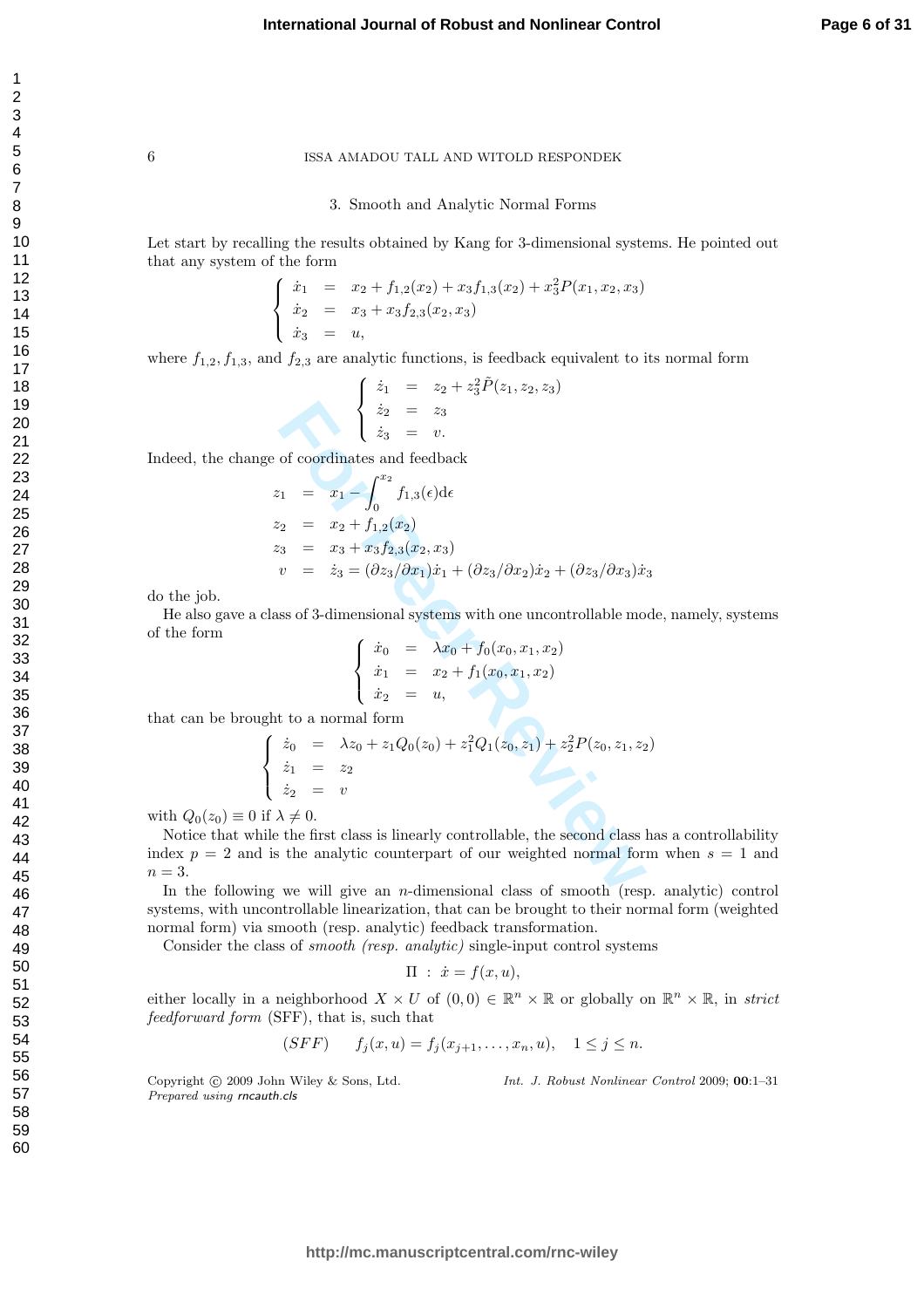#### 3. Smooth and Analytic Normal Forms

Let start by recalling the results obtained by Kang for 3-dimensional systems. He pointed out that any system of the form

$$
\begin{cases}\n\dot{x}_1 = x_2 + f_{1,2}(x_2) + x_3 f_{1,3}(x_2) + x_3^2 P(x_1, x_2, x_3) \\
\dot{x}_2 = x_3 + x_3 f_{2,3}(x_2, x_3) \\
\dot{x}_3 = u,\n\end{cases}
$$

where 
$$
f_{1,2}, f_{1,3}
$$
, and  $f_{2,3}$  are analytic functions, is feedback equivalent to its normal form  
\n
$$
\begin{cases}\n\dot{z}_1 = z_2 + z_3^2 \tilde{P}(z_1, z_2, z_3) \\
\dot{z}_2 = z_3 \\
\dot{z}_3 = v.\n\end{cases}
$$

Indeed, the change of coordinates and feedback

$$
\begin{cases}\n\dot{z}_2 = z_3 \\
\dot{z}_3 = v.\n\end{cases}
$$
\n  
\ne of coordinates and feedback  
\n
$$
z_1 = x_1 - \int_0^{x_2} f_{1,3}(\epsilon) d\epsilon
$$
\n
$$
z_2 = x_2 + f_{1,2}(x_2)
$$
\n
$$
z_3 = x_3 + x_3 f_{2,3}(x_2, x_3)
$$
\n
$$
v = \dot{z}_3 = (\partial z_3/\partial x_1)\dot{x}_1 + (\partial z_3/\partial x_2)\dot{x}_2 + (\partial z_3/\partial x_3)\dot{x}_3
$$
\n  
\nass of 3-dimensional systems with one uncontrolled model mod  
\n
$$
\begin{cases}\n\dot{x}_0 = \lambda x_0 + f_0(x_0, x_1, x_2) \\
\dot{x}_1 = x_2 + f_1(x_0, x_1, x_2) \\
\dot{x}_2 = u,\n\end{cases}
$$
\n  
\nAt to a normal form  
\n
$$
\begin{cases}\n\dot{x}_0 = \lambda x_0 + f_0(x_0, x_1, x_2) \\
\dot{x}_2 = u,\n\end{cases}
$$
\n
$$
\begin{cases}\n\dot{x}_0 = \lambda x_0 + f_1(x_0, x_1, x_2) \\
\dot{x}_2 = u,\n\end{cases}
$$
\n
$$
\begin{cases}\n\dot{x}_0 = \lambda x_0 + f_1(x_0, x_1, x_2) \\
\dot{x}_2 = u,\n\end{cases}
$$
\n
$$
\begin{cases}\n\dot{x}_0 = \lambda x_0 + f_1(x_0, x_1, x_2) \\
\dot{x}_2 = u,\n\end{cases}
$$
\n
$$
\begin{cases}\n\dot{x}_0 = \lambda x_0 + f_1(x_0, x_1, x_2) \\
\dot{x}_1 = z_2 \\
\dot{x}_2 = v \\
\lambda \neq 0.\n\end{cases}
$$
\n
$$
\lambda \neq 0.
$$
\n  
\nthe the first class is linearly controllable, the second class h is the analytic counterpart of our weighted normal form  
\n
$$
y = w
$$
 will give an *n*-dimensional class of smooth (resp.)

do the job.

He also gave a class of 3-dimensional systems with one uncontrollable mode, namely, systems of the form

$$
\begin{cases}\n\dot{x}_0 = \lambda x_0 + f_0(x_0, x_1, x_2) \\
\dot{x}_1 = x_2 + f_1(x_0, x_1, x_2) \\
\dot{x}_2 = u,\n\end{cases}
$$

that can be brought to a normal form

$$
\begin{cases}\n\dot{z}_0 = \lambda z_0 + z_1 Q_0(z_0) + z_1^2 Q_1(z_0, z_1) + z_2^2 P(z_0, z_1, z_2) \\
\dot{z}_1 = z_2 \\
\dot{z}_2 = v\n\end{cases}
$$

with  $Q_0(z_0) \equiv 0$  if  $\lambda \neq 0$ .

Notice that while the first class is linearly controllable, the second class has a controllability index  $p = 2$  and is the analytic counterpart of our weighted normal form when  $s = 1$  and  $n=3$ .

In the following we will give an *n*-dimensional class of smooth (resp. analytic) control systems, with uncontrollable linearization, that can be brought to their normal form (weighted normal form) via smooth (resp. analytic) feedback transformation.

Consider the class of smooth (resp. analytic) single-input control systems

$$
\Pi : \dot{x} = f(x, u),
$$

either locally in a neighborhood  $X \times U$  of  $(0,0) \in \mathbb{R}^n \times \mathbb{R}$  or globally on  $\mathbb{R}^n \times \mathbb{R}$ , in strict feedforward form (SFF), that is, such that

$$
(SFF)
$$
  $f_j(x, u) = f_j(x_{j+1},..., x_n, u), \quad 1 \le j \le n.$ 

Copyright © 2009 John Wiley & Sons, Ltd. Prepared using rncauth.cls

Int. J. Robust Nonlinear Control 2009; 00:1–31

 $\mathbf{1}$  $\overline{2}$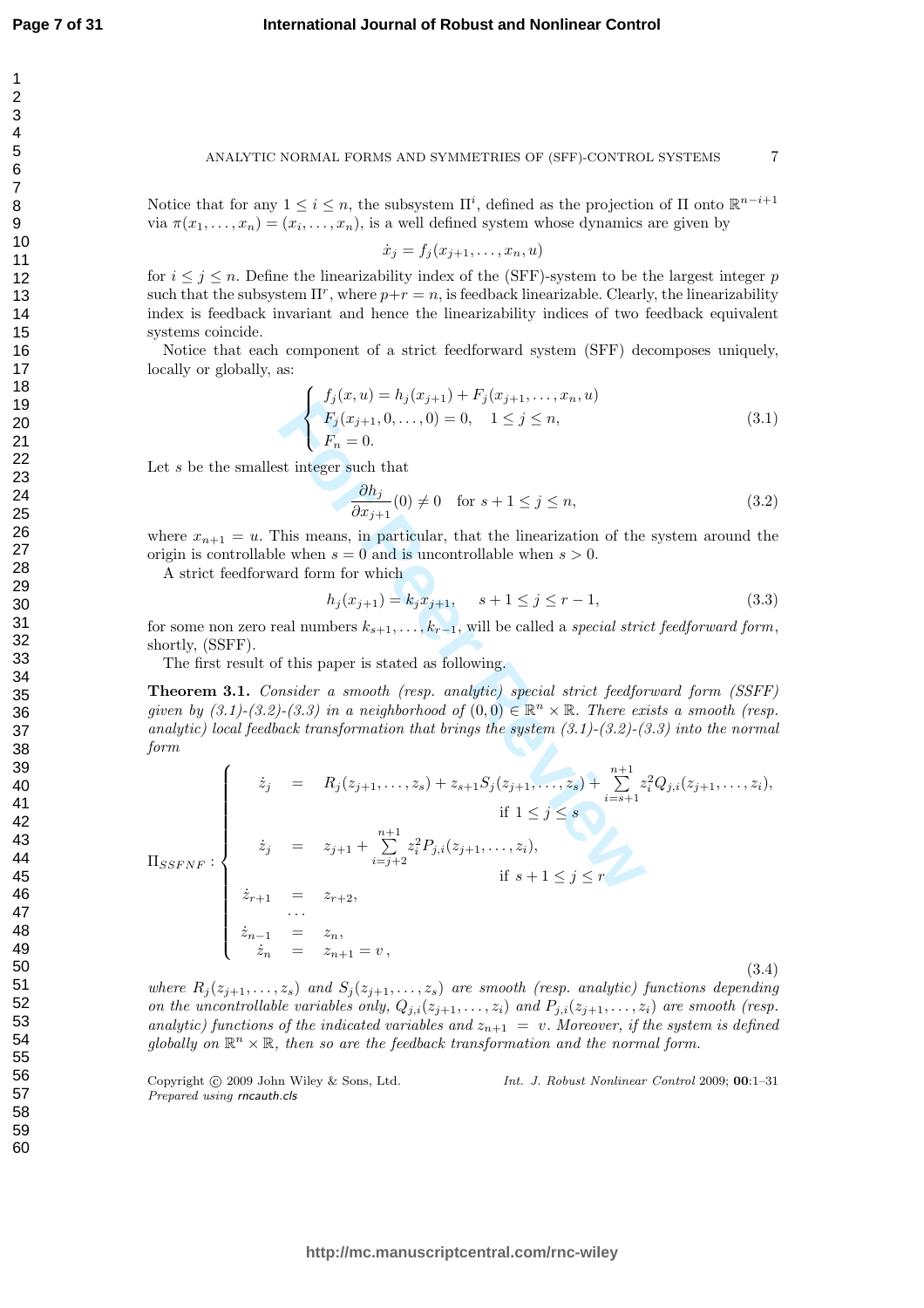$\overline{1}$  $\overline{2}$ 3  $\overline{4}$ 5 6  $\overline{7}$ 8 9

#### ANALYTIC NORMAL FORMS AND SYMMETRIES OF (SFF)-CONTROL SYSTEMS

Notice that for any  $1 \leq i \leq n$ , the subsystem  $\Pi^i$ , defined as the projection of  $\Pi$  onto  $\mathbb{R}^{n-i+1}$ via  $\pi(x_1, \ldots, x_n) = (x_i, \ldots, x_n)$ , is a well defined system whose dynamics are given by

$$
\dot{x}_j = f_j(x_{j+1},\ldots,x_n,u)
$$

for  $i \leq j \leq n$ . Define the linearizability index of the (SFF)-system to be the largest integer p such that the subsystem  $\Pi^r$ , where  $p+r=n$ , is feedback linearizable. Clearly, the linearizability index is feedback invariant and hence the linearizability indices of two feedback equivalent systems coincide.

Notice that each component of a strict feedforward system (SFF) decomposes uniquely, locally or globally, as:

$$
\begin{cases}\nf_j(x, u) = h_j(x_{j+1}) + F_j(x_{j+1}, \dots, x_n, u) \\
F_j(x_{j+1}, 0, \dots, 0) = 0, \quad 1 \le j \le n, \\
F_n = 0.\n\end{cases}
$$
\n(3.1)

Let s be the smallest integer such that

$$
\frac{\partial h_j}{\partial x_{j+1}}(0) \neq 0 \quad \text{for } s+1 \le j \le n,
$$
\n(3.2)

where  $x_{n+1} = u$ . This means, in particular, that the linearization of the system around the origin is controllable when  $s = 0$  and is uncontrollable when  $s > 0$ .

A strict feedforward form for which

$$
h_j(x_{j+1}) = k_j x_{j+1}, \quad s+1 \le j \le r-1,\tag{3.3}
$$

for some non zero real numbers  $k_{s+1}, \ldots, k_{r-1}$ , will be called a *special strict feedforward form*, shortly, (SSFF).

The first result of this paper is stated as following.

Theorem 3.1. Consider a smooth (resp. analytic) special strict feedforward form (SSFF) given by  $(3.1)-(3.2)-(3.3)$  in a neighborhood of  $(0,0) \in \mathbb{R}^n \times \mathbb{R}$ . There exists a smooth (resp. analytic) local feedback transformation that brings the system  $(3.1)-(3.2)-(3.3)$  into the normal form

Let *s* be the smallest integer such that  
\n
$$
\begin{cases}\nF_j(x_{j+1}, 0, \ldots, 0) = 0, \quad 1 \leq j \leq n, \\
F_1(x_{j+1}, 0, \ldots, 0) = 0, \quad 1 \leq j \leq n,\n\end{cases}
$$
\n(3.1)  
\nwhere  $x_{n+1} = u$ . This means, in particular, that the linearization of the system around the origin is controllable when *s* = 0 and is uncontrollable when *s* > 0.  
\nA strict feedforward form for which  
\n
$$
\begin{cases}\nh_j(x_{j+1}) = k_j x_{j+1}, \quad s+1 \leq j \leq r-1, \\
h_j(x_{j+1}) = k_j x_{j+1}, \quad s+1 \leq j \leq r-1,\n\end{cases}
$$
\n(3.3)  
\nfor some non zero real numbers  $k_{s+1}, \ldots, k_{r-1}$ , will be called a *special strict feedforward form*,  
\nshortly, (SSFF).  
\nThe first result of this paper is stated as following.  
\n**Theorem 3.1.** Consider a smooth (resp. analytic) special strict feedforward form (SSFF)  
\ngiven by (3.1)-(3.2)-(3.3) in a neighborhood of (0,0)  $\in \mathbb{R}^n \times \mathbb{R}$ . There exists a smooth (resp.  
\nanalytic) local feedback transformation that brings the system (3.1)-(3.2)-(3.3) into the normal  
\nform  
\n
$$
\begin{cases}\n\dot{z}_j = R_j(z_{j+1}, \ldots, z_s) + z_{s+1}S_j(z_{j+1}, \ldots, z_s) + \sum_{i=s+1}^{n+1} z_i^2 Q_{j,i}(z_{j+1}, \ldots, z_i), \\
\dot{z}_j = z_{j+1} + \sum_{i=j+2}^{n+1} z_i^2 P_{j,i}(z_{j+1}, \ldots, z_i), \\
\dot{z}_j = z_{j+1} + \sum_{i=j+2}^{n+1} z_i^2 P_{j,i}(z_{j+1}, \ldots, z_i), \\
\dot{z}_j = z_{n+1} = z_n, \\
\dot{z}_n = z_n, \qquad (3.4)\n\end{cases}
$$

where  $R_j(z_{j+1},...,z_s)$  and  $S_j(z_{j+1},...,z_s)$  are smooth (resp. analytic) functions depending on the uncontrollable variables only,  $Q_{j,i}(z_{j+1},...,z_i)$  and  $P_{j,i}(z_{j+1},...,z_i)$  are smooth (resp. analytic) functions of the indicated variables and  $z_{n+1} = v$ . Moreover, if the system is defined globally on  $\mathbb{R}^n \times \mathbb{R}$ , then so are the feedback transformation and the normal form.

Copyright (c) 2009 John Wiley & Sons, Ltd. Prepared using rncauth.cls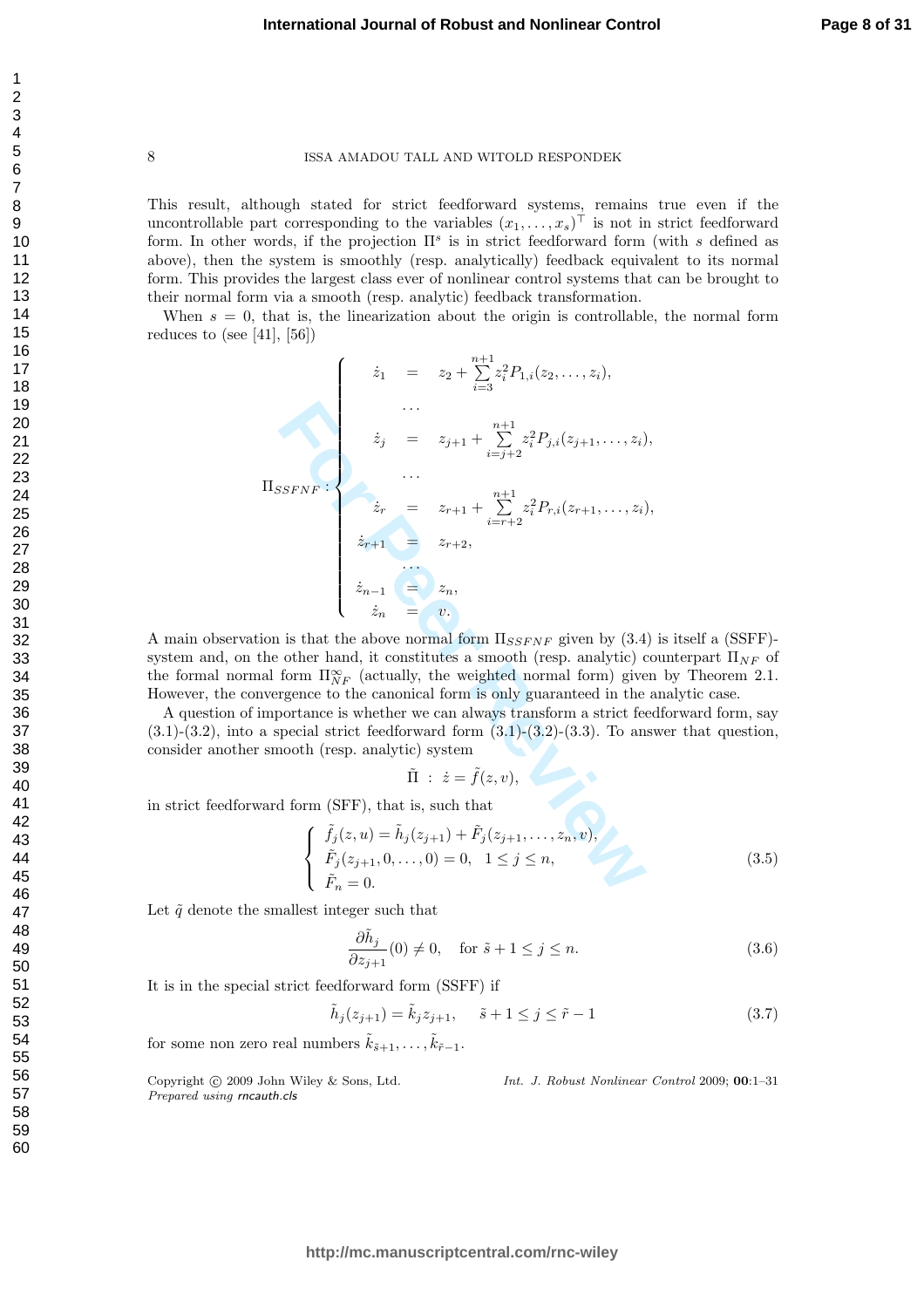This result, although stated for strict feedforward systems, remains true even if the uncontrollable part corresponding to the variables  $(x_1, \ldots, x_s)^\top$  is not in strict feedforward form. In other words, if the projection  $\Pi^s$  is in strict feedforward form (with s defined as above), then the system is smoothly (resp. analytically) feedback equivalent to its normal form. This provides the largest class ever of nonlinear control systems that can be brought to their normal form via a smooth (resp. analytic) feedback transformation.

When  $s = 0$ , that is, the linearization about the origin is controllable, the normal form reduces to (see [41], [56])

$$
\begin{aligned}\n\hat{z}_1 &= z_2 + \sum_{i=3}^{n+1} z_i^2 P_{1,i}(z_2, \ldots, z_i), \\
&\vdots \\
\hat{z}_j &= z_{j+1} + \sum_{i=j+2}^{n+1} z_i^2 P_{j,i}(z_{j+1}, \ldots, z_i), \\
&\vdots \\
\hat{z}_r &= z_{r+1} + \sum_{i=r+2}^{n+1} z_i^2 P_{r,i}(z_{r+1}, \ldots, z_i), \\
&\vdots \\
\hat{z}_{r+1} &= z_{r+2}, \\
&\vdots \\
\hat{z}_{n-1} &= z_n, \\
&\vdots \\
\hat{z}_n &= v. \\
\text{ation is that the above normal form } \Pi_{SSFNF} \text{ given by (3.4) } \text{ the other hand, it constitutes a smooth (resp. analytic) coul and form } \Pi_{NF}^{\infty} \text{ (actually, the weighted normal form) given } \text{nvergence to the canonical form is only guaranteed in the a importance is whether we can always transform a strict feed a special strict feedforward form (3.1)-(3.2)-(3.3). To answer smooth (resp. analytic) system  $\tilde{\Pi} : \dot{z} = \tilde{f}(z, v), \\
&\text{and form (SFF), that is, such that} \\
\begin{cases}\n\tilde{f}_j(z, u) &= \tilde{h}_j(z_{j+1}) + \tilde{F}_j(z_{j+1}, \ldots, z_n, v), \\
\tilde{F}_j(z_{j+1}, 0, \ldots, 0) &= 0, \quad 1 \leq j \leq n, \\
\tilde{F}_n &= 0.\n\end{cases}\n\end{aligned}$
$$

A main observation is that the above normal form  $\Pi_{SSFNF}$  given by (3.4) is itself a (SSFF)system and, on the other hand, it constitutes a smooth (resp. analytic) counterpart  $\Pi_{NF}$  of the formal normal form  $\Pi_{NF}^{\infty}$  (actually, the weighted normal form) given by Theorem 2.1. However, the convergence to the canonical form is only guaranteed in the analytic case.

A question of importance is whether we can always transform a strict feedforward form, say  $(3.1)-(3.2)$ , into a special strict feedforward form  $(3.1)-(3.2)-(3.3)$ . To answer that question, consider another smooth (resp. analytic) system

$$
\tilde{\Pi} \; : \; \dot{z} = \tilde{f}(z,v),
$$

in strict feedforward form (SFF), that is, such that

$$
\begin{cases}\n\tilde{f}_j(z, u) = \tilde{h}_j(z_{j+1}) + \tilde{F}_j(z_{j+1}, \dots, z_n, v), \\
\tilde{F}_j(z_{j+1}, 0, \dots, 0) = 0, \quad 1 \le j \le n, \\
\tilde{F}_n = 0.\n\end{cases}
$$
\n(3.5)

Let  $\tilde{q}$  denote the smallest integer such that

$$
\frac{\partial \tilde{h}_j}{\partial z_{j+1}}(0) \neq 0, \quad \text{for } \tilde{s} + 1 \le j \le n.
$$
\n(3.6)

It is in the special strict feedforward form (SSFF) if

$$
\tilde{h}_j(z_{j+1}) = \tilde{k}_j z_{j+1}, \quad \tilde{s} + 1 \le j \le \tilde{r} - 1 \tag{3.7}
$$

for some non zero real numbers  $\tilde{k}_{\tilde{s}+1}, \ldots, \tilde{k}_{\tilde{r}-1}$ .

Copyright © 2009 John Wiley & Sons, Ltd. Int. J. Robust Nonlinear Control 2009; 00:1–31 Prepared using rncauth.cls

123456789

 $\mathbf{1}$  $\overline{2}$ 3  $\overline{4}$ 5 6  $\overline{7}$ 8 9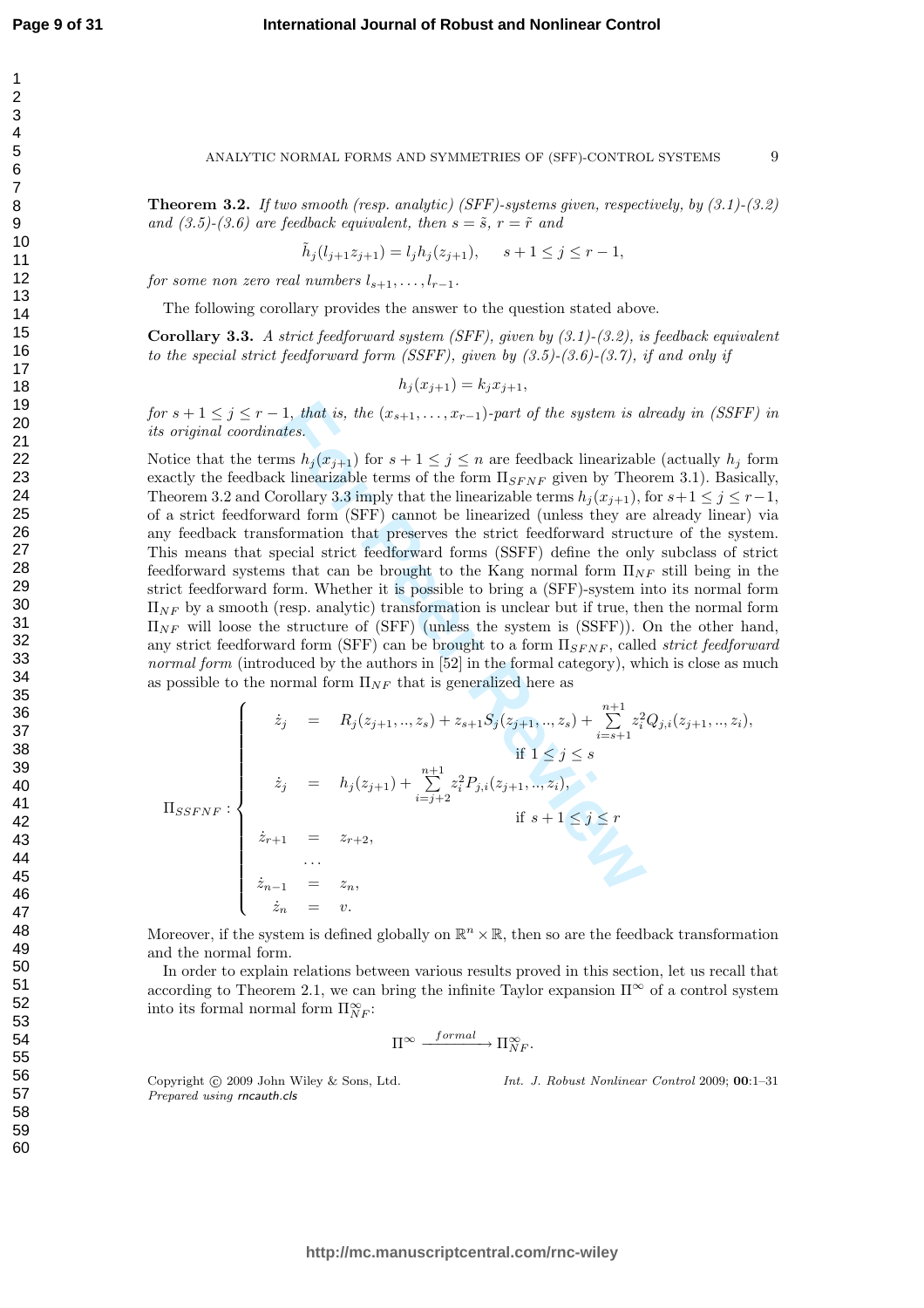#### ANALYTIC NORMAL FORMS AND SYMMETRIES OF (SFF)-CONTROL SYSTEMS

9

**Theorem 3.2.** If two smooth (resp. analytic) (SFF)-systems given, respectively, by  $(3.1)$ - $(3.2)$ and  $(3.5)-(3.6)$  are feedback equivalent, then  $s = \tilde{s}$ ,  $r = \tilde{r}$  and

$$
\tilde{h}_j(l_{j+1}z_{j+1}) = l_j h_j(z_{j+1}), \quad s+1 \le j \le r-1,
$$

for some non zero real numbers  $l_{s+1}, \ldots, l_{r-1}.$ 

The following corollary provides the answer to the question stated above.

**Corollary 3.3.** A strict feedforward system (SFF), given by  $(3.1)-(3.2)$ , is feedback equivalent to the special strict feedforward form (SSFF), given by  $(3.5)-(3.6)-(3.7)$ , if and only if

$$
h_j(x_{j+1}) = k_j x_{j+1},
$$

for  $s + 1 \leq j \leq r - 1$ , that is, the  $(x_{s+1},...,x_{r-1})$ -part of the system is already in (SSFF) in its original coordinates.

1, that is, the  $(x_{s+1},...,x_{r-1})$ -part of the system is a<br>
tites.<br>
ms  $h_j(x_{j+1})$  for  $s+1 \leq j \leq n$  are feedback linearizable<br>
k linearizable terms of the form  $\Pi_{SFWF}$  given by Theorollary 3.3 imply that the linearizable t Notice that the terms  $h_j(x_{j+1})$  for  $s+1 \leq j \leq n$  are feedback linearizable (actually  $h_j$  form exactly the feedback linearizable terms of the form  $\Pi_{SFNF}$  given by Theorem 3.1). Basically, Theorem 3.2 and Corollary 3.3 imply that the linearizable terms  $h_j(x_{j+1})$ , for  $s+1 \leq j \leq r-1$ , of a strict feedforward form (SFF) cannot be linearized (unless they are already linear) via any feedback transformation that preserves the strict feedforward structure of the system. This means that special strict feedforward forms (SSFF) define the only subclass of strict feedforward systems that can be brought to the Kang normal form  $\Pi_{NF}$  still being in the strict feedforward form. Whether it is possible to bring a (SFF)-system into its normal form  $\Pi_{NF}$  by a smooth (resp. analytic) transformation is unclear but if true, then the normal form  $\Pi_{NF}$  will loose the structure of (SFF) (unless the system is (SSFF)). On the other hand, any strict feedforward form (SFF) can be brought to a form  $\Pi_{SFNF}$ , called *strict feedforward* normal form (introduced by the authors in [52] in the formal category), which is close as much as possible to the normal form  $\Pi_{NF}$  that is generalized here as

$$
\Pi_{SSFNF}: \begin{cases}\n\dot{z}_{j} = R_{j}(z_{j+1},...,z_{s}) + z_{s+1}S_{j}(z_{j+1},...,z_{s}) + \sum_{i=s+1}^{n+1} z_{i}^{2}Q_{j,i}(z_{j+1},...,z_{i}), \\
\text{if } 1 \leq j \leq s \\
\dot{z}_{j} = h_{j}(z_{j+1}) + \sum_{i=j+2}^{n+1} z_{i}^{2}P_{j,i}(z_{j+1},...,z_{i}), \\
\text{if } s+1 \leq j \leq r \\
\dot{z}_{n-1} = z_{n}, \\
\dot{z}_{n} = v.\n\end{cases}
$$

Moreover, if the system is defined globally on  $\mathbb{R}^n \times \mathbb{R}$ , then so are the feedback transformation and the normal form.

In order to explain relations between various results proved in this section, let us recall that according to Theorem 2.1, we can bring the infinite Taylor expansion  $\Pi^{\infty}$  of a control system into its formal normal form  $\Pi_{NF}^{\infty}$ :

$$
\Pi^\infty \xrightarrow{\quad\; formal \quad} \Pi^\infty_{NF}.
$$

Copyright © 2009 John Wiley & Sons, Ltd. Prepared using rncauth.cls

Int. J. Robust Nonlinear Control 2009; 00:1–31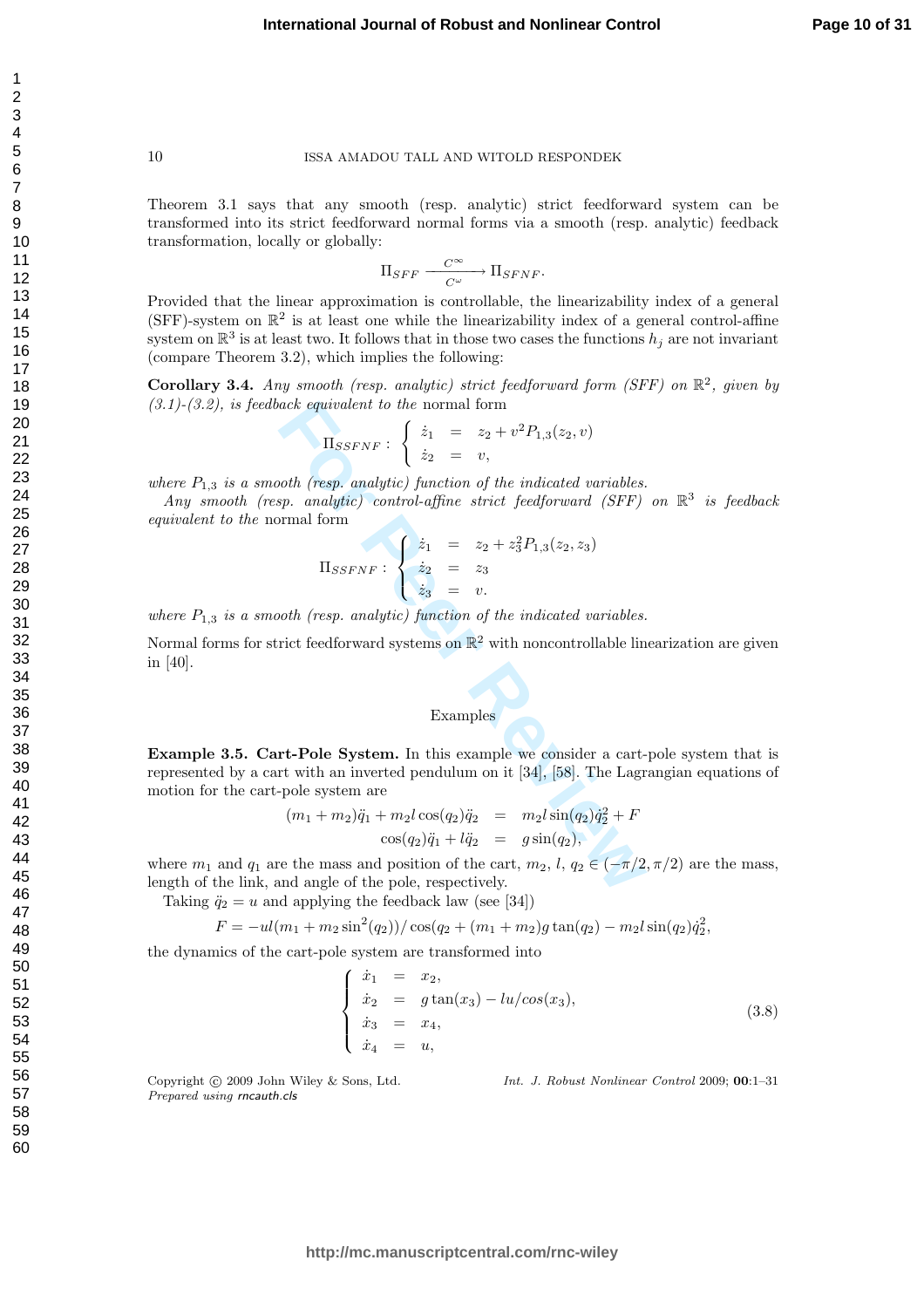Theorem 3.1 says that any smooth (resp. analytic) strict feedforward system can be transformed into its strict feedforward normal forms via a smooth (resp. analytic) feedback transformation, locally or globally:

$$
\Pi_{SFF} \xrightarrow{\quad C^{\infty} \quad} \Pi_{SFNF}.
$$

Provided that the linear approximation is controllable, the linearizability index of a general (SFF)-system on  $\mathbb{R}^2$  is at least one while the linearizability index of a general control-affine system on  $\mathbb{R}^3$  is at least two. It follows that in those two cases the functions  $h_j$  are not invariant (compare Theorem 3.2), which implies the following:

Corollary 3.4. Any smooth (resp. analytic) strict feedforward form (SFF) on  $\mathbb{R}^2$ , given by  $(3.1)$ - $(3.2)$ , is feedback equivalent to the normal form

$$
\Pi_{SSFNF}: \begin{cases} \dot{z}_1 = z_2 + v^2 P_{1,3}(z_2, v) \\ \dot{z}_2 = v, \end{cases}
$$

where  $P_{1,3}$  is a smooth (resp. analytic) function of the indicated variables.

Any smooth (resp. analytic) control-affine strict feedforward (SFF) on  $\mathbb{R}^3$  is feedback equivalent to the normal form

$$
\Pi_{SSFNF}: \begin{cases} \dot{z}_1 & = & z_2 + z_3^2 P_{1,3}(z_2, z_3) \\ \dot{z}_2 & = & z_3 \\ \dot{z}_3 & = & v. \end{cases}
$$

where  $P_{1,3}$  is a smooth (resp. analytic) function of the indicated variables.

Normal forms for strict feedforward systems on  $\mathbb{R}^2$  with noncontrollable linearization are given in [40].

# Examples

ack equivalent to the normal form<br>  $\Pi_{SSFNF}: \begin{cases} \dot{z}_1 = z_2 + v^2 P_{1,3}(z_2, v) \\ \dot{z}_2 = v, \end{cases}$ <br> *For Peer Reviewalitic control-affine strict feedforward (SFF)*<br>
Formal form<br>  $\Pi_{SSFNF}: \begin{cases} \dot{z}_1 = z_2 + z_3^2 P_{1,3}(z_2, z_3) \\ \dot{z}_2 =$ Example 3.5. Cart-Pole System. In this example we consider a cart-pole system that is represented by a cart with an inverted pendulum on it [34], [58]. The Lagrangian equations of motion for the cart-pole system are

$$
(m_1 + m_2)\ddot{q}_1 + m_2l\cos(q_2)\ddot{q}_2 = m_2l\sin(q_2)\dot{q}_2^2 + F
$$
  

$$
\cos(q_2)\ddot{q}_1 + l\ddot{q}_2 = g\sin(q_2),
$$

where  $m_1$  and  $q_1$  are the mass and position of the cart,  $m_2$ ,  $l$ ,  $q_2 \in (-\pi/2, \pi/2)$  are the mass, length of the link, and angle of the pole, respectively.

Taking  $\ddot{q}_2 = u$  and applying the feedback law (see [34])

$$
F = -uI(m_1 + m_2\sin^2(q_2))/\cos(q_2 + (m_1 + m_2)g\tan(q_2) - m_2l\sin(q_2)\dot{q}_2^2,
$$

the dynamics of the cart-pole system are transformed into

$$
x_1 = x_2,\n\dot{x}_2 = g \tan(x_3) - \ln(\cos(x_3)),\n\dot{x}_3 = x_4,\n\dot{x}_4 = u,
$$
\n(3.8)

Copyright (c) 2009 John Wiley & Sons, Ltd. Prepared using rncauth.cls

Int. J. Robust Nonlinear Control 2009; 00:1–31

123456789

 $\mathbf{1}$  $\overline{2}$ 3  $\overline{4}$ 5 6  $\overline{7}$ 8 9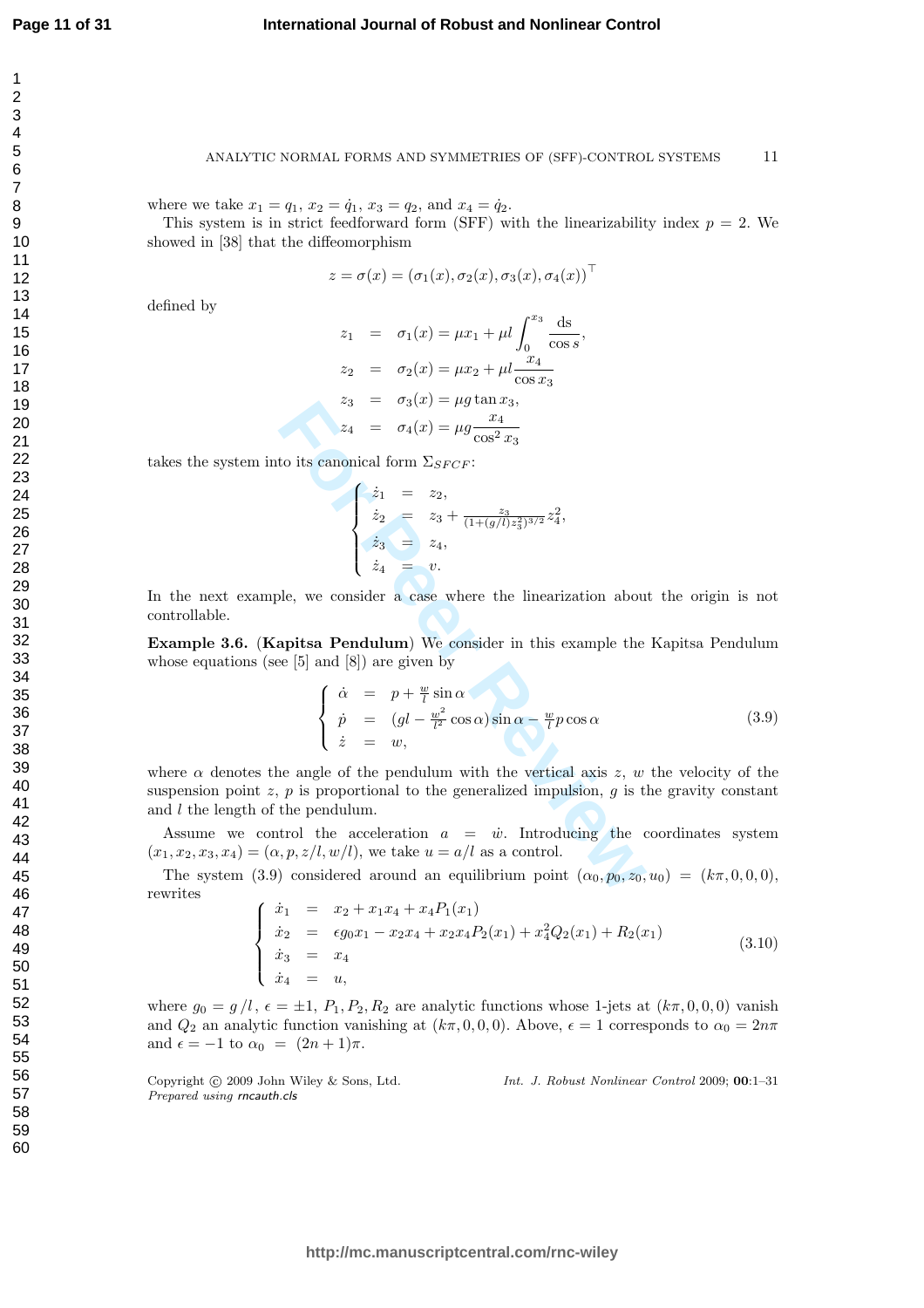#### ANALYTIC NORMAL FORMS AND SYMMETRIES OF (SFF)-CONTROL SYSTEMS 11

where we take  $x_1 = q_1, x_2 = \dot{q}_1, x_3 = q_2$ , and  $x_4 = \dot{q}_2$ .

This system is in strict feedforward form (SFF) with the linearizability index  $p = 2$ . We showed in [38] that the diffeomorphism

$$
z = \sigma(x) = (\sigma_1(x), \sigma_2(x), \sigma_3(x), \sigma_4(x))^\top
$$

defined by

$$
z_1 = \sigma_1(x) = \mu x_1 + \mu l \int_0^{x_3} \frac{ds}{\cos s},
$$
  
\n
$$
z_2 = \sigma_2(x) = \mu x_2 + \mu l \frac{x_4}{\cos x_3}
$$
  
\n
$$
z_3 = \sigma_3(x) = \mu g \tan x_3,
$$
  
\n
$$
z_4 = \sigma_4(x) = \mu g \frac{x_4}{\cos^2 x_3}
$$

takes the system into its canonical form  $\Sigma_{SFCF}$ :

$$
\begin{cases}\n\dot{z}_1 = z_2, \\
\dot{z}_2 = z_3 + \frac{z_3}{(1 + (g/l)z_3^2)^{3/2}}z_4^2, \\
\dot{z}_3 = z_4, \\
\dot{z}_4 = v.\n\end{cases}
$$

In the next example, we consider a case where the linearization about the origin is not controllable.

Example 3.6. (Kapitsa Pendulum) We consider in this example the Kapitsa Pendulum whose equations (see [5] and [8]) are given by

$$
z_3 = \sigma_3(x) = \mu g \tan x_3,
$$
  
\n
$$
z_4 = \sigma_4(x) = \mu g \frac{x_4}{\cos^2 x_3}
$$
  
\nto its canonical form  $\Sigma_{SFCF}$ :  
\n
$$
\begin{cases}\n\dot{z}_1 = z_2, \\
\dot{z}_2 = z_3 + \frac{z_3}{(1 + (g/l)z_3^2)^{3/2}} z_4^2, \\
\dot{z}_3 = z_4, \\
\dot{z}_4 = v.\n\end{cases}
$$
  
\n
$$
z_4 = v.
$$
  
\n
$$
z_5 = \frac{1}{2} \int_{z_4}^{z_5} z_5 z_6 z_7 \, dz_8 + \frac{1}{2} \int_{z_5}^{z_6} z_7 \, dz_9 + \frac{1}{2} \int_{z_6}^{z_7} z_8 \, dz_9 + \frac{1}{2} \int_{z_7}^{z_7} z_9 \, dz_9 + \frac{1}{2} \int_{z_7}^{z_7} z_9 \, dz_9 + \frac{1}{2} \int_{z_7}^{z_7} z_9 \, dz_9 + \frac{1}{2} \int_{z_7}^{z_7} z_9 \, dz_9 + \frac{1}{2} \int_{z_7}^{z_7} z_9 \, dz_9 + \frac{1}{2} \int_{z_7}^{z_7} z_9 \, dz_9 + \frac{1}{2} \int_{z_7}^{z_7} z_9 \, dz_9 + \frac{1}{2} \int_{z_7}^{z_7} z_9 \, dz_9 + \frac{1}{2} \int_{z_7}^{z_7} z_9 \, dz_9 + \frac{1}{2} \int_{z_7}^{z_7} z_9 \, dz_9 + \frac{1}{2} \int_{z_7}^{z_7} z_9 \, dz_9 + \frac{1}{2} \int_{z_7}^{z_7} z_9 \, dz_9 + \frac{1}{2} \int_{z_7}^{z_7} z_9 \, dz_9 + \frac{1}{2} \int_{z_7}^{z_7} z_9 \, dz_9 + \frac{1}{2} \int_{z_7}^{z_7} z_9 \, dz_9 + \frac{1}{2} \int_{z_7}^{z_7} z_9 \, dz_9 + \frac{1}{2} \int_{z_7
$$

where  $\alpha$  denotes the angle of the pendulum with the vertical axis z, w the velocity of the suspension point  $z$ ,  $p$  is proportional to the generalized impulsion,  $q$  is the gravity constant and l the length of the pendulum.

Assume we control the acceleration  $a = \dot{w}$ . Introducing the coordinates system  $(x_1, x_2, x_3, x_4) = (\alpha, p, z/l, w/l)$ , we take  $u = a/l$  as a control.

The system (3.9) considered around an equilibrium point  $(\alpha_0, p_0, z_0, u_0) = (k\pi, 0, 0, 0),$ rewrites

$$
\begin{cases}\n\dot{x}_1 = x_2 + x_1 x_4 + x_4 P_1(x_1) \\
\dot{x}_2 = \epsilon g_0 x_1 - x_2 x_4 + x_2 x_4 P_2(x_1) + x_4^2 Q_2(x_1) + R_2(x_1) \\
\dot{x}_3 = x_4 \\
\dot{x}_4 = u,\n\end{cases}
$$
\n(3.10)

where  $g_0 = g/l$ ,  $\epsilon = \pm 1$ ,  $P_1, P_2, R_2$  are analytic functions whose 1-jets at  $(k\pi, 0, 0, 0)$  vanish and  $Q_2$  an analytic function vanishing at  $(k\pi, 0, 0, 0)$ . Above,  $\epsilon = 1$  corresponds to  $\alpha_0 = 2n\pi$ and  $\epsilon = -1$  to  $\alpha_0 = (2n + 1)\pi$ .

Copyright © 2009 John Wiley & Sons, Ltd. Prepared using rncauth.cls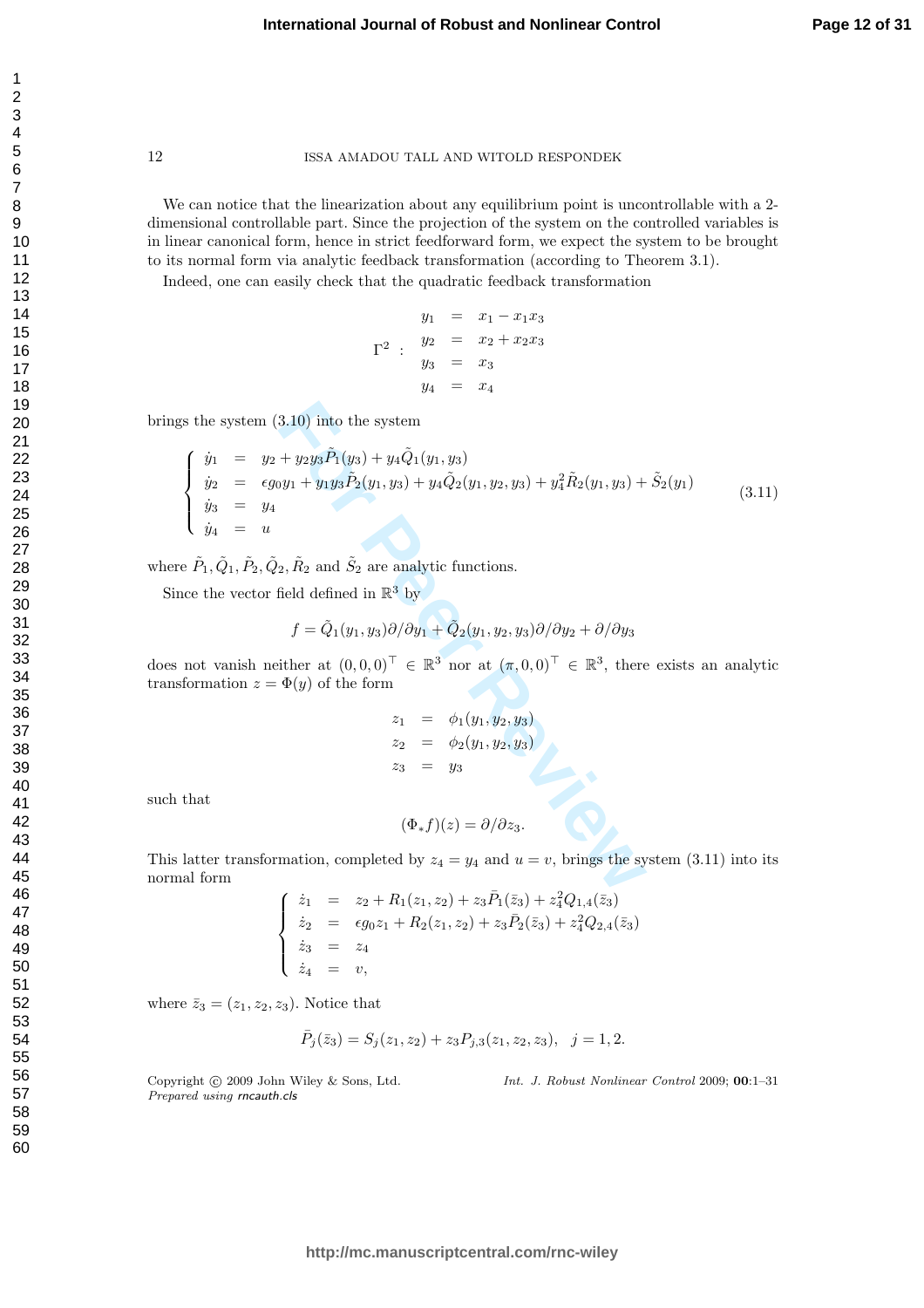We can notice that the linearization about any equilibrium point is uncontrollable with a 2dimensional controllable part. Since the projection of the system on the controlled variables is in linear canonical form, hence in strict feedforward form, we expect the system to be brought to its normal form via analytic feedback transformation (according to Theorem 3.1).

Indeed, one can easily check that the quadratic feedback transformation

$$
y_1 = x_1 - x_1x_3
$$
  
\n
$$
\Gamma^2 : y_2 = x_2 + x_2x_3
$$
  
\n
$$
y_3 = x_3
$$
  
\n
$$
y_4 = x_4
$$

brings the system (3.10) into the system

$$
f(s) = \frac{1}{2}y_1 + \frac{1}{2}y_2y_3\tilde{P}_1(y_3) + \frac{1}{2}y_1(y_1, y_3)
$$
\n
$$
\begin{cases}\n\dot{y}_1 = y_2 + \frac{1}{2}y_2y_3\tilde{P}_1(y_3) + \frac{1}{2}y_1(y_1, y_3) \\
\dot{y}_2 = \frac{1}{2}y_2y_3\tilde{P}_2(y_1, y_3) + \frac{1}{2}y_2(y_1, y_2, y_3) + \frac{1}{2}y_1\tilde{P}_2(y_1, y_3) + \tilde{S}_2(y_1)\n\end{cases}
$$
\n
$$
f(s) = \begin{cases}\n\dot{y}_1 = y_1 \\
\dot{y}_2 = u\n\end{cases}
$$
\n
$$
= \tilde{P}_1, \tilde{Q}_1, \tilde{P}_2, \tilde{Q}_2, \tilde{R}_2 \text{ and } \tilde{S}_2 \text{ are analytic functions.}
$$
\n
$$
f = \tilde{Q}_1(y_1, y_3)\partial/\partial y_1 + \tilde{Q}_2(y_1, y_2, y_3)\partial/\partial y_2 + \partial/\partial y_3
$$
\n
$$
= \tilde{Q}_1(y_1, y_3)\partial/\partial y_1 + \tilde{Q}_2(y_1, y_2, y_3)\partial/\partial y_2 + \partial/\partial y_3
$$
\n
$$
= \phi_1(y_1, y_2, y_3)
$$
\n
$$
= \phi_1(y_1, y_2, y_3)
$$
\n
$$
= \phi_2(y_1, y_2, y_3)
$$
\n
$$
= \phi_2(y_1, y_2, y_3)
$$
\n
$$
= \phi_2(y_1, y_2, y_3)
$$
\n
$$
= \phi_2(y_1, y_2, y_3)
$$
\n
$$
= \phi_2(y_1, y_2, y_3)
$$
\n
$$
= \phi_2(y_1, y_2, y_3)
$$
\n
$$
= \phi_2(y_1, y_2, y_3)
$$
\nthat

\n
$$
(\Phi_* f)(z) = \partial/\partial z_3.
$$
\nlatter transformation, completed by  $z_4 =$ 

where  $\tilde{P}_1$ ,  $\tilde{Q}_1$ ,  $\tilde{P}_2$ ,  $\tilde{Q}_2$ ,  $\tilde{R}_2$  and  $\tilde{S}_2$  are analytic functions.

Since the vector field defined in  $\mathbb{R}^3$  by

$$
f = \tilde{Q}_1(y_1, y_3)\partial/\partial y_1 + \tilde{Q}_2(y_1, y_2, y_3)\partial/\partial y_2 + \partial/\partial y_3
$$

does not vanish neither at  $(0,0,0)^{\top} \in \mathbb{R}^{3}$  nor at  $(\pi,0,0)^{\top} \in \mathbb{R}^{3}$ , there exists an analytic transformation  $z = \Phi(y)$  of the form

$$
z_1 = \phi_1(y_1, y_2, y_3)
$$
  
\n
$$
z_2 = \phi_2(y_1, y_2, y_3)
$$
  
\n
$$
z_3 = y_3
$$

such that

$$
(\Phi_* f)(z) = \partial/\partial z_3.
$$

This latter transformation, completed by  $z_4 = y_4$  and  $u = v$ , brings the system (3.11) into its normal form

$$
\begin{cases}\n\dot{z}_1 = z_2 + R_1(z_1, z_2) + z_3 \bar{P}_1(\bar{z}_3) + z_4^2 Q_{1,4}(\bar{z}_3) \\
\dot{z}_2 = \epsilon g_0 z_1 + R_2(z_1, z_2) + z_3 \bar{P}_2(\bar{z}_3) + z_4^2 Q_{2,4}(\bar{z}_3) \\
\dot{z}_3 = z_4 \\
\dot{z}_4 = v,\n\end{cases}
$$

where  $\bar{z}_3 = (z_1, z_2, z_3)$ . Notice that

$$
\bar{P}_j(\bar{z}_3) = S_j(z_1, z_2) + z_3 P_{j,3}(z_1, z_2, z_3), \quad j = 1, 2.
$$

Copyright © 2009 John Wiley & Sons, Ltd. Prepared using rncauth.cls

Int. J. Robust Nonlinear Control 2009; 00:1–31

 $\mathbf{1}$  $\overline{2}$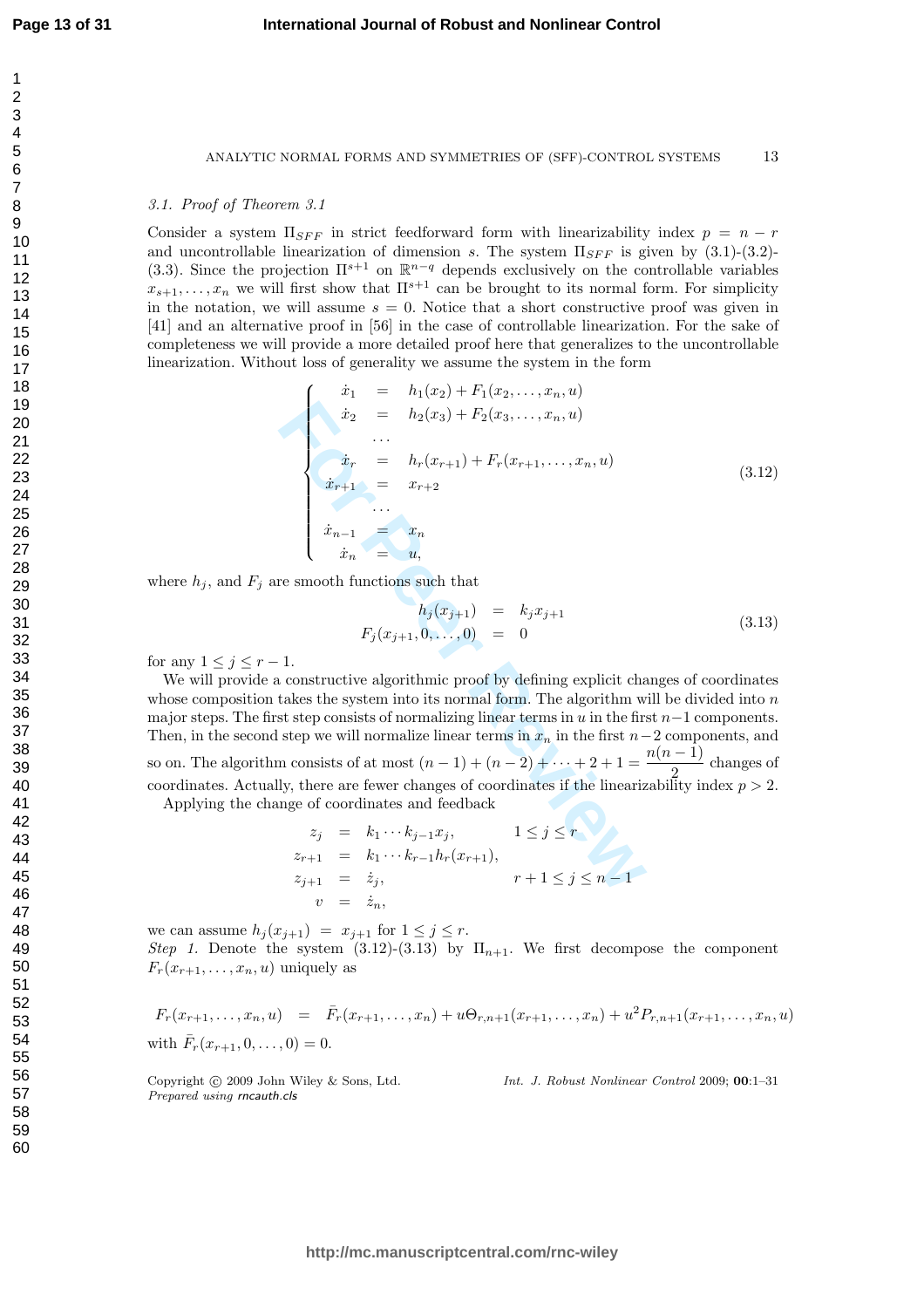#### ANALYTIC NORMAL FORMS AND SYMMETRIES OF (SFF)-CONTROL SYSTEMS 13

#### 3.1. Proof of Theorem 3.1

Consider a system  $\Pi_{SFF}$  in strict feedforward form with linearizability index  $p = n - r$ and uncontrollable linearization of dimension s. The system  $\Pi_{SFF}$  is given by  $(3.1)-(3.2)$ -(3.3). Since the projection  $\Pi^{s+1}$  on  $\mathbb{R}^{n-q}$  depends exclusively on the controllable variables  $x_{s+1}, \ldots, x_n$  we will first show that  $\Pi^{s+1}$  can be brought to its normal form. For simplicity in the notation, we will assume  $s = 0$ . Notice that a short constructive proof was given in [41] and an alternative proof in [56] in the case of controllable linearization. For the sake of completeness we will provide a more detailed proof here that generalizes to the uncontrollable linearization. Without loss of generality we assume the system in the form

$$
\begin{cases}\n\dot{x}_1 = h_1(x_2) + F_1(x_2, \dots, x_n, u) \\
\dot{x}_2 = h_2(x_3) + F_2(x_3, \dots, x_n, u) \\
\vdots \\
\dot{x}_r = h_r(x_{r+1}) + F_r(x_{r+1}, \dots, x_n, u) \\
\dot{x}_{r+1} = x_{r+2} \\
\vdots \\
\dot{x}_{n-1} = x_n \\
\dot{x}_n = u, \\
\dot{h}_n(x_{j+1}) = k_j x_{j+1} \\
F_j(x_{j+1}, 0, \dots, 0) = 0\n\end{cases}
$$
\n(3.13)\n  
\n
$$
F_j(x_{j+1}, 0, \dots, 0) = 0
$$
\n1.\nconstructive algorithmic proof by defining explicit changes of coordinates  
\ntes the system into its normal form. The algorithm will be divided into *n* takes the constant to its normalizing linear terms in *u* in the first *n*-1 components, and  
\nat steps consists of normalizing linear terms in *x* in the first *n*-1 components, and  
\n*n* consists of at most  $(n-1) + (n-2) + \dots + 2 + 1 = \frac{n(n-1)}{2}$  changes of  
\nly, there are fewer changes of coordinates if the linearizability index  $p > 2$ .  
\n
$$
x_j = k_1 \cdots k_{j-1} x_j, \qquad 1 \leq j \leq r
$$
\n
$$
z_{r+1} = k_1 \cdots k_{r-1} h_r(x_{r+1}),
$$
\n
$$
z_{j+1} = \dot{z}_j, \qquad r+1 \leq j \leq n-1
$$

where  $h_j$ , and  $F_j$  are smooth functions such that

$$
h_j(x_{j+1}) = k_j x_{j+1}
$$
  
\n
$$
F_j(x_{j+1}, 0, \ldots, 0) = 0
$$
\n(3.13)

for any  $1 \leq j \leq r-1$ .

We will provide a constructive algorithmic proof by defining explicit changes of coordinates whose composition takes the system into its normal form. The algorithm will be divided into  $n$ major steps. The first step consists of normalizing linear terms in  $u$  in the first  $n-1$  components. Then, in the second step we will normalize linear terms in  $x_n$  in the first  $n-2$  components, and so on. The algorithm consists of at most  $(n-1) + (n-2) + \cdots + 2 + 1 = \frac{n(n-1)}{2}$  $\frac{1}{2}$  changes of coordinates. Actually, there are fewer changes of coordinates if the linearizability index  $p > 2$ . Applying the change of coordinates and feedback

$$
z_j = k_1 \cdots k_{j-1} x_j, \qquad 1 \le j \le r
$$
  
\n
$$
z_{r+1} = k_1 \cdots k_{r-1} h_r(x_{r+1}),
$$
  
\n
$$
z_{j+1} = \dot{z}_j, \qquad r+1 \le j \le n-1
$$
  
\n
$$
v = \dot{z}_n,
$$

we can assume  $h_j(x_{j+1}) = x_{j+1}$  for  $1 \le j \le r$ . Step 1. Denote the system (3.12)-(3.13) by  $\Pi_{n+1}$ . We first decompose the component  $F_r(x_{r+1},\ldots,x_n,u)$  uniquely as

$$
F_r(x_{r+1},...,x_n, u) = \bar{F}_r(x_{r+1},...,x_n) + u\Theta_{r,n+1}(x_{r+1},...,x_n) + u^2 P_{r,n+1}(x_{r+1},...,x_n, u)
$$
  
with  $\bar{F}_r(x_{r+1},0,...,0) = 0$ .

Copyright (c) 2009 John Wiley & Sons, Ltd. Prepared using rncauth.cls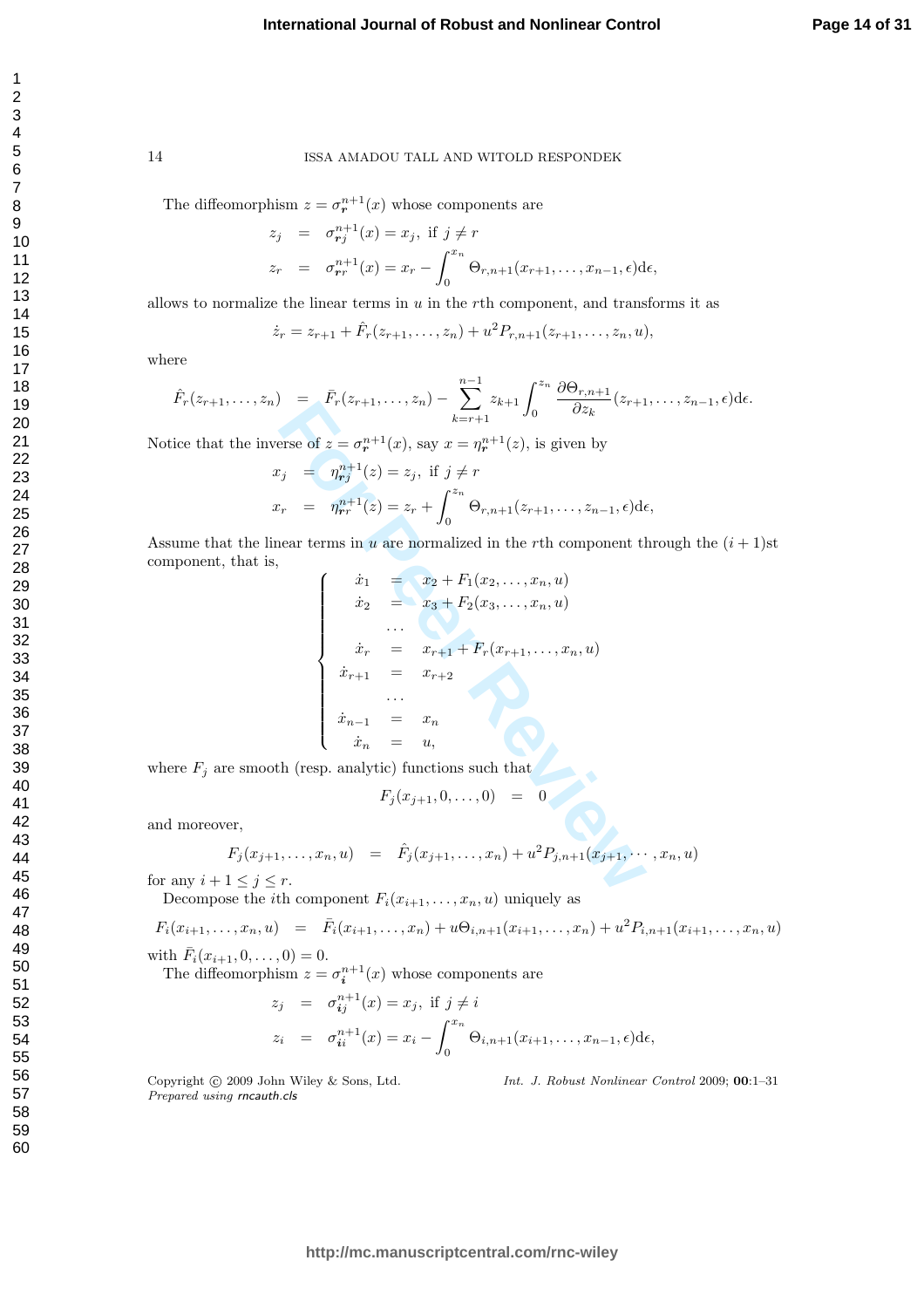The diffeomorphism  $z = \sigma^{n+1}_r(x)$  whose components are

$$
z_j = \sigma_{r_j}^{n+1}(x) = x_j, \text{ if } j \neq r
$$
  
\n
$$
z_r = \sigma_{rr}^{n+1}(x) = x_r - \int_0^{x_n} \Theta_{r,n+1}(x_{r+1}, \dots, x_{n-1}, \epsilon) d\epsilon,
$$

allows to normalize the linear terms in  $u$  in the  $r$ th component, and transforms it as

$$
\dot{z}_r = z_{r+1} + \hat{F}_r(z_{r+1},...,z_n) + u^2 P_{r,n+1}(z_{r+1},...,z_n, u),
$$

where

$$
\hat{F}_r(z_{r+1},...,z_n) = \bar{F}_r(z_{r+1},...,z_n) - \sum_{k=r+1}^{n-1} z_{k+1} \int_0^{z_n} \frac{\partial \Theta_{r,n+1}}{\partial z_k}(z_{r+1},...,z_{n-1},\epsilon) d\epsilon.
$$

Notice that the inverse of  $z = \sigma^{n+1}_r(x)$ , say  $x = \eta^{n+1}_r(z)$ , is given by

$$
x_j = \eta_{rj}^{n+1}(z) = z_j, \text{ if } j \neq r
$$
  

$$
x_r = \eta_{rr}^{n+1}(z) = z_r + \int_0^{z_n} \Theta_{r,n+1}(z_{r+1}, \dots, z_{n-1}, \epsilon) d\epsilon,
$$

Assume that the linear terms in u are normalized in the rth component through the  $(i + 1)$ st component, that is,

$$
F_{r}(z_{r+1},...,z_{n}) = \sum_{k=r+1} z_{k+1} \int_{0}^{z_{k+1}} \frac{1}{\partial z_{k}} (z_{r+1})
$$
  
\n
$$
F_{r+1} = \eta_{r+1}^{n+1}(z) = z_{j}, \text{ if } j \neq r
$$
  
\n
$$
F_{r+1} = \eta_{r+1}^{n+1}(z) = z_{r} + \int_{0}^{z_{n}} \Theta_{r,n+1}(z_{r+1},...,z_{n-1},\epsilon) d\epsilon
$$
  
\n
$$
F_{r+1} = \eta_{r+1}^{n+1}(z) = z_{r} + \int_{0}^{z_{n}} \Theta_{r,n+1}(z_{r+1},...,z_{n-1},\epsilon) d\epsilon
$$
  
\n
$$
F_{r+1} = x_{r+1} + \int_{0}^{z_{n}} \frac{1}{z_{r+1}} (z_{r+1},...,z_{n},u)
$$
  
\n
$$
F_{r+1} = x_{r+2}
$$
  
\n
$$
\therefore \quad \frac{1}{z_{r+1}} = x_{r+2}
$$
  
\n
$$
\therefore \quad \frac{1}{z_{r+1}} = x_{r+2}
$$
  
\n
$$
\therefore \quad \frac{1}{z_{r+1}} = x_{r+2}
$$
  
\n
$$
\therefore \quad \frac{1}{z_{r+1}} = x_{r+2}
$$
  
\n
$$
F_{r+1} = x_{r+2}
$$
  
\n
$$
F_{r+1} = x_{r+2}
$$
  
\n
$$
F_{r+1} = x_{r+2}
$$
  
\n
$$
F_{r+1} = x_{r+2}
$$
  
\n
$$
F_{r+1} = x_{r+2}
$$
  
\n
$$
F_{r+1} = x_{r+2}
$$
  
\n
$$
F_{r+1} = x_{r+1}
$$
  
\n
$$
F_{r+1} = x_{r+2}
$$
  
\n
$$
F_{r+1} = x_{r+1}
$$
  
\n
$$
F_{r+1} = x_{r+1}
$$
  
\n
$$
F_{r+1} = x_{r+2}
$$
  
\n
$$
F_{r+1} =
$$

where  $F_j$  are smooth (resp. analytic) functions such that

$$
F_j(x_{j+1},0,\ldots,0) = 0
$$

and moreover,

$$
F_j(x_{j+1},\ldots,x_n,u) = \hat{F}_j(x_{j+1},\ldots,x_n) + u^2 P_{j,n+1}(x_{j+1},\ldots,x_n,u)
$$

for any  $i+1 \leq j \leq r$ .

Decompose the *i*th component  $F_i(x_{i+1},...,x_n, u)$  uniquely as

$$
F_i(x_{i+1},...,x_n, u) = \bar{F}_i(x_{i+1},...,x_n) + u\Theta_{i,n+1}(x_{i+1},...,x_n) + u^2 P_{i,n+1}(x_{i+1},...,x_n, u)
$$

with  $\bar{F}_i(x_{i+1}, 0, \ldots, 0) = 0.$ 

The diffeomorphism  $z = \sigma_i^{n+1}(x)$  whose components are

$$
z_j = \sigma_{ij}^{n+1}(x) = x_j, \text{ if } j \neq i
$$
  
\n
$$
z_i = \sigma_{ii}^{n+1}(x) = x_i - \int_0^{x_n} \Theta_{i,n+1}(x_{i+1}, \dots, x_{n-1}, \epsilon) d\epsilon,
$$

Copyright © 2009 John Wiley & Sons, Ltd. Prepared using rncauth.cls

Int. J. Robust Nonlinear Control 2009; 00:1–31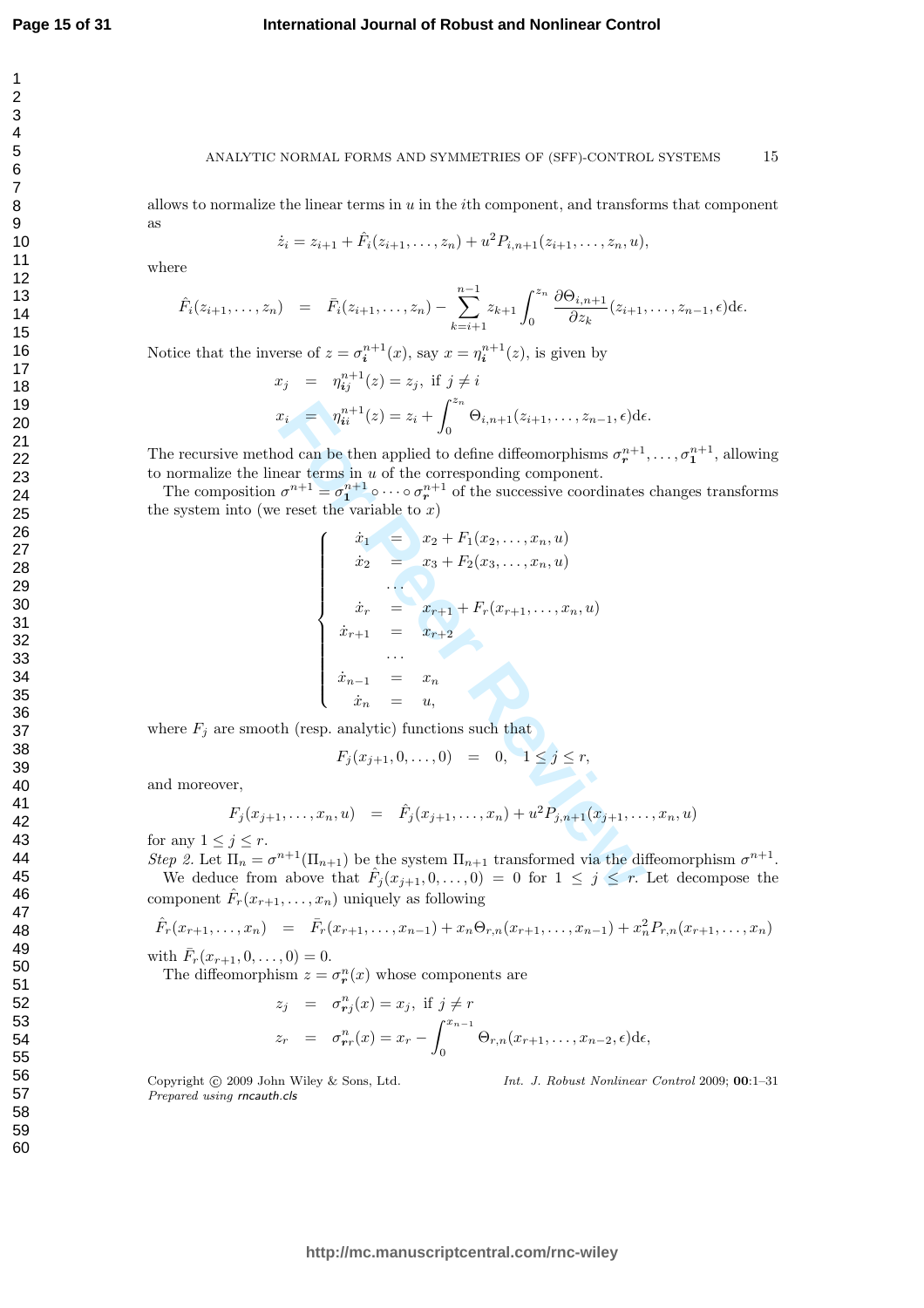#### **International Journal of Robust and Nonlinear Control**

59 60

#### ANALYTIC NORMAL FORMS AND SYMMETRIES OF (SFF)-CONTROL SYSTEMS 15

allows to normalize the linear terms in  $u$  in the *i*th component, and transforms that component as

$$
\dot{z}_i = z_{i+1} + \hat{F}_i(z_{i+1},...,z_n) + u^2 P_{i,n+1}(z_{i+1},...,z_n, u),
$$

where

$$
\hat{F}_i(z_{i+1},...,z_n) = \bar{F}_i(z_{i+1},...,z_n) - \sum_{k=i+1}^{n-1} z_{k+1} \int_0^{z_n} \frac{\partial \Theta_{i,n+1}}{\partial z_k}(z_{i+1},...,z_{n-1},\epsilon) d\epsilon.
$$

Notice that the inverse of  $z = \sigma_i^{n+1}(x)$ , say  $x = \eta_i^{n+1}(z)$ , is given by

$$
x_j = \eta_{ij}^{n+1}(z) = z_j, \text{ if } j \neq i
$$
  

$$
x_i = \eta_{ii}^{n+1}(z) = z_i + \int_0^{z_n} \Theta_{i,n+1}(z_{i+1}, \dots, z_{n-1}, \epsilon) d\epsilon.
$$

The recursive method can be then applied to define diffeomorphisms  $\sigma^{n+1}_{r}$ , ...,  $\sigma^{n+1}_{1}$ , allowing to normalize the linear terms in  $u$  of the corresponding component.

The composition  $\sigma^{n+1} = \sigma_1^{n+1} \circ \cdots \circ \sigma_r^{n+1}$  of the successive coordinates changes transforms the system into (we reset the variable to  $x$ )

$$
x_i = \eta_{ii}^{n+1}(z) = z_i + \int_0^{z_n} \Theta_{i,n+1}(z_{i+1}, \dots, z_{n-1}, \epsilon) d\epsilon
$$
  
od can be then applied to define diffeomorphisms  $\sigma_r^{n+1}$   
near terms in  $u$  of the corresponding component.  
 $\sigma^{n+1} = \sigma_1^{n+1} \circ \cdots \circ \sigma_r^{n+1}$  of the successive coordinates  
 $\vdots$  reset the variable to  $x$ )  
 $\dot{x}_1 = x_2 + F_1(x_2, \dots, x_n, u)$   
 $\dot{x}_2 = x_3 + F_2(x_3, \dots, x_n, u)$   
 $\vdots$   
 $\dot{x}_{r+1} = x_{r+2}$   
 $\vdots$   
 $\dot{x}_{r+1} = x_r$   
 $\vdots$   
 $\dot{x}_{n-1} = x_n$   
 $\dot{x}_n = u$ ,  
th (resp. analytic) functions such that  
 $F_j(x_{j+1}, 0, \dots, 0) = 0, \quad 1 \le j \le r$ ,  
 $\vdots$   
 $\vdots$   
 $\vdots$   
 $\vdots$   
 $\vdots$   
 $\vdots$   
 $\vdots$   
 $\vdots$   
 $\vdots$   
 $\vdots$   
 $\vdots$   
 $\vdots$   
 $\vdots$   
 $\vdots$   
 $\vdots$   
 $\vdots$   
 $\vdots$   
 $\vdots$   
 $\vdots$   
 $\vdots$   
 $\vdots$   
 $\vdots$   
 $\vdots$   
 $\vdots$   
 $\vdots$   
 $\vdots$   
 $\vdots$   
 $\vdots$   
 $\vdots$   
 $\vdots$   
 $\vdots$   
 $\vdots$   
 $\vdots$   
 $\vdots$   
 $\vdots$   
 $\vdots$   
 $\vdots$   
 $\vdots$   
 $\vdots$   
 $\vdots$   
 $\vdots$   
 $\vdots$   
 $\vdots$   
 $\vd$ 

where  $F_j$  are smooth (resp. analytic) functions such that

$$
F_j(x_{j+1}, 0, \dots, 0) = 0, \quad 1 \le j \le r,
$$

and moreover,

$$
F_j(x_{j+1},\ldots,x_n,u) = \hat{F}_j(x_{j+1},\ldots,x_n) + u^2 P_{j,n+1}(x_{j+1},\ldots,x_n,u)
$$

for any  $1 \leq j \leq r$ .

Step 2. Let  $\Pi_n = \sigma^{n+1}(\Pi_{n+1})$  be the system  $\Pi_{n+1}$  transformed via the diffeomorphism  $\sigma^{n+1}$ .

We deduce from above that  $\hat{F}_j(x_{j+1},0,\ldots,0) = 0$  for  $1 \leq j \leq r$ . Let decompose the component  $\hat{F}_r(x_{r+1}, \ldots, x_n)$  uniquely as following

$$
\hat{F}_r(x_{r+1},\ldots,x_n) = \bar{F}_r(x_{r+1},\ldots,x_{n-1}) + x_n \Theta_{r,n}(x_{r+1},\ldots,x_{n-1}) + x_n^2 P_{r,n}(x_{r+1},\ldots,x_n)
$$

with  $\bar{F}_r(x_{r+1}, 0, \ldots, 0) = 0.$ 

The diffeomorphism  $z = \sigma^n_{\mathbf{r}}(x)$  whose components are

$$
z_j = \sigma_{r_j}^n(x) = x_j, \text{ if } j \neq r
$$
  
\n
$$
z_r = \sigma_{rr}^n(x) = x_r - \int_0^{x_{n-1}} \Theta_{r,n}(x_{r+1}, \dots, x_{n-2}, \epsilon) d\epsilon,
$$

Copyright © 2009 John Wiley & Sons, Ltd. Prepared using rncauth.cls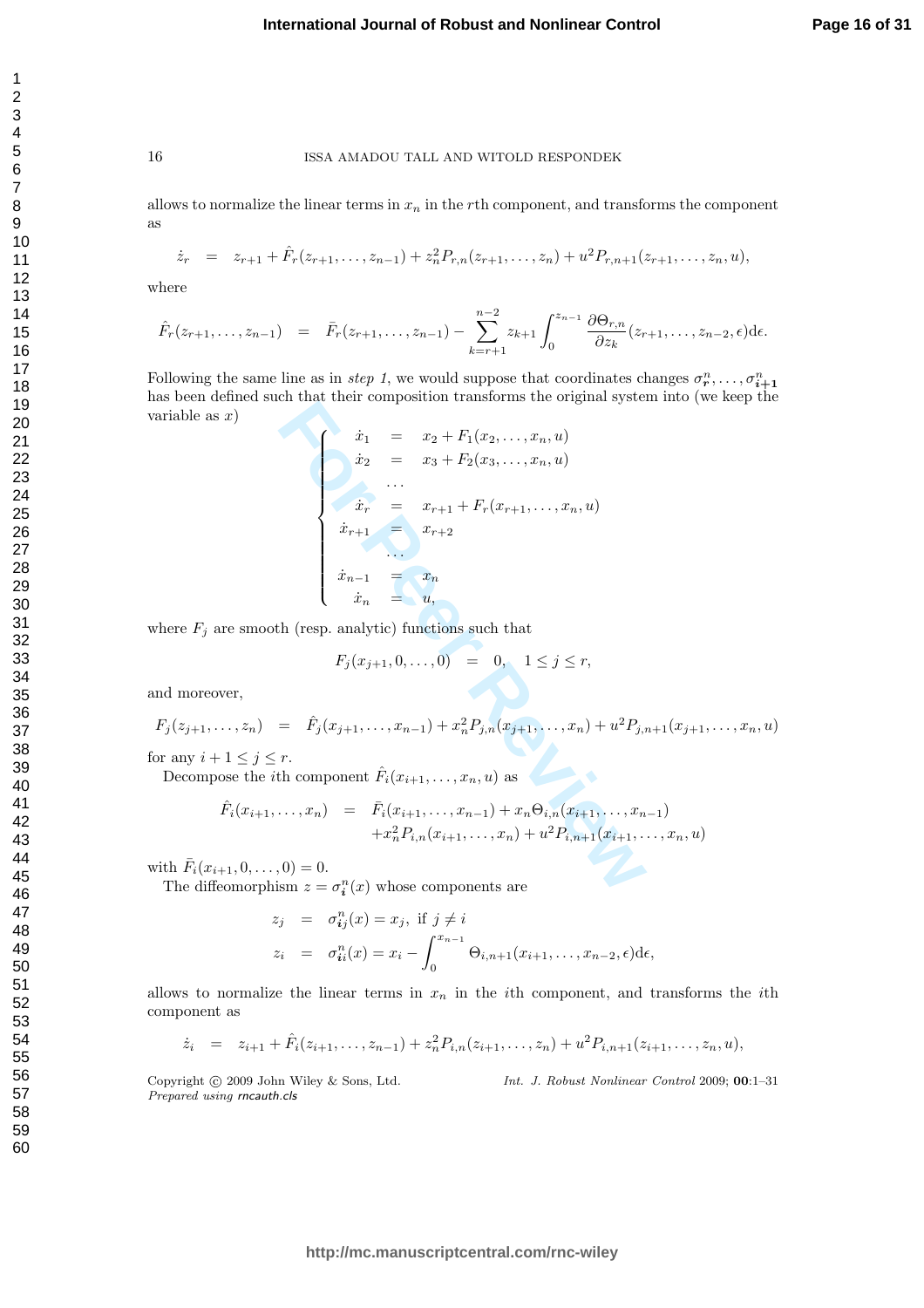allows to normalize the linear terms in  $x_n$  in the rth component, and transforms the component as

$$
\dot{z}_r = z_{r+1} + \hat{F}_r(z_{r+1},...,z_{n-1}) + z_n^2 P_{r,n}(z_{r+1},...,z_n) + u^2 P_{r,n+1}(z_{r+1},...,z_n, u),
$$

where

$$
\hat{F}_r(z_{r+1},...,z_{n-1}) = \bar{F}_r(z_{r+1},...,z_{n-1}) - \sum_{k=r+1}^{n-2} z_{k+1} \int_0^{z_{n-1}} \frac{\partial \Theta_{r,n}}{\partial z_k}(z_{r+1},...,z_{n-2},\epsilon) d\epsilon.
$$

Following the same line as in *step 1*, we would suppose that coordinates changes  $\sigma^n_r, \ldots, \sigma^n_{i+1}$ has been defined such that their composition transforms the original system into (we keep the variable as  $x$ )

$$
\begin{cases}\n\dot{x}_1 = x_2 + F_1(x_2, ..., x_n, u) \\
\dot{x}_2 = x_3 + F_2(x_3, ..., x_n, u) \\
\vdots \\
\dot{x}_r = x_{r+1} + F_r(x_{r+1}, ..., x_n, u) \\
\dot{x}_{r+1} = x_{r+2} \\
\vdots \\
\dot{x}_{n-1} = x_n \\
\dot{x}_n = u, \\
\text{h (resp. analytic) functions such that} \\
F_j(x_{j+1}, 0, ..., 0) = 0, \quad 1 \le j \le r, \\
= \hat{F}_j(x_{j+1}, ..., x_{n-1}) + x_n^2 P_{j,n}(x_{j+1}, ..., x_n) + u^2 P_{j,n} \\
r.\n\text{th component } \hat{F}_i(x_{i+1}, ..., x_n, u) \text{ as} \\
\dot{x}_n = \hat{F}_i(x_{i+1}, ..., x_{n-1}) + x_n \Theta_{i,n}(x_{i+1}, ..., x_n) \\
+ x_n^2 P_{i,n}(x_{i+1}, ..., x_n) + u^2 P_{i,n+1}(x_{i+1}, ...)\n\end{cases}
$$
\n
$$
0) = 0.
$$
\n
$$
\text{sm } z = \sigma_i^n(x) \text{ whose components are}
$$

where  $F_j$  are smooth (resp. analytic) functions such that

$$
F_j(x_{j+1}, 0, \dots, 0) = 0, \quad 1 \le j \le r,
$$

and moreover,

$$
F_j(z_{j+1},\ldots,z_n) = \hat{F}_j(x_{j+1},\ldots,x_{n-1}) + x_n^2 P_{j,n}(x_{j+1},\ldots,x_n) + u^2 P_{j,n+1}(x_{j+1},\ldots,x_n,u)
$$

for any  $i+1 \leq j \leq r$ .

Decompose the *i*th component  $\hat{F}_i(x_{i+1},...,x_n, u)$  as

$$
\hat{F}_i(x_{i+1},\ldots,x_n) = \bar{F}_i(x_{i+1},\ldots,x_{n-1}) + x_n \Theta_{i,n}(x_{i+1},\ldots,x_{n-1}) \n+ x_n^2 P_{i,n}(x_{i+1},\ldots,x_n) + u^2 P_{i,n+1}(x_{i+1},\ldots,x_n,u)
$$

with  $\bar{F}_i(x_{i+1}, 0, \ldots, 0) = 0.$ 

The diffeomorphism  $z = \sigma_i^n(x)$  whose components are

$$
z_j = \sigma_{ij}^n(x) = x_j, \text{ if } j \neq i
$$
  
\n
$$
z_i = \sigma_{ii}^n(x) = x_i - \int_0^{x_{n-1}} \Theta_{i,n+1}(x_{i+1}, \dots, x_{n-2}, \epsilon) d\epsilon,
$$

allows to normalize the linear terms in  $x_n$  in the *i*th component, and transforms the *i*th component as

$$
\dot{z}_i = z_{i+1} + \hat{F}_i(z_{i+1},...,z_{n-1}) + z_n^2 P_{i,n}(z_{i+1},...,z_n) + u^2 P_{i,n+1}(z_{i+1},...,z_n, u),
$$

Copyright © 2009 John Wiley & Sons, Ltd. Prepared using rncauth.cls

Int. J. Robust Nonlinear Control 2009; 00:1–31

123456789

 $\mathbf{1}$  $\overline{2}$ 3  $\overline{4}$ 5 6  $\overline{7}$ 8 9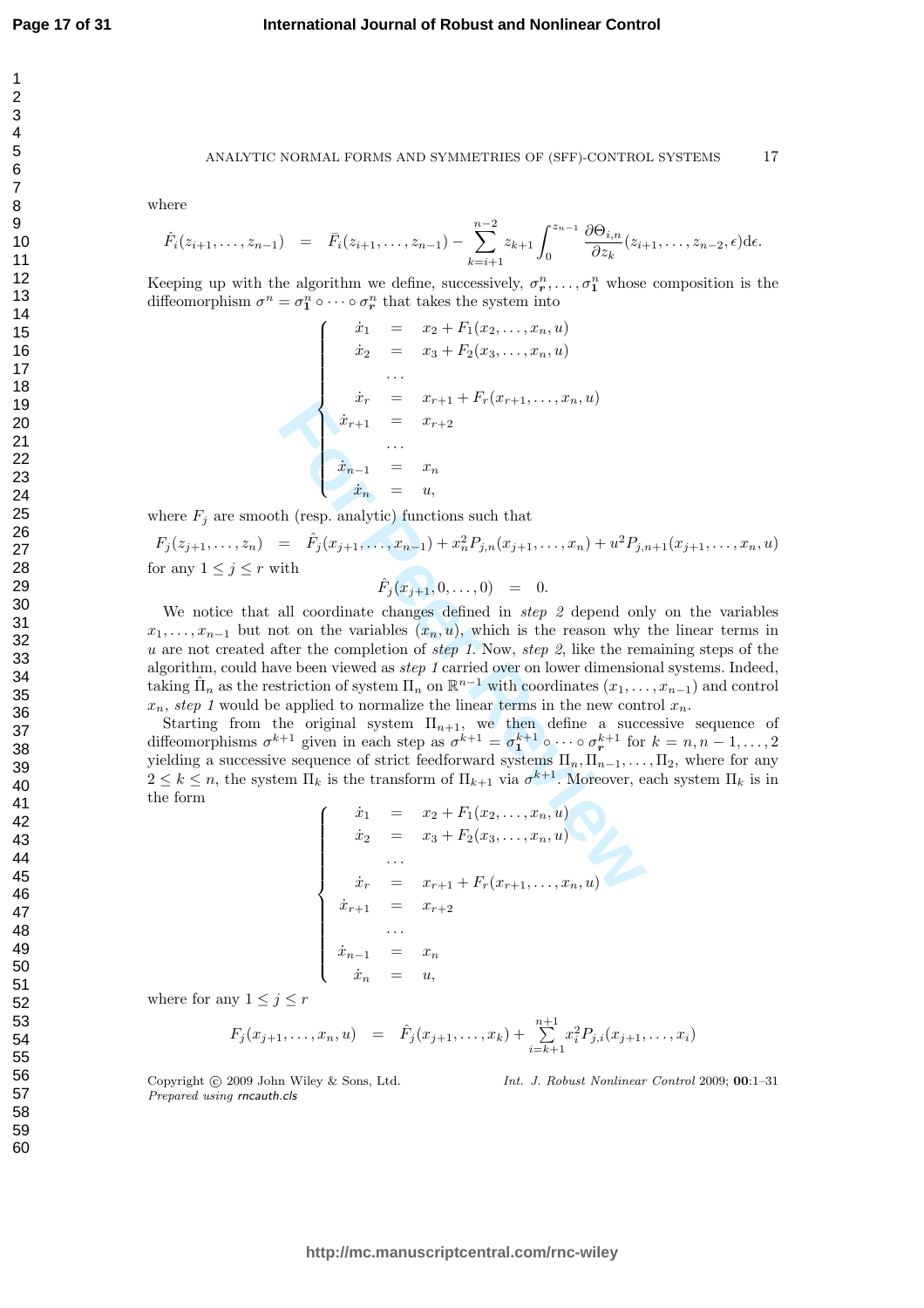$\overline{1}$  $\overline{2}$ 3  $\overline{4}$ 5 6  $\overline{7}$ 8 9

10 11

17

41

#### ANALYTIC NORMAL FORMS AND SYMMETRIES OF (SFF)-CONTROL SYSTEMS 17

where

$$
\hat{F}_i(z_{i+1},...,z_{n-1}) = \bar{F}_i(z_{i+1},...,z_{n-1}) - \sum_{k=i+1}^{n-2} z_{k+1} \int_0^{z_{n-1}} \frac{\partial \Theta_{i,n}}{\partial z_k}(z_{i+1},...,z_{n-2},\epsilon) d\epsilon.
$$

Keeping up with the algorithm we define, successively,  $\sigma_r^n, \ldots, \sigma_1^n$  whose composition is the diffeomorphism  $\sigma^n = \sigma_1^n \circ \cdots \circ \sigma_r^n$  that takes the system into

$$
\begin{cases}\n\dot{x}_1 = x_2 + F_1(x_2, \dots, x_n, u) \\
\dot{x}_2 = x_3 + F_2(x_3, \dots, x_n, u) \\
\vdots \\
\dot{x}_r = x_{r+1} + F_r(x_{r+1}, \dots, x_n, u) \\
\dot{x}_{r+1} = x_{r+2} \\
\vdots \\
\dot{x}_{n-1} = x_n \\
\dot{x}_n = u,\n\end{cases}
$$

where  $F_j$  are smooth (resp. analytic) functions such that

 $F_j(z_{j+1},...,z_n) = \hat{F}_j(x_{j+1},...,x_{n-1}) + x_n^2 P_{j,n}(x_{j+1},...,x_n) + u^2 P_{j,n+1}(x_{j+1},...,x_n, u)$ for any  $1 \leq j \leq r$  with

$$
\hat{F}_j(x_{j+1},0,\ldots,0) = 0.
$$

 $\begin{cases}\n\dot{x}_{r+1} = x_{r+1} + x_{r+2+r+1}, \dots, x_n, x_f \\
\dot{x}_{r+1} = x_{r+2} \\
\dot{x}_n = u, \\
\dot{x}_n = u, \\
\dot{F}_j(x_{j+1}, \dots, x_{n-1}) + x_n^2 P_{j,n}(x_{j+1}, \dots, x_n) + u^2 P_{j,n} \\
\text{with} \\
\dot{F}_j(x_{j+1}, 0, \dots, 0) = 0. \\
\text{all coordinate changes defined in step 2 depend on} \\
\text{to on the variables } (x_n, u), \text{ which is the reason why} \\
\text{first the completion of step 1. Now, step 2, like the renive theorem$ We notice that all coordinate changes defined in *step 2* depend only on the variables  $x_1, \ldots, x_{n-1}$  but not on the variables  $(x_n, u)$ , which is the reason why the linear terms in u are not created after the completion of step 1. Now, step 2, like the remaining steps of the algorithm, could have been viewed as step 1 carried over on lower dimensional systems. Indeed, taking  $\hat{\Pi}_n$  as the restriction of system  $\Pi_n$  on  $\mathbb{R}^{n-1}$  with coordinates  $(x_1, \ldots, x_{n-1})$  and control  $x_n$ , step 1 would be applied to normalize the linear terms in the new control  $x_n$ .

Starting from the original system  $\Pi_{n+1}$ , we then define a successive sequence of diffeomorphisms  $\sigma^{k+1}$  given in each step as  $\sigma^{k+1} = \sigma_1^{k+1} \circ \cdots \circ \sigma_r^{k+1}$  for  $k = n, n-1, \ldots, 2$ yielding a successive sequence of strict feedforward systems  $\Pi_n, \Pi_{n-1}, \ldots, \Pi_2$ , where for any  $2 \leq k \leq n$ , the system  $\Pi_k$  is the transform of  $\Pi_{k+1}$  via  $\sigma^{k+1}$ . Moreover, each system  $\Pi_k$  is in the form  $\begin{picture}(22,17) \put(0,0){\line(1,0){10}} \put(15,0){\line(1,0){10}} \put(15,0){\line(1,0){10}} \put(15,0){\line(1,0){10}} \put(15,0){\line(1,0){10}} \put(15,0){\line(1,0){10}} \put(15,0){\line(1,0){10}} \put(15,0){\line(1,0){10}} \put(15,0){\line(1,0){10}} \put(15,0){\line(1,0){10}} \put(15,0){\line(1,0){10}} \put(15,0){\line(1$ 

$$
\dot{x}_1 = x_2 + F_1(x_2, \dots, x_n, u) \n\dot{x}_2 = x_3 + F_2(x_3, \dots, x_n, u) \n\vdots \n\dot{x}_r = x_{r+1} + F_r(x_{r+1}, \dots, x_n, u) \n\dot{x}_{r+1} = x_{r+2} \n\vdots \n\dot{x}_{n-1} = x_n \n\dot{x}_n = u,
$$

where for any  $1 \leq j \leq r$ 

$$
F_j(x_{j+1},\ldots,x_n,u) = \hat{F}_j(x_{j+1},\ldots,x_k) + \sum_{i=k+1}^{n+1} x_i^2 P_{j,i}(x_{j+1},\ldots,x_i)
$$

Copyright © 2009 John Wiley & Sons, Ltd. Prepared using rncauth.cls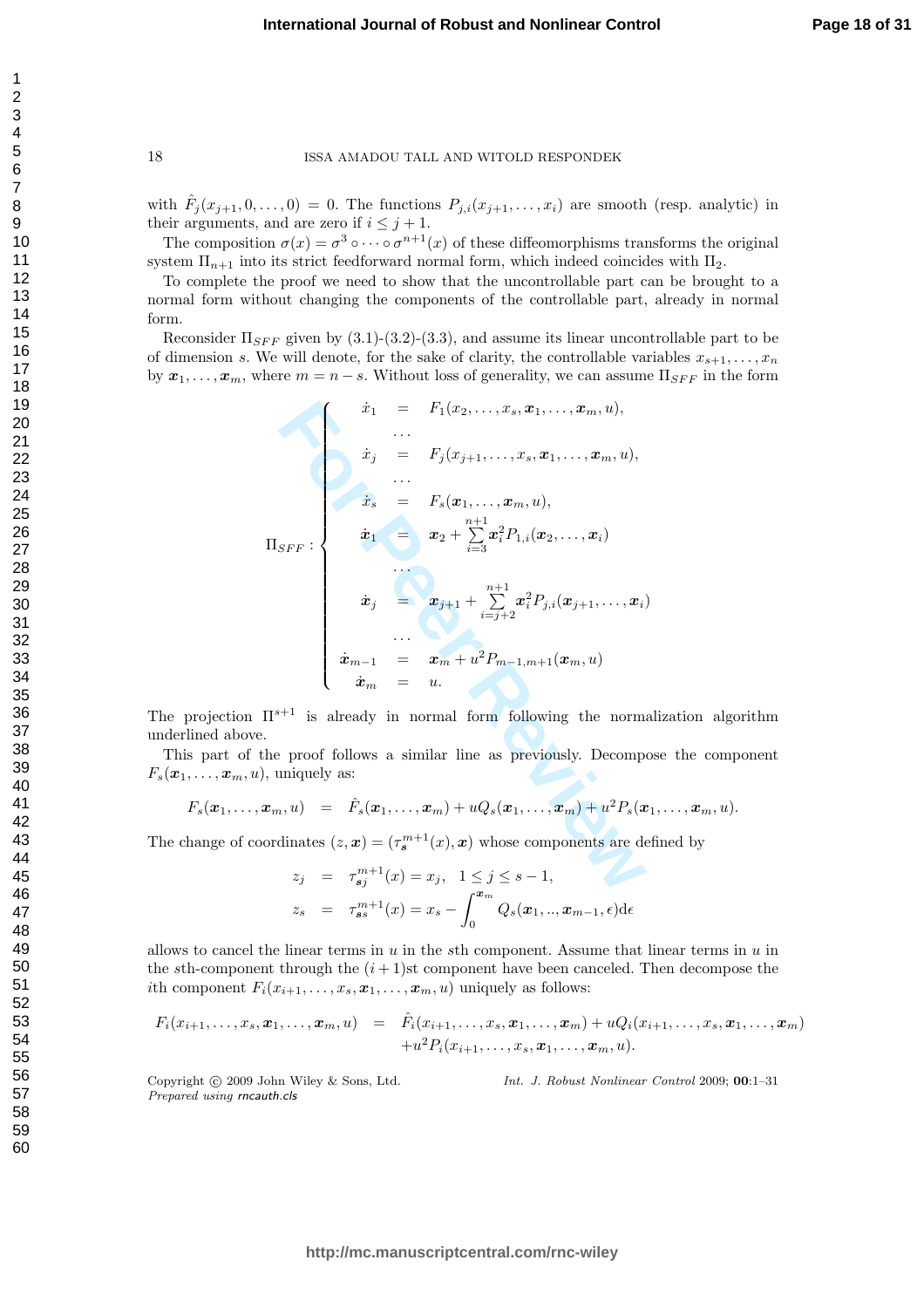with  $\hat{F}_j(x_{j+1},0,\ldots,0) = 0$ . The functions  $P_{j,i}(x_{j+1},\ldots,x_i)$  are smooth (resp. analytic) in their arguments, and are zero if  $i \leq j+1$ .

The composition  $\sigma(x) = \sigma^3 \circ \cdots \circ \sigma^{n+1}(x)$  of these diffeomorphisms transforms the original system  $\Pi_{n+1}$  into its strict feedforward normal form, which indeed coincides with  $\Pi_2$ .

To complete the proof we need to show that the uncontrollable part can be brought to a normal form without changing the components of the controllable part, already in normal form.

Reconsider  $\Pi_{SFF}$  given by (3.1)-(3.2)-(3.3), and assume its linear uncontrollable part to be of dimension s. We will denote, for the sake of clarity, the controllable variables  $x_{s+1}, \ldots, x_n$ by  $x_1, \ldots, x_m$ , where  $m = n - s$ . Without loss of generality, we can assume  $\Pi_{SFF}$  in the form

$$
\begin{array}{rcl}\n\dot{x}_1 &=& F_1(x_2, \ldots, x_s, x_1, \ldots, x_m, u), \\
& \ldots \\
\dot{x}_j &=& F_j(x_{j+1}, \ldots, x_s, x_1, \ldots, x_m, u), \\
& \ldots \\
\dot{x}_s &=& F_s(x_1, \ldots, x_m, u), \\
\text{If}_{SFF}: \quad \begin{aligned}\n\dot{x}_1 &=& x_2 + \sum_{i=3}^{n+1} x_i^2 P_{1,i}(x_2, \ldots, x_i) \\
& \ldots \\
\dot{x}_j &=& x_{j+1} + \sum_{i=j+2}^{n+1} x_i^2 P_{j,i}(x_{j+1}, \ldots, x_i) \\
& \ldots \\
\dot{x}_{m-1} &=& x_m + u^2 P_{m-1,m+1}(x_m, u) \\
& \dot{x}_m &=& u.\n\end{aligned}\n\end{array}
$$
\nIf <sup>s+1</sup> is already in normal form following the normal.\n
$$
\begin{aligned}\n\text{If } x_1 &=& x_1 + u^2 P_{m-1,m+1}(x_m, u) \\
\vdots & & \ldots \\
\text{If } x_{m-1} &=& x_m + u^2 P_{m-1,m+1}(x_m, u) \\
\vdots & & \ldots \\
\text{If } x_{m-1} &=& x_m + u^2 P_{m-1,m+1}(x_m, u) \\
\vdots & & \ldots \\
\text{If } x_{m-1} &=& x_m + u^2 P_{m-1,m+1}(x_m, u) \\
\vdots & & \ldots \\
\text{If } x_{m-1} &=& x_m + u^2 P_{m-1,m+1}(x_m, u) \\
\vdots & & \ldots \\
\text{If } x_{m-1} &=& x_m + u^2 P_{m-1,m+1}(x_m, u) \\
\vdots & & \ldots \\
\text{If } x_{m-1} &=& x_m + u^2 P_{m-1,m+1}(x_m, u) \\
\vdots & & \ldots \\
\text{If } x_{m-1} &=& x_m + u^2 P_{m-1,m+1}(x_m, u) \\
\vdots & & \ldots \\
\text
$$

The projection  $\Pi^{s+1}$  is already in normal form following the normalization algorithm underlined above.

This part of the proof follows a similar line as previously. Decompose the component  $F_s(\boldsymbol{x}_1,\ldots,\boldsymbol{x}_m,\boldsymbol{u}),$  uniquely as:

$$
F_s(\boldsymbol{x}_1,\ldots,\boldsymbol{x}_m,u) = \hat{F}_s(\boldsymbol{x}_1,\ldots,\boldsymbol{x}_m) + uQ_s(\boldsymbol{x}_1,\ldots,\boldsymbol{x}_m) + u^2 P_s(\boldsymbol{x}_1,\ldots,\boldsymbol{x}_m,u).
$$

The change of coordinates  $(z, x) = (\tau_s^{m+1}(x), x)$  whose components are defined by

$$
z_j = \tau_{sj}^{m+1}(x) = x_j, \quad 1 \le j \le s - 1,
$$
  

$$
z_s = \tau_{ss}^{m+1}(x) = x_s - \int_0^{x_m} Q_s(x_1, \dots, x_{m-1}, \epsilon) d\epsilon
$$

allows to cancel the linear terms in  $u$  in the sth component. Assume that linear terms in  $u$  in the sth-component through the  $(i + 1)$ st component have been canceled. Then decompose the ith component  $F_i(x_{i+1},\ldots,x_s,\boldsymbol{x}_1,\ldots,\boldsymbol{x}_m,\boldsymbol{u})$  uniquely as follows:

$$
F_i(x_{i+1},...,x_s, x_1,...,x_m, u) = \hat{F}_i(x_{i+1},...,x_s, x_1,...,x_m) + uQ_i(x_{i+1},...,x_s, x_1,...,x_m) +u^2P_i(x_{i+1},...,x_s, x_1,...,x_m, u).
$$

Copyright © 2009 John Wiley & Sons, Ltd. Prepared using rncauth.cls

Int. J. Robust Nonlinear Control 2009; 00:1–31

 $\mathbf{1}$  $\overline{2}$ 3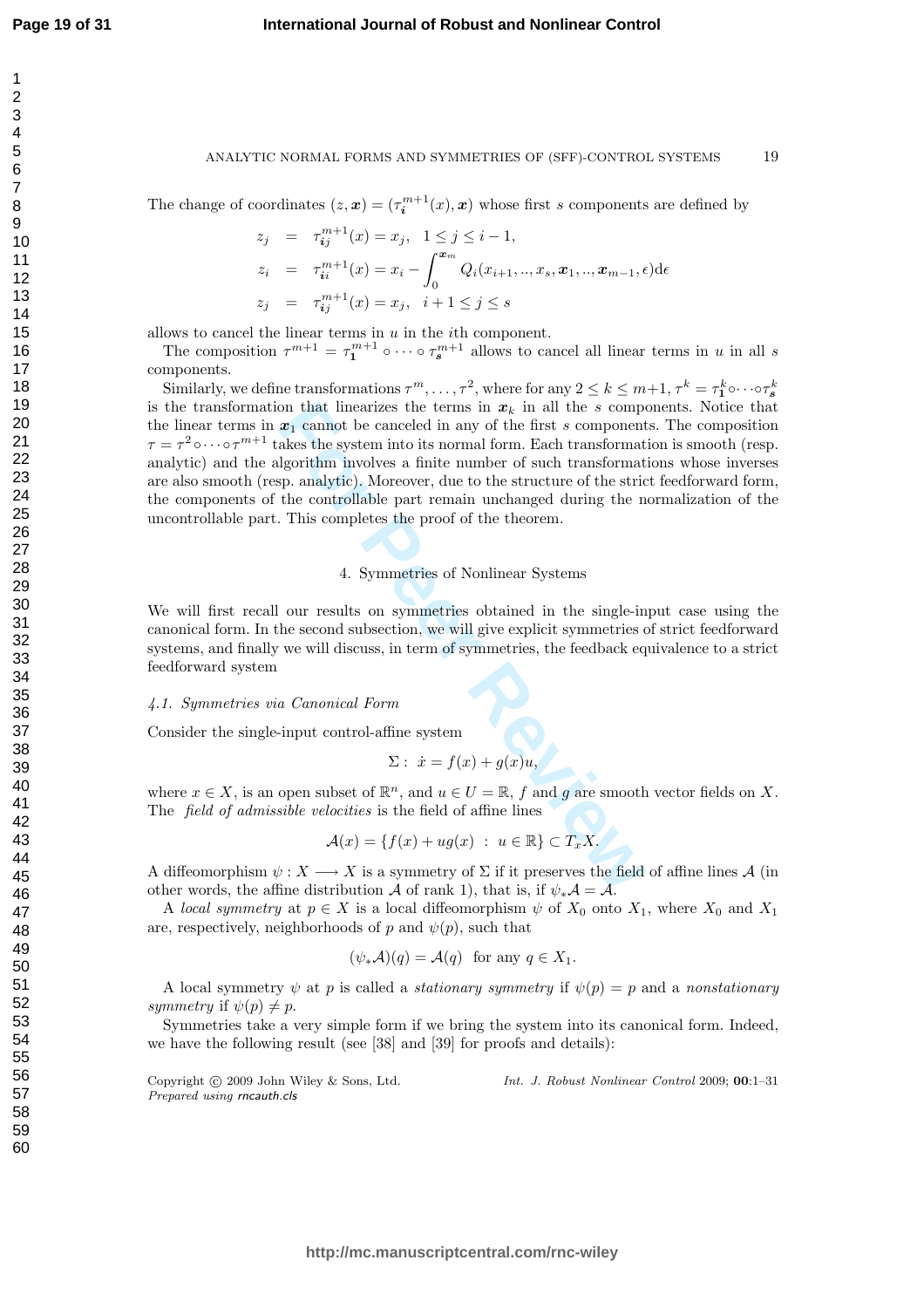$\overline{1}$  $\overline{2}$ 3  $\overline{4}$ 5 6  $\overline{7}$ 8 9

#### **International Journal of Robust and Nonlinear Control**

#### ANALYTIC NORMAL FORMS AND SYMMETRIES OF (SFF)-CONTROL SYSTEMS 19

The change of coordinates  $(z, x) = (\tau_i^{m+1}(x), x)$  whose first s components are defined by

$$
z_j = \tau_{ij}^{m+1}(x) = x_j, \quad 1 \le j \le i - 1,
$$
  
\n
$$
z_i = \tau_{ii}^{m+1}(x) = x_i - \int_0^{\mathbf{x}_m} Q_i(x_{i+1}, \dots, x_s, \mathbf{x}_1, \dots, \mathbf{x}_{m-1}, \epsilon) d\epsilon
$$
  
\n
$$
z_j = \tau_{ij}^{m+1}(x) = x_j, \quad i+1 \le j \le s
$$

allows to cancel the linear terms in  $u$  in the *i*th component.

The composition  $\tau^{m+1} = \tau_1^{m+1} \circ \cdots \circ \tau_s^{m+1}$  allows to cancel all linear terms in u in all s components.

on that linearizes the terms in  $x_k$  in all the *s* component<br>
are  $x_1$  cannot be canceled in any of the first *s* component<br>
also: the system into its normal form. Each transformat<br>
lgorithm involves a finite number of Similarly, we define transformations  $\tau^m, \ldots, \tau^2$ , where for any  $2 \leq k \leq m+1$ ,  $\tau^k = \tau_1^k \circ \cdots \circ \tau_s^k$ is the transformation that linearizes the terms in  $x_k$  in all the s components. Notice that the linear terms in  $x_1$  cannot be canceled in any of the first s components. The composition  $\tau = \tau^2 \circ \cdots \circ \tau^{m+1}$  takes the system into its normal form. Each transformation is smooth (resp. analytic) and the algorithm involves a finite number of such transformations whose inverses are also smooth (resp. analytic). Moreover, due to the structure of the strict feedforward form, the components of the controllable part remain unchanged during the normalization of the uncontrollable part. This completes the proof of the theorem.

#### 4. Symmetries of Nonlinear Systems

We will first recall our results on symmetries obtained in the single-input case using the canonical form. In the second subsection, we will give explicit symmetries of strict feedforward systems, and finally we will discuss, in term of symmetries, the feedback equivalence to a strict feedforward system

### 4.1. Symmetries via Canonical Form

Consider the single-input control-affine system

$$
\Sigma: \dot{x} = f(x) + g(x)u,
$$

where  $x \in X$ , is an open subset of  $\mathbb{R}^n$ , and  $u \in U = \mathbb{R}$ , f and g are smooth vector fields on X. The field of admissible velocities is the field of affine lines

$$
\mathcal{A}(x) = \{f(x) + ug(x) : u \in \mathbb{R}\} \subset T_x X.
$$

A diffeomorphism  $\psi: X \longrightarrow X$  is a symmetry of  $\Sigma$  if it preserves the field of affine lines A (in other words, the affine distribution A of rank 1), that is, if  $\psi_*\mathcal{A} = \overline{\mathcal{A}}$ .

A local symmetry at  $p \in X$  is a local diffeomorphism  $\psi$  of  $X_0$  onto  $X_1$ , where  $X_0$  and  $X_1$ are, respectively, neighborhoods of p and  $\psi(p)$ , such that

$$
(\psi_*\mathcal{A})(q) = \mathcal{A}(q)
$$
 for any  $q \in X_1$ .

A local symmetry  $\psi$  at p is called a *stationary symmetry* if  $\psi(p) = p$  and a nonstationary symmetry if  $\psi(p) \neq p$ .

Symmetries take a very simple form if we bring the system into its canonical form. Indeed, we have the following result (see [38] and [39] for proofs and details):

Copyright (c) 2009 John Wiley & Sons, Ltd. Prepared using rncauth.cls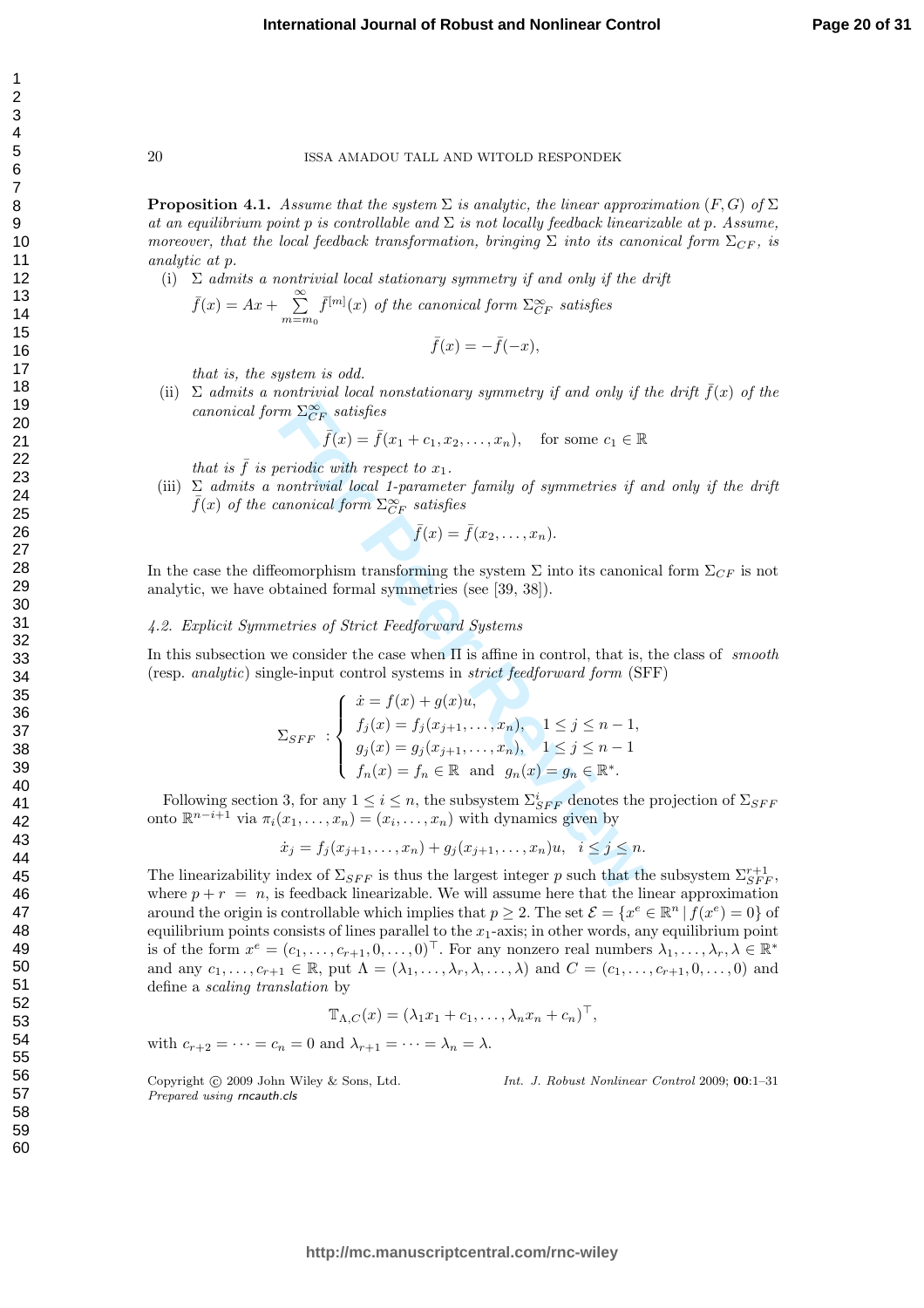**Proposition 4.1.** Assume that the system  $\Sigma$  is analytic, the linear approximation  $(F, G)$  of  $\Sigma$ at an equilibrium point p is controllable and  $\Sigma$  is not locally feedback linearizable at p. Assume, moreover, that the local feedback transformation, bringing  $\Sigma$  into its canonical form  $\Sigma_{CF}$ , is analytic at p .

(i)  $\Sigma$  admits a nontrivial local stationary symmetry if and only if the drift  $\bar{f}(x) = Ax + \sum_{m=m_0}^{\infty} \bar{f}^{[m]}(x)$  of the canonical form  $\Sigma_{CF}^{\infty}$  satisfies

$$
\bar{f}(x) = -\bar{f}(-x),
$$

that is, the system is odd.

(ii)  $\Sigma$  admits a nontrivial local nonstationary symmetry if and only if the drift  $\bar{f}(x)$  of the canonical form  $\Sigma_{CF}^{\infty}$  satisfies

$$
\bar{f}(x) = \bar{f}(x_1 + c_1, x_2, \dots, x_n), \quad \text{for some } c_1 \in \mathbb{R}
$$

that is  $\bar{f}$  is periodic with respect to  $x_1$ .

(iii)  $\Sigma$  admits a nontrivial local 1-parameter family of symmetries if and only if the drift  $\bar{f}(x)$  of the canonical form  $\Sigma_{CF}^{\infty}$  satisfies

$$
\bar{f}(x) = \bar{f}(x_2, \ldots, x_n).
$$

In the case the diffeomorphism transforming the system  $\Sigma$  into its canonical form  $\Sigma_{CF}$  is not analytic, we have obtained formal symmetries (see [39, 38]).

#### 4.2. Explicit Symmetries of Strict Feedforward Systems

In this subsection we consider the case when  $\Pi$  is affine in control, that is, the class of smooth (resp. analytic) single-input control systems in strict feedforward form (SFF)

$$
m \sum_{CF} Satisfies
$$
\n
$$
\bar{f}(x) = \bar{f}(x_1 + c_1, x_2, \dots, x_n), \quad \text{for some } c_1 \in \mathbb{R}
$$
\n
$$
periodic with respect to x_1.
$$
\n
$$
nontrivial local 1-parameter family of symmetries if a canonical form  $\sum_{CF}^{\infty} satisfies$
$$
\n
$$
\bar{f}(x) = \bar{f}(x_2, \dots, x_n).
$$
\n
$$
\text{eomorphism transforming the system } \Sigma \text{ into its canonical}
$$
\n
$$
functional symmetries (see [39, 38]).
$$
\n
$$
\text{uettries of Strict Feedforward Systems}
$$
\n
$$
\text{we consider the case when } \Pi \text{ is affine in control, that is,}
$$
\n
$$
\text{gle-input control systems in strict feedforward form (SI)
$$
\n
$$
\sum_{SFF} : \begin{cases}\n\dot{x} = f(x) + g(x)u, \\
f_j(x) = f_j(x_{j+1}, \dots, x_n), \\
g_j(x) = g_j(x_{j+1}, \dots, x_n), \\
1 \leq j \leq n - 1, \\
g_j(x) = g_j(x_{j+1}, \dots, x_n), \\
1 \leq j \leq n - 1\n\end{cases}
$$
\n
$$
S, \text{for any } 1 \leq i \leq n, \text{ the subsystem } \sum_{SFF}^{i} \text{ denotes the}
$$
\n
$$
(x_1, \dots, x_n) = (x_i, \dots, x_n) \text{ with dynamics given by}
$$
\n
$$
\dot{x}_j = f_j(x_{j+1}, \dots, x_n) + g_j(x_{j+1}, \dots, x_n)u, \quad i \leq j \leq n.
$$
\n
$$
\text{index of } \sum_{SFF} \text{ is thus the largest integer } p \text{ such that the}
$$
\n
$$
\text{in } \mathbb{R} \text{ is folback linearizable. We will assume here that the}
$$

Following section 3, for any  $1 \leq i \leq n$ , the subsystem  $\Sigma_{SFF}^i$  denotes the projection of  $\Sigma_{SFF}$ onto  $\mathbb{R}^{n-i+1}$  via  $\pi_i(x_1,\ldots,x_n) = (x_i,\ldots,x_n)$  with dynamics given by

$$
\dot{x}_j = f_j(x_{j+1}, \dots, x_n) + g_j(x_{j+1}, \dots, x_n)u, \quad i \le j \le n.
$$

The linearizability index of  $\Sigma_{SFF}$  is thus the largest integer p such that the subsystem  $\Sigma_{SFF}^{r+1}$ , where  $p + r = n$ , is feedback linearizable. We will assume here that the linear approximation around the origin is controllable which implies that  $p \geq 2$ . The set  $\mathcal{E} = \{x^e \in \mathbb{R}^n \mid f(x^e) = 0\}$  of equilibrium points consists of lines parallel to the  $x_1$ -axis; in other words, any equilibrium point is of the form  $x^e = (c_1, \ldots, c_{r+1}, 0, \ldots, 0)^\top$ . For any nonzero real numbers  $\lambda_1, \ldots, \lambda_r, \lambda \in \mathbb{R}^*$ and any  $c_1, \ldots, c_{r+1} \in \mathbb{R}$ , put  $\Lambda = (\lambda_1, \ldots, \lambda_r, \lambda, \ldots, \lambda)$  and  $C = (c_1, \ldots, c_{r+1}, 0, \ldots, 0)$  and define a scaling translation by

$$
\mathbb{T}_{\Lambda,C}(x) = (\lambda_1 x_1 + c_1, \ldots, \lambda_n x_n + c_n)^\top,
$$

with  $c_{r+2} = \cdots = c_n = 0$  and  $\lambda_{r+1} = \cdots = \lambda_n = \lambda$ .

Copyright (c) 2009 John Wiley & Sons, Ltd. Prepared using rncauth.cls

Int. J. Robust Nonlinear Control 2009; 00:1–31

123456789

 $\mathbf{1}$  $\overline{2}$ 3  $\overline{4}$ 5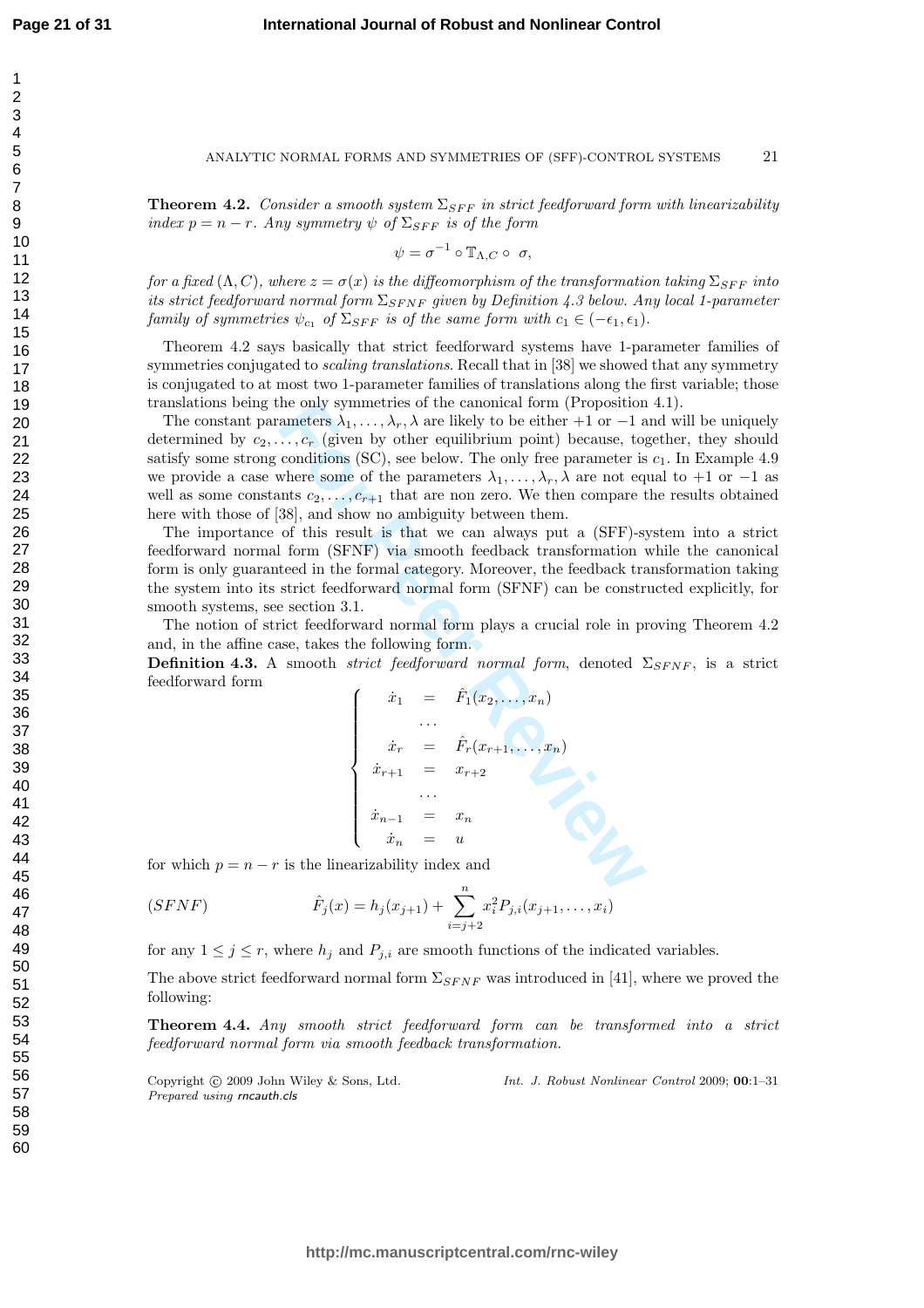$\overline{1}$  $\overline{2}$ 3  $\overline{4}$ 5 6  $\overline{7}$ 8 9

#### ANALYTIC NORMAL FORMS AND SYMMETRIES OF (SFF)-CONTROL SYSTEMS 21

**Theorem 4.2.** Consider a smooth system  $\Sigma_{SFF}$  in strict feedforward form with linearizability index  $p = n - r$ . Any symmetry  $\psi$  of  $\Sigma_{SFF}$  is of the form

$$
\psi = \sigma^{-1} \circ \mathbb{T}_{\Lambda, C} \circ \sigma,
$$

for a fixed  $(\Lambda, C)$ , where  $z = \sigma(x)$  is the diffeomorphism of the transformation taking  $\Sigma_{SFF}$  into its strict feedforward normal form  $\Sigma_{SFNF}$  given by Definition 4.3 below. Any local 1-parameter family of symmetries  $\psi_{c_1}$  of  $\Sigma_{SFF}$  is of the same form with  $c_1 \in (-\epsilon_1, \epsilon_1)$ .

Theorem 4.2 says basically that strict feedforward systems have 1-parameter families of symmetries conjugated to *scaling translations*. Recall that in [38] we showed that any symmetry is conjugated to at most two 1-parameter families of translations along the first variable; those translations being the only symmetries of the canonical form (Proposition 4.1).

he only symmetries of the canonical torm (Proposition<br>
an-ters  $\lambda_1, ..., \lambda_r$ ,  $\lambda_r$ , dere likely to be either +1 or -1 a<br>  $\ldots, c_r$  (given by other equilibrium point) because, to<br>
conditions (SC), see below. The only free pa The constant parameters  $\lambda_1, \ldots, \lambda_r, \lambda$  are likely to be either +1 or -1 and will be uniquely determined by  $c_2, \ldots, c_r$  (given by other equilibrium point) because, together, they should satisfy some strong conditions (SC), see below. The only free parameter is  $c_1$ . In Example 4.9 we provide a case where some of the parameters  $\lambda_1, \ldots, \lambda_r, \lambda$  are not equal to +1 or -1 as well as some constants  $c_2, \ldots, c_{r+1}$  that are non zero. We then compare the results obtained here with those of [38], and show no ambiguity between them.

The importance of this result is that we can always put a (SFF)-system into a strict feedforward normal form (SFNF) via smooth feedback transformation while the canonical form is only guaranteed in the formal category. Moreover, the feedback transformation taking the system into its strict feedforward normal form (SFNF) can be constructed explicitly, for smooth systems, see section 3.1.

The notion of strict feedforward normal form plays a crucial role in proving Theorem 4.2 and, in the affine case, takes the following form.

**Definition 4.3.** A smooth *strict feedforward normal form*, denoted  $\Sigma_{SFNF}$ , is a strict feedforward form

$$
\begin{cases}\n\dot{x}_1 = \hat{F}_1(x_2, \dots, x_n) \\
\vdots \\
\dot{x}_r = \hat{F}_r(x_{r+1}, \dots, x_n) \\
\dot{x}_{r+1} = x_{r+2} \\
\vdots \\
\dot{x}_{n-1} = x_n \\
\dot{x}_n = u\n\end{cases}
$$

for which  $p = n - r$  is the linearizability index and

$$
(SFNF) \qquad \qquad \hat{F}_j(x) = h_j(x_{j+1}) + \sum_{i=j+2}^n x_i^2 P_{j,i}(x_{j+1},\ldots,x_i)
$$

for any  $1 \leq j \leq r$ , where  $h_j$  and  $P_{j,i}$  are smooth functions of the indicated variables.

The above strict feedforward normal form  $\Sigma_{SFNF}$  was introduced in [41], where we proved the following:

Theorem 4.4. Any smooth strict feedforward form can be transformed into a strict feedforward normal form via smooth feedback transformation.

Copyright (c) 2009 John Wiley & Sons, Ltd. Prepared using rncauth.cls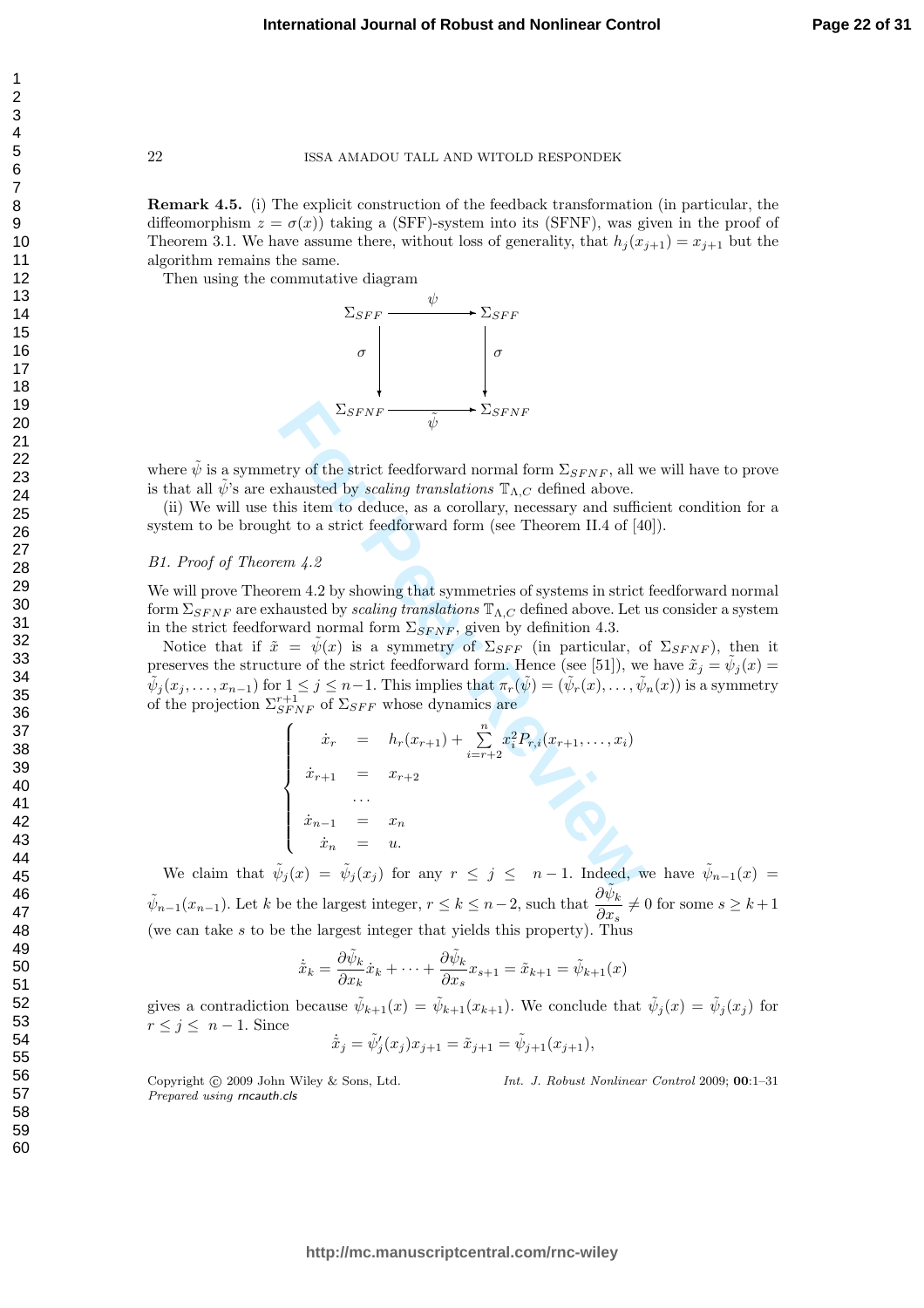Remark 4.5. (i) The explicit construction of the feedback transformation (in particular, the diffeomorphism  $z = \sigma(x)$ ) taking a (SFF)-system into its (SFNF), was given in the proof of Theorem 3.1. We have assume there, without loss of generality, that  $h_j(x_{j+1}) = x_{j+1}$  but the algorithm remains the same.

Then using the commutative diagram



where  $\tilde{\psi}$  is a symmetry of the strict feedforward normal form  $\Sigma_{SFNF}$ , all we will have to prove is that all  $\tilde{\psi}$ 's are exhausted by *scaling translations*  $\mathbb{T}_{\Lambda,C}$  defined above.

(ii) We will use this item to deduce, as a corollary, necessary and sufficient condition for a system to be brought to a strict feedforward form (see Theorem II.4 of [40]).

#### B1. Proof of Theorem 4.2

We will prove Theorem 4.2 by showing that symmetries of systems in strict feedforward normal form  $\Sigma_{SFNF}$  are exhausted by *scaling translations*  $\mathbb{T}_{\Lambda,C}$  defined above. Let us consider a system in the strict feedforward normal form  $\Sigma_{SFRF}$ , given by definition 4.3.

Notice that if  $\tilde{x} = \tilde{\psi}(x)$  is a symmetry of  $\Sigma_{SFF}$  (in particular, of  $\Sigma_{SFNF}$ ), then it preserves the structure of the strict feedforward form. Hence (see [51]), we have  $\tilde{x}_j = \tilde{\psi}_j(x) =$  $\tilde{\psi}_j(x_j,\ldots,x_{n-1})$  for  $1\leq j\leq n-1$ . This implies that  $\pi_r(\tilde{\psi})=(\tilde{\psi}_r(x),\ldots,\tilde{\psi}_n(x))$  is a symmetry

$$
\Sigma_{SPNF} \longrightarrow \Sigma_{SPNF}
$$
  
\nwhere  $\tilde{\psi}$  is a symmetry of the strict feedforward normal form  $\Sigma_{SPNF}$ , all w  
\nis that all  $\tilde{\psi}$ 's are exhausted by scaling translations  $\mathbb{T}_{\Lambda,C}$  defined above.  
\n(ii) We will use this item to deduce, as a corollary, necessary and suffice  
\nsystem to be brought to a strict feedforward form (see Theorem II.4 of [4  
\n*B1. Proof of Theorem 4.2*  
\nWe will prove Theorem 4.2 by showing that symmetries of systems in strict  
\nform  $\Sigma_{SPNF}$  are exhausted by scaling translations  $\mathbb{T}_{\Lambda,C}$  defined above. Let u  
\nin the strict feedforward normal form  $\Sigma_{SPNF}$ , given by definition 4.3.  
\nNotice that if  $\tilde{x} = \tilde{\psi}(x)$  is a symmetry of  $\Sigma_{SFF}$  (in particular, o  
\npreserves the structure of the strict feedforward form. Hence (see [51]), we  
\n $\tilde{\psi}_j(x_j,...,x_{n-1})$  for  $1 \le j \le n-1$ . This implies that  $\pi_r(\tilde{\psi}) = (\tilde{\psi}_r(x), ..., \tilde{\psi}_r(\tilde{\psi}_r(x_j),..., \tilde{\psi}_r(x_{n-1}))$   
\nof the projection  $\Sigma_{SPNF}^{r+1}$  of  $\Sigma_{SFF}$  whose dynamics are  
\n
$$
\begin{cases}\n\dot{x}_r = h_r(x_{r+1}) + \sum_{i=r+2}^n x_i^2 P_{r,i}(x_{r+1},...,x_i) \\
\dot{x}_{r+1} = x_{r+2} \\
\vdots \\
\dot{x}_{n-1} = x_n \\
\dot{x}_n = u.\n\end{cases}
$$
\nWe claim that  $\tilde{\psi}_j(x) = \tilde{\psi}_j(x_j)$  for any  $r \le j \le n-1$ . Indeed, w

We claim that  $\tilde{\psi}_j(x) = \tilde{\psi}_j(x_j)$  for any  $r \leq j \leq n-1$ . Indeed, we have  $\tilde{\psi}_{n-1}(x) =$  $\tilde{\psi}_{n-1}(x_{n-1})$ . Let k be the largest integer,  $r \leq k \leq n-2$ , such that  $\frac{\partial \tilde{\psi}_k}{\partial x_{n-1}}$  $\frac{\partial \varphi_k}{\partial x_s} \neq 0$  for some  $s \geq k+1$ (we can take s to be the largest integer that yields this property). Thus

$$
\dot{\tilde{x}}_k = \frac{\partial \tilde{\psi}_k}{\partial x_k} \dot{x}_k + \dots + \frac{\partial \tilde{\psi}_k}{\partial x_s} x_{s+1} = \tilde{x}_{k+1} = \tilde{\psi}_{k+1}(x)
$$

gives a contradiction because  $\tilde{\psi}_{k+1}(x) = \tilde{\psi}_{k+1}(x_{k+1})$ . We conclude that  $\tilde{\psi}_j(x) = \tilde{\psi}_j(x_j)$  for  $r \leq j \leq n-1$ . Since

$$
\dot{\tilde{x}}_j = \tilde{\psi}'_j(x_j)x_{j+1} = \tilde{x}_{j+1} = \tilde{\psi}_{j+1}(x_{j+1}),
$$

Copyright  $\circled{c}$  2009 John Wiley & Sons, Ltd. Prepared using rncauth.cls

Int. J. Robust Nonlinear Control 2009; 00:1–31

 $\overline{1}$  $\overline{2}$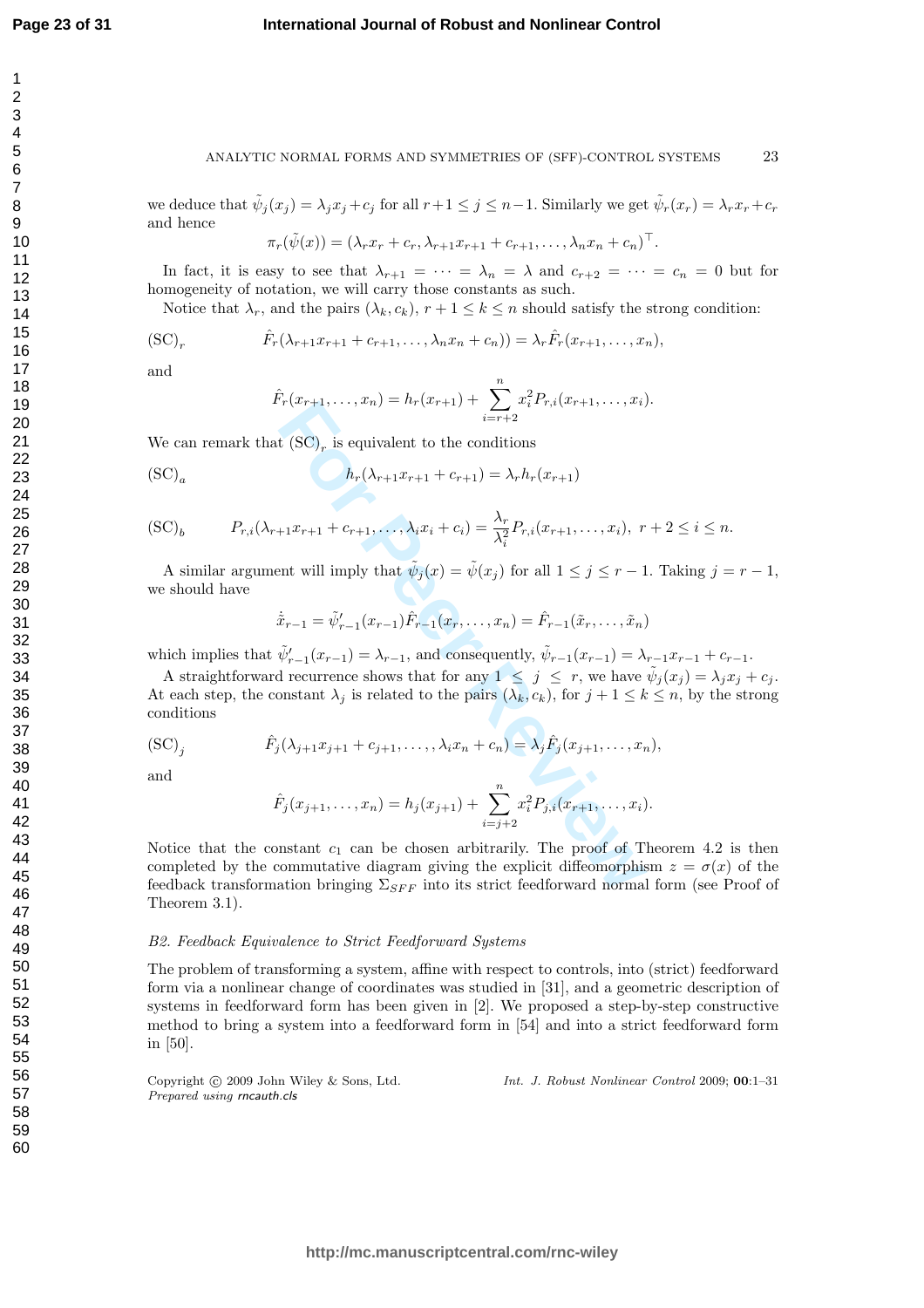**Page 23 of 31**

#### **International Journal of Robust and Nonlinear Control**

#### ANALYTIC NORMAL FORMS AND SYMMETRIES OF (SFF)-CONTROL SYSTEMS 23

we deduce that  $\tilde{\psi}_j(x_j) = \lambda_j x_j + c_j$  for all  $r+1 \leq j \leq n-1$ . Similarly we get  $\tilde{\psi}_r(x_r) = \lambda_r x_r + c_r$ and hence

$$
\pi_r(\tilde{\psi}(x)) = (\lambda_r x_r + c_r, \lambda_{r+1} x_{r+1} + c_{r+1}, \dots, \lambda_n x_n + c_n)^\top.
$$

In fact, it is easy to see that  $\lambda_{r+1} = \cdots = \lambda_n = \lambda$  and  $c_{r+2} = \cdots = c_n = 0$  but for homogeneity of notation, we will carry those constants as such.

Notice that  $\lambda_r$ , and the pairs  $(\lambda_k, c_k)$ ,  $r + 1 \leq k \leq n$  should satisfy the strong condition:

$$
(\text{SC})_r \qquad \hat{F}_r(\lambda_{r+1}x_{r+1} + c_{r+1}, \dots, \lambda_n x_n + c_n)) = \lambda_r \hat{F}_r(x_{r+1}, \dots, x_n),
$$

and

$$
\hat{F}_r(x_{r+1},\ldots,x_n) = h_r(x_{r+1}) + \sum_{i=r+2}^n x_i^2 P_{r,i}(x_{r+1},\ldots,x_i).
$$

We can remark that  $(\mathrm{SC})_r$  is equivalent to the conditions

$$
(\text{SC})_a \qquad \qquad h_r(\lambda_{r+1}x_{r+1} + c_{r+1}) = \lambda_r h_r(x_{r+1})
$$

$$
(\text{SC})_b \qquad P_{r,i}(\lambda_{r+1}x_{r+1} + c_{r+1}, \dots, \lambda_i x_i + c_i) = \frac{\lambda_r}{\lambda_i^2} P_{r,i}(x_{r+1}, \dots, x_i), \ r+2 \le i \le n.
$$

A similar argument will imply that  $\tilde{\psi}_j(x) = \tilde{\psi}(x_j)$  for all  $1 \leq j \leq r-1$ . Taking  $j = r-1$ , we should have

$$
\dot{\tilde{x}}_{r-1} = \tilde{\psi}'_{r-1}(x_{r-1})\hat{F}_{r-1}(x_r,\ldots,x_n) = \hat{F}_{r-1}(\tilde{x}_r,\ldots,\tilde{x}_n)
$$

which implies that  $\tilde{\psi}'_{r-1}(x_{r-1}) = \lambda_{r-1}$ , and consequently,  $\tilde{\psi}_{r-1}(x_{r-1}) = \lambda_{r-1}x_{r-1} + c_{r-1}$ .

A straightforward recurrence shows that for any  $1 \leq j \leq r$ , we have  $\tilde{\psi}_j(x_j) = \lambda_j x_j + c_j$ . At each step, the constant  $\lambda_j$  is related to the pairs  $(\lambda_k, c_k)$ , for  $j + 1 \leq k \leq n$ , by the strong conditions

$$
(\text{SC})_j \qquad \hat{F}_j(\lambda_{j+1}x_{j+1}+c_{j+1},\ldots,\lambda_i x_n+c_n) = \lambda_j \hat{F}_j(x_{j+1},\ldots,x_n),
$$
 and

and

$$
\hat{F}_j(x_{j+1},\ldots,x_n) = h_j(x_{j+1}) + \sum_{i=j+2}^n x_i^2 P_{j,i}(x_{r+1},\ldots,x_i).
$$

 $r(x_{r+1},...,x_n) = u_r(x_{r+1}) + \sum_{i=r+2} x_i x_{r,i}(x_{r+1},...,x_i)$ <br> **f** (SC)<sub>r</sub> is equivalent to the conditions<br>  $h_r(\lambda_{r+1}x_{r+1} + c_{r+1}) = \lambda_r h_r(x_{r+1})$ <br>  $+1x_{r+1} + c_{r+1},..., \lambda_i x_i + c_i) = \frac{\lambda_r}{\lambda_i^2} P_{r,i}(x_{r+1},...,x_i), r$ <br>
ant will imply that  $\tilde{\psi}_j(x)$ Notice that the constant  $c_1$  can be chosen arbitrarily. The proof of Theorem 4.2 is then completed by the commutative diagram giving the explicit diffeomorphism  $z = \sigma(x)$  of the feedback transformation bringing  $\Sigma_{SFF}$  into its strict feedforward normal form (see Proof of Theorem 3.1).

#### B2. Feedback Equivalence to Strict Feedforward Systems

The problem of transforming a system, affine with respect to controls, into (strict) feedforward form via a nonlinear change of coordinates was studied in [31], and a geometric description of systems in feedforward form has been given in [2]. We proposed a step-by-step constructive method to bring a system into a feedforward form in [54] and into a strict feedforward form in [50].

Copyright © 2009 John Wiley & Sons, Ltd. Prepared using rncauth.cls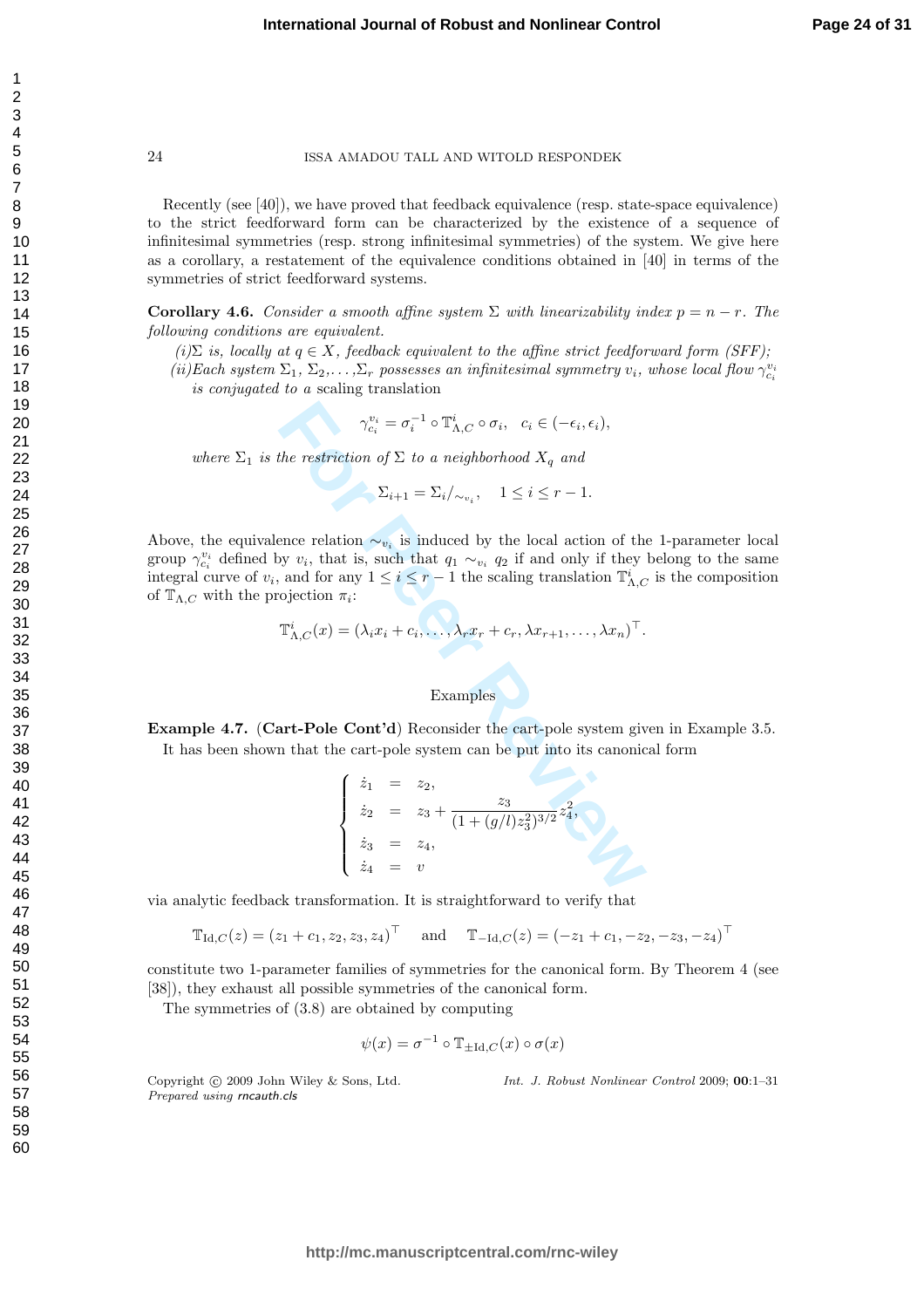Recently (see [40]), we have proved that feedback equivalence (resp. state-space equivalence) to the strict feedforward form can be characterized by the existence of a sequence of infinitesimal symmetries (resp. strong infinitesimal symmetries) of the system. We give here as a corollary, a restatement of the equivalence conditions obtained in [40] in terms of the symmetries of strict feedforward systems.

**Corollary 4.6.** Consider a smooth affine system  $\Sigma$  with linearizability index  $p = n - r$ . The following conditions are equivalent.

(i)  $\Sigma$  is, locally at  $q \in X$ , feedback equivalent to the affine strict feedforward form (SFF);

(ii)Each system  $\Sigma_1, \Sigma_2, \ldots, \Sigma_r$  possesses an infinitesimal symmetry  $v_i$ , whose local flow  $\gamma_{c_i}^{v_i}$ is conjugated to a scaling translation

$$
\gamma_{c_i}^{v_i} = \sigma_i^{-1} \circ \mathbb{T}_{\Lambda,C}^i \circ \sigma_i, \quad c_i \in (-\epsilon_i, \epsilon_i),
$$

where  $\Sigma_1$  is the restriction of  $\Sigma$  to a neighborhood  $X_q$  and

$$
\sum_{i+1} \sum_{i} \lambda_{\infty} \lambda_{\infty} \, , \quad 1 \leq i \leq r-1.
$$

Above, the equivalence relation  $\sim_{v_i}$  is induced by the local action of the 1-parameter local group  $\gamma_{c_i}^{v_i}$  defined by  $v_i$ , that is, such that  $q_1 \sim_{v_i} q_2$  if and only if they belong to the same integral curve of  $v_i$ , and for any  $1 \le i \le r-1$  the scaling translation  $\mathbb{T}_{\Lambda,C}^i$  is the composition of  $\mathbb{T}_{\Lambda,C}$  with the projection  $\pi_i$ :

$$
\mathbb{T}_{\Lambda,C}^i(x) = (\lambda_i x_i + c_i, \ldots, \lambda_r x_r + c_r, \lambda x_{r+1}, \ldots, \lambda x_n)^\top.
$$

#### Examples

**Example 4.7.** (Cart-Pole Cont'd) Reconsider the cart-pole system given in Example 3.5. It has been shown that the cart-pole system can be put into its canonical form

$$
\gamma_{ci}^{v_i} = \sigma_i^{-1} \circ \mathbb{T}_{\Lambda,C}^i \circ \sigma_i, \quad c_i \in (-\epsilon_i, \epsilon_i),
$$
  
\nthe restriction of  $\Sigma$  to a neighborhood  $X_q$  and  
\n
$$
\Sigma_{i+1} = \Sigma_i / \sim_{v_i}, \quad 1 \leq i \leq r - 1.
$$
  
\nence relation  $\sim_{v_i}$  is induced by the local action of the  
\nby  $v_i$ , that is, such that  $q_1 \sim_{v_i} q_2$  if and only if they  
\nand for any  $1 \leq i \leq r - 1$  the scaling translation  $\mathbb{T}_{\Lambda,C}^i$   
\nojection  $\pi_i$ :  
\n $\mathbb{T}_{\Lambda,C}^i(x) = (\lambda_i x_i + c_i, \dots, \lambda_r x_r + c_r, \lambda x_{r+1}, \dots, \lambda x_n)^\top$ .  
\nExamples  
\n $\text{art-Pole Cont'd} \text{ Reconsider the cart-pole system give\nin that the cart-pole system can be put into its canonical\n
$$
\begin{cases}\n\dot{z}_1 = z_2, \\
\dot{z}_2 = z_3 + \frac{z_3}{(1 + (g/l)z_3^2)^{3/2}}z_4^2, \\
\dot{z}_3 = z_4, \\
\dot{z}_4 = v\n\end{cases}
$$$ 

via analytic feedback transformation. It is straightforward to verify that

$$
\mathbb{T}_{\mathrm{Id},C}(z) = (z_1 + c_1, z_2, z_3, z_4)^\top
$$
 and  $\mathbb{T}_{-\mathrm{Id},C}(z) = (-z_1 + c_1, -z_2, -z_3, -z_4)^\top$ 

constitute two 1-parameter families of symmetries for the canonical form. By Theorem 4 (see [38]), they exhaust all possible symmetries of the canonical form.

The symmetries of (3.8) are obtained by computing

$$
\psi(x) = \sigma^{-1} \circ \mathbb{T}_{\pm \mathrm{Id}, C}(x) \circ \sigma(x)
$$

Copyright (c) 2009 John Wiley & Sons, Ltd. Prepared using rncauth.cls

Int. J. Robust Nonlinear Control 2009; 00:1–31

123456789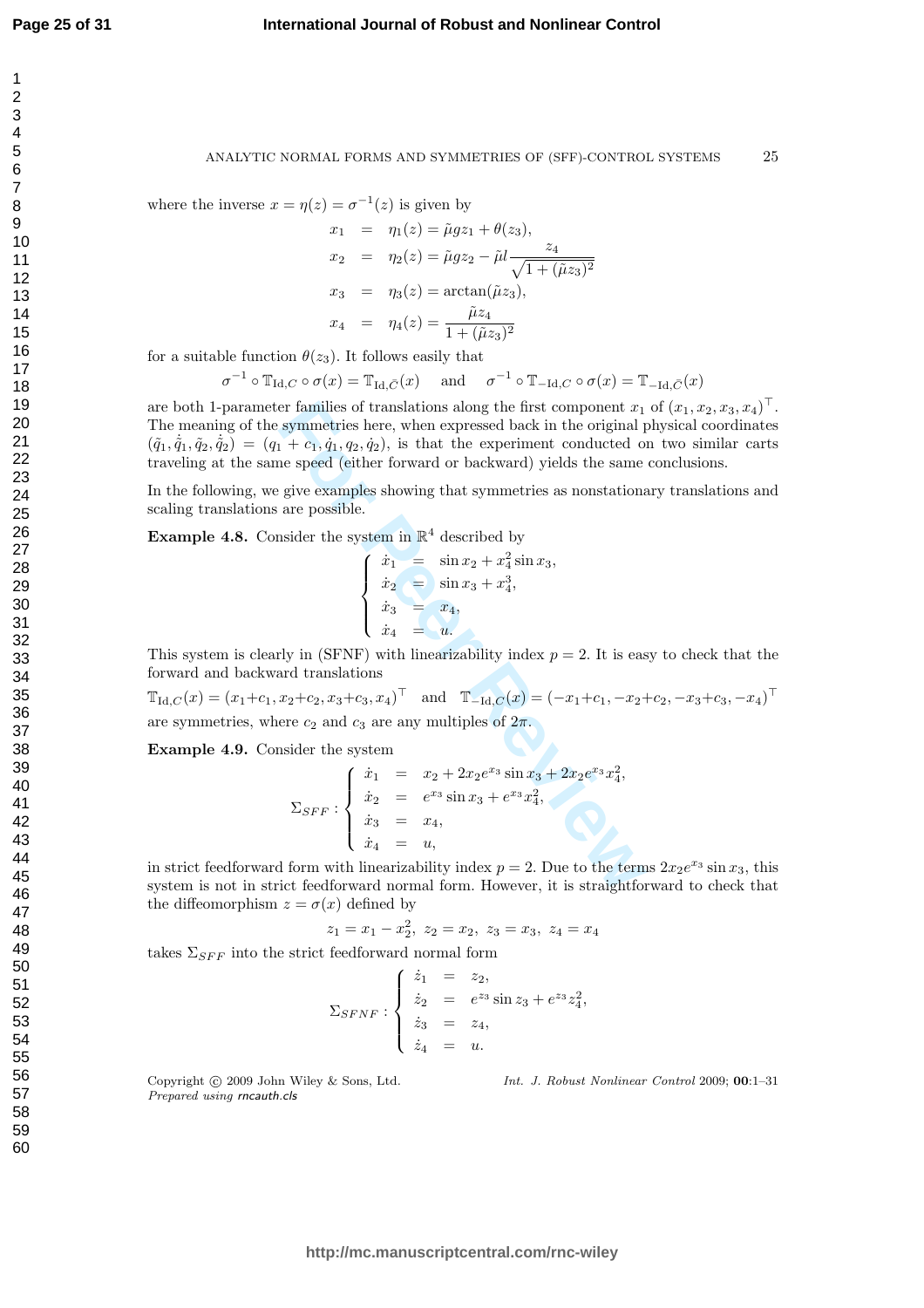$\overline{1}$  $\overline{2}$ 3  $\overline{4}$ 5 6  $\overline{7}$ 8 9

#### ANALYTIC NORMAL FORMS AND SYMMETRIES OF (SFF)-CONTROL SYSTEMS 25

where the inverse  $x = \eta(z) = \sigma^{-1}(z)$  is given by

$$
x_1 = \eta_1(z) = \tilde{\mu}gz_1 + \theta(z_3),
$$
  
\n
$$
x_2 = \eta_2(z) = \tilde{\mu}gz_2 - \tilde{\mu}l \frac{z_4}{\sqrt{1 + (\tilde{\mu}z_3)^2}}
$$
  
\n
$$
x_3 = \eta_3(z) = \arctan(\tilde{\mu}z_3),
$$
  
\n
$$
x_4 = \eta_4(z) = \frac{\tilde{\mu}z_4}{1 + (\tilde{\mu}z_3)^2}
$$

for a suitable function  $\theta(z_3)$ . It follows easily that

$$
\sigma^{-1} \circ \mathbb{T}_{\mathrm{Id},C} \circ \sigma(x) = \mathbb{T}_{\mathrm{Id},\bar{C}}(x) \quad \text{ and } \quad \sigma^{-1} \circ \mathbb{T}_{-\mathrm{Id},C} \circ \sigma(x) = \mathbb{T}_{-\mathrm{Id},\bar{C}}(x)
$$

are both 1-parameter families of translations along the first component  $x_1$  of  $(x_1, x_2, x_3, x_4)^\top$ . The meaning of the symmetries here, when expressed back in the original physical coordinates  $(\tilde{q}_1, \dot{\tilde{q}}_1, \tilde{q}_2, \dot{\tilde{q}}_2) = (q_1 + c_1, \dot{q}_1, q_2, \dot{q}_2)$ , is that the experiment conducted on two similar carts traveling at the same speed (either forward or backward) yields the same conclusions.

In the following, we give examples showing that symmetries as nonstationary translations and scaling translations are possible.

,

**Example 4.8.** Consider the system in  $\mathbb{R}^4$  described by

$$
\begin{cases}\n\dot{x}_1 = \sin x_2 + x_4^2 \sin x_3 \\
\dot{x}_2 = \sin x_3 + x_4^3, \\
\dot{x}_3 = x_4, \\
\dot{x}_4 = u.\n\end{cases}
$$

This system is clearly in  $(SFNF)$  with linearizability index  $p = 2$ . It is easy to check that the forward and backward translations

 $\mathbb{T}_{\text{Id},C}(x) = (x_1+c_1, x_2+c_2, x_3+c_3, x_4)^\top$  and  $\mathbb{T}_{-\text{Id},C}(x) = (-x_1+c_1, -x_2+c_2, -x_3+c_3, -x_4)^\top$ are symmetries, where  $c_2$  and  $c_3$  are any multiples of  $2\pi$ .

Example 4.9. Consider the system

er families of translations along the first component 
$$
x_1
$$
  
symmetries here, when expressed back in the original I  
 $1 + c_1, \dot{q}_1, q_2, \dot{q}_2)$ , is that the experiment conducted on  
ne speed (either forward or backward) yields the same  
give examples showing that symmetries as nonstationa  
are possible.  
hsider the system in  $\mathbb{R}^4$  described by  

$$
\begin{cases}\n\dot{x}_1 = \sin x_2 + x_4^2 \sin x_3, \\
\dot{x}_2 = \sin x_3 + x_4^3, \\
\dot{x}_3 = x_4, \\
\dot{x}_4 = u.\n\end{cases}
$$
  $\therefore$   $x_2 + c_2, x_3 + c_3, x_4$ <sup>T and T<sub>-Id,C</sub>(x) =  $(-x_1+c_1, -x_2$ -  
ere  $c_2$  and  $c_3$  are any multiples of  $2\pi$ .  
hsider the system  

$$
\begin{cases}\n\dot{x}_1 = x_2 + 2x_2e^{x_3} \sin x_3 + 2x_2e^{x_3}x_4^2, \\
\dot{x}_2 = e^{x_3} \sin x_3 + e^{x_3}x_4^2, \\
\dot{x}_3 = x_4, \\
\dot{x}_4 = u,\n\end{cases}
$$
  
form with linearizability index  $p = 2$ . Due to the term  
ict feedforward normal form. However, it is straightforward</sup>

in strict feedforward form with linearizability index  $p = 2$ . Due to the terms  $2x_2e^{x_3}\sin x_3$ , this system is not in strict feedforward normal form. However, it is straightforward to check that the diffeomorphism  $z = \sigma(x)$  defined by

$$
z_1 = x_1 - x_2^2, \ z_2 = x_2, \ z_3 = x_3, \ z_4 = x_4
$$

takes  $\Sigma_{SFF}$  into the strict feedforward normal form

$$
\Sigma_{SFNF}: \begin{cases} \n\dot{z}_1 = z_2, \\ \n\dot{z}_2 = e^{z_3} \sin z_3 + e^{z_3} z_4^2, \\ \n\dot{z}_3 = z_4, \\ \n\dot{z}_4 = u. \n\end{cases}
$$

Copyright © 2009 John Wiley & Sons, Ltd. Prepared using rncauth.cls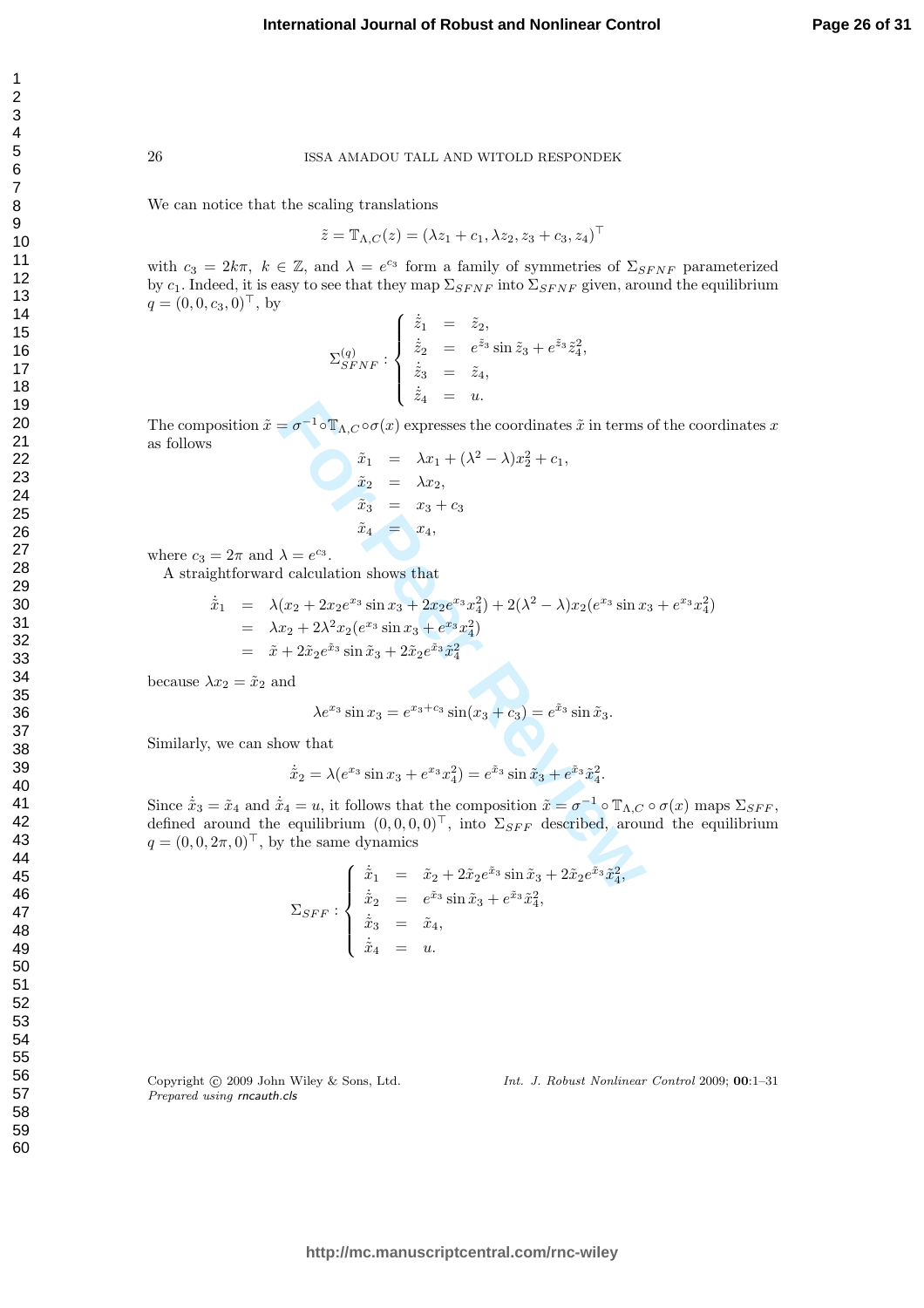We can notice that the scaling translations

$$
\tilde{z} = \mathbb{T}_{\Lambda, C}(z) = (\lambda z_1 + c_1, \lambda z_2, z_3 + c_3, z_4)^{\top}
$$

with  $c_3 = 2k\pi$ ,  $k \in \mathbb{Z}$ , and  $\lambda = e^{c_3}$  form a family of symmetries of  $\Sigma_{SFNF}$  parameterized by  $c_1$ . Indeed, it is easy to see that they map  $\Sigma_{SFNF}$  into  $\Sigma_{SFNF}$  given, around the equilibrium  $q = (0, 0, c_3, 0)^\top$ , by

$$
\Sigma_{SFNF}^{(q)}: \begin{cases} \dot{\tilde{z}}_1 &= \tilde{z}_2, \\ \dot{\tilde{z}}_2 &= e^{\tilde{z}_3}\sin \tilde{z}_3 + e^{\tilde{z}_3}\tilde{z}_4^2, \\ \dot{\tilde{z}}_3 &= \tilde{z}_4, \\ \dot{\tilde{z}}_4 &= u. \end{cases}
$$

The composition  $\tilde{x} = \sigma^{-1} \circ \mathbb{T}_{\Lambda,C} \circ \sigma(x)$  expresses the coordinates  $\tilde{x}$  in terms of the coordinates x as follows

$$
\tilde{x}_1 = \lambda x_1 + (\lambda^2 - \lambda)x_2^2 + c_1, \n\tilde{x}_2 = \lambda x_2, \n\tilde{x}_3 = x_3 + c_3 \n\tilde{x}_4 = x_4,
$$

where  $c_3 = 2\pi$  and  $\lambda = e^{c_3}$ .

A straightforward calculation shows that

position 
$$
\tilde{x} = \sigma^{-1} \circ \mathbb{T}_{A,C} \circ \sigma(x)
$$
 expresses the coordinates  $\tilde{x}$  in terms of the coordinates  
\n
$$
\tilde{x}_1 = \lambda x_1 + (\lambda^2 - \lambda)x_2^2 + c_1,
$$
\n
$$
\tilde{x}_2 = \lambda x_2,
$$
\n
$$
\tilde{x}_3 = x_3 + c_3
$$
\n
$$
\tilde{x}_4 = x_4,
$$
\n
$$
= 2\pi \text{ and } \lambda = e^{c_3}.
$$
\nghtforward calculation shows that

\n
$$
\dot{\tilde{x}}_1 = \lambda (x_2 + 2x_2e^{x_3} \sin x_3 + 2x_2e^{x_3}x_4^2) + 2(\lambda^2 - \lambda)x_2(e^{x_3} \sin x_3 + e^{x_3}x_4^2)
$$
\n
$$
= \lambda x_2 + 2\lambda^2 x_2(e^{x_3} \sin x_3 + e^{x_3}x_4^2)
$$
\n
$$
= \tilde{x} + 2\tilde{x}_2e^{\tilde{x}_3} \sin \tilde{x}_3 + 2\tilde{x}_2e^{\tilde{x}_3}\tilde{x}_4^2
$$
\n
$$
\lambda x_2 = \tilde{x}_2 \text{ and}
$$
\n
$$
\lambda e^{x_3} \sin x_3 = e^{x_3+c_3} \sin(x_3 + c_3) = e^{\tilde{x}_3} \sin \tilde{x}_3.
$$
\n, we can show that

\n
$$
\dot{\tilde{x}}_2 = \lambda(e^{x_3} \sin x_3 + e^{x_3}x_4^2) = e^{\tilde{x}_3} \sin \tilde{x}_3 + e^{\tilde{x}_3}\tilde{x}_4^2.
$$
\n
$$
= \tilde{x}_4 \text{ and } \dot{\tilde{x}}_4 = u, \text{ it follows that the composition } \tilde{x} = \sigma^{-1} \circ \mathbb{T}_{A,C} \circ \sigma(x) \text{ ma}
$$
\naround the equilibrium  $(0, 0, 0, 0)^{\top}$ , into  $\Sigma_{SFF}$  described, around the eq

\n
$$
2\pi, 0)^{\top}
$$
, by the same dynamics\n
$$
\begin{cases}\n\dot{\tilde{x}}_1 = \tilde{x}_2 + 2\tilde{x}_2e^{\til
$$

because  $\lambda x_2 = \tilde{x}_2$  and

$$
\lambda e^{x_3} \sin x_3 = e^{x_3 + c_3} \sin(x_3 + c_3) = e^{\tilde{x}_3} \sin \tilde{x}_3.
$$

Similarly, we can show that

$$
\dot{\tilde{x}}_2 = \lambda(e^{x_3}\sin x_3 + e^{x_3}x_4^2) = e^{\tilde{x}_3}\sin \tilde{x}_3 + e^{\tilde{x}_3}\tilde{x}_4^2.
$$

Since  $\dot{\tilde{x}}_3 = \tilde{x}_4$  and  $\dot{\tilde{x}}_4 = u$ , it follows that the composition  $\tilde{x} = \sigma^{-1} \circ \mathbb{T}_{\Lambda,C} \circ \sigma(x)$  maps  $\Sigma_{SFF}$ , defined around the equilibrium  $(0,0,0,0)^{\top}$ , into  $\Sigma_{SFF}$  described, around the equilibrium  $q = (0, 0, 2\pi, 0)^\top$ , by the same dynamics

$$
\Sigma_{SFF}: \begin{cases} \dot{\tilde{x}}_1 = \tilde{x}_2 + 2\tilde{x}_2 e^{\tilde{x}_3} \sin \tilde{x}_3 + 2\tilde{x}_2 e^{\tilde{x}_3} \tilde{x}_4^2, \\ \dot{\tilde{x}}_2 = e^{\tilde{x}_3} \sin \tilde{x}_3 + e^{\tilde{x}_3} \tilde{x}_4^2, \\ \dot{\tilde{x}}_3 = \tilde{x}_4, \\ \dot{\tilde{x}}_4 = u. \end{cases}
$$

Copyright © 2009 John Wiley & Sons, Ltd. Prepared using rncauth.cls

Int. J. Robust Nonlinear Control 2009; 00:1–31

 $\mathbf{1}$  $\overline{2}$ 3  $\overline{4}$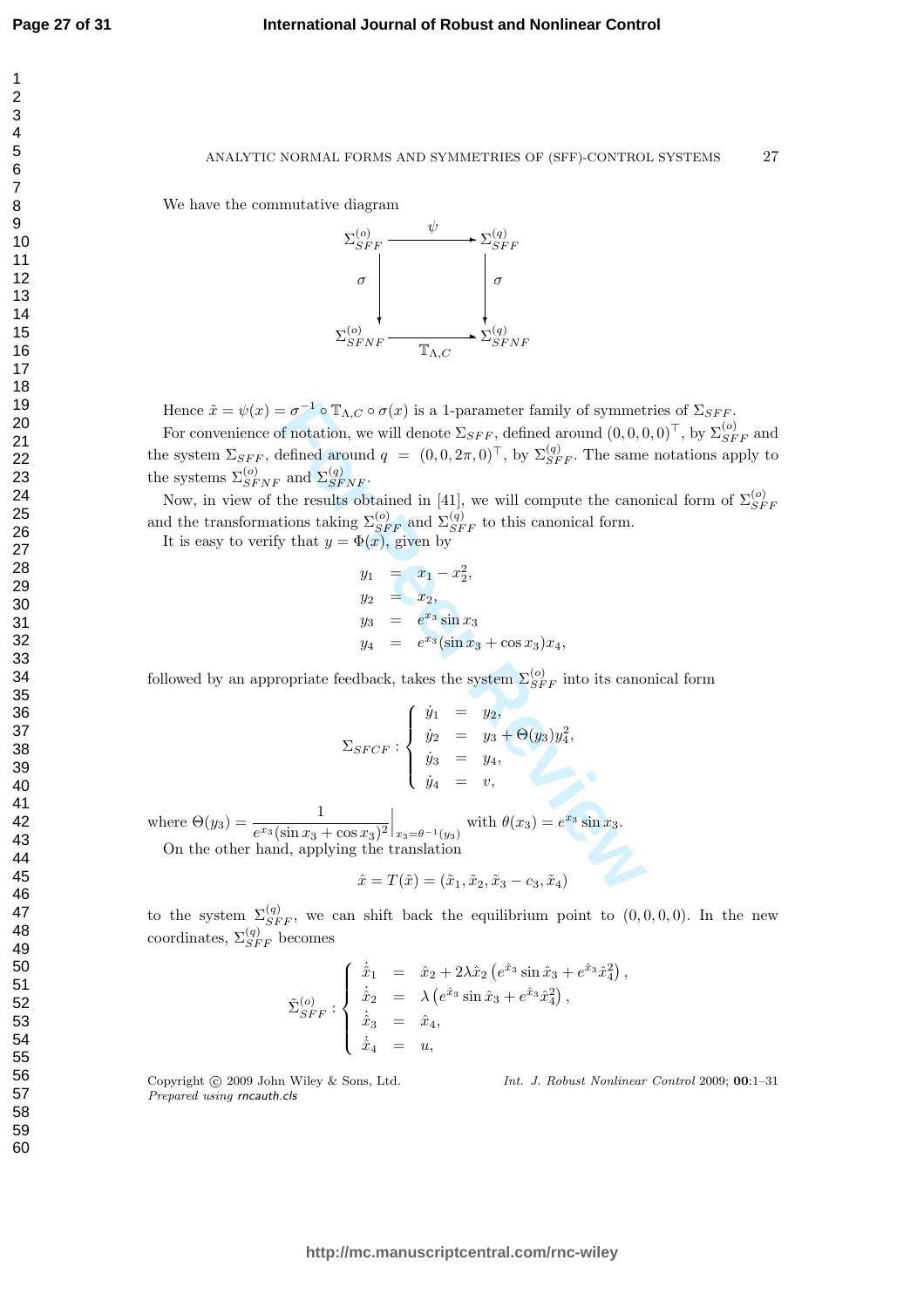$\mathbf{1}$  $\overline{2}$ 3  $\overline{4}$ 5 6  $\overline{7}$ 8 9

We have the commutative diagram



Hence  $\tilde{x} = \psi(x) = \sigma^{-1} \circ \mathbb{T}_{\Lambda, C} \circ \sigma(x)$  is a 1-parameter family of symmetries of  $\Sigma_{SFF}$ .

For convenience of notation, we will denote  $\Sigma_{SFF}$ , defined around  $(0,0,0,0)^{\top}$ , by  $\Sigma_{SFF}^{(o)}$  and the system  $\Sigma_{SFF}$ , defined around  $q = (0, 0, 2\pi, 0)^{\top}$ , by  $\Sigma_{SFF}^{(q)}$ . The same notations apply to the systems  $\Sigma_{SFNF}^{(o)}$  and  $\Sigma_{SF}^{(q)}$  $^{(q)}_{SFNF}.$ 

Now, in view of the results obtained in [41], we will compute the canonical form of  $\Sigma_{SE}^{(o)}$  $_{SFF}$ and the transformations taking  $\Sigma_{SFF}^{(o)}$  and  $\Sigma_{SFF}^{(q)}$  to this canonical form.

It is easy to verify that  $y = \Phi(x)$ , given by

$$
y_1 = x_1 - x_2^2,
$$
  
\n
$$
y_2 = x_2,
$$
  
\n
$$
y_3 = e^{x_3} \sin x_3
$$
  
\n
$$
y_4 = e^{x_3} (\sin x_3 + \cos x_3) x_4,
$$

followed by an appropriate feedback, takes the system  $\Sigma_{SFF}^{(o)}$  into its canonical form

$$
= \sigma^{-1} \circ \mathbb{T}_{\Lambda,C} \circ \sigma(x)
$$
 is a 1-parameter family of symmet  
of notation, we will denote  $\Sigma_{SFF}$ , defined around  $(0, 0, 0, 0)$   
defined around  $q = (0, 0, 2\pi, 0)^\top$ , by  $\Sigma_{SFF}^{(q)}$ . The same  
, and  $\Sigma_{SFF}^{(q)}$ .  
the results obtained in [41], we will compute the cano-  
tions taking  $\Sigma_{SFF}^{(o)}$  and  $\Sigma_{SFF}^{(q)}$  to this canonical form.  
by that  $y = \Phi(x)$ , given by  
 $y_1 = x_1 - x_2^2$ ,  
 $y_2 = x_2$ ,  
 $y_3 = e^{x_3} \sin x_3$   
 $y_4 = e^{x_3} (\sin x_3 + \cos x_3) x_4$ ,  
copriate feedback, takes the system  $\Sigma_{SFF}^{(o)}$  into its cano  

$$
\begin{cases} \dot{y}_1 = y_2, \\ \dot{y}_2 = y_3 + \Theta(y_3) y_4^2, \\ \dot{y}_3 = y_4, \\ \dot{y}_4 = v, \end{cases}
$$

$$
\Sigma_{SFCF} : \begin{cases} \dot{y}_1 = y_2, \\ \dot{y}_2 = y_3 + \Theta(y_3) y_4^2, \\ \dot{y}_3 = y_4, \\ \dot{y}_4 = v, \end{cases}
$$

$$
\frac{1}{(\sin x_3 + \cos x_3)^2} \Big|_{x_3 = \theta^{-1}(y_3)} \text{ with } \theta(x_3) = e^{x_3} \sin x_3.
$$

$$
\text{and, applying the translation}
$$

$$
\hat{x} = T(\tilde{x}) = (\tilde{x}_1, \tilde{x}_2, \tilde{x}_3 - c_3, \tilde{x}_4)
$$

where  $\Theta(y_3) = \frac{1}{\sigma^2 \sin \theta}$  $\frac{1}{e^{x_3}(\sin x_3 + \cos x_3)^2}\Big|_{x_3 = \theta^{-1}(y_3)}$  with  $\theta(x_3) = e^{x_3} \sin x_3$ . On the other hand, applying the translation

$$
\hat{x} = T(\tilde{x}) = (\tilde{x}_1, \tilde{x}_2, \tilde{x}_3 - c_3, \tilde{x}_4)
$$

to the system  $\Sigma_{SFF}^{(q)}$ , we can shift back the equilibrium point to  $(0,0,0,0)$ . In the new coordinates,  $\Sigma^{(q)}_{SFF}$  becomes

$$
\tilde{\Sigma}_{SFF}^{(o)}: \begin{cases} \dot{\hat{x}}_1 &= \hat{x}_2 + 2\lambda \hat{x}_2 (e^{\hat{x}_3} \sin \hat{x}_3 + e^{\hat{x}_3} \hat{x}_4^2), \\ \dot{\hat{x}}_2 &= \lambda (e^{\hat{x}_3} \sin \hat{x}_3 + e^{\hat{x}_3} \hat{x}_4^2), \\ \dot{\hat{x}}_3 &= \hat{x}_4, \\ \dot{\hat{x}}_4 &= u, \end{cases}
$$

Copyright (c) 2009 John Wiley & Sons, Ltd. Prepared using rncauth.cls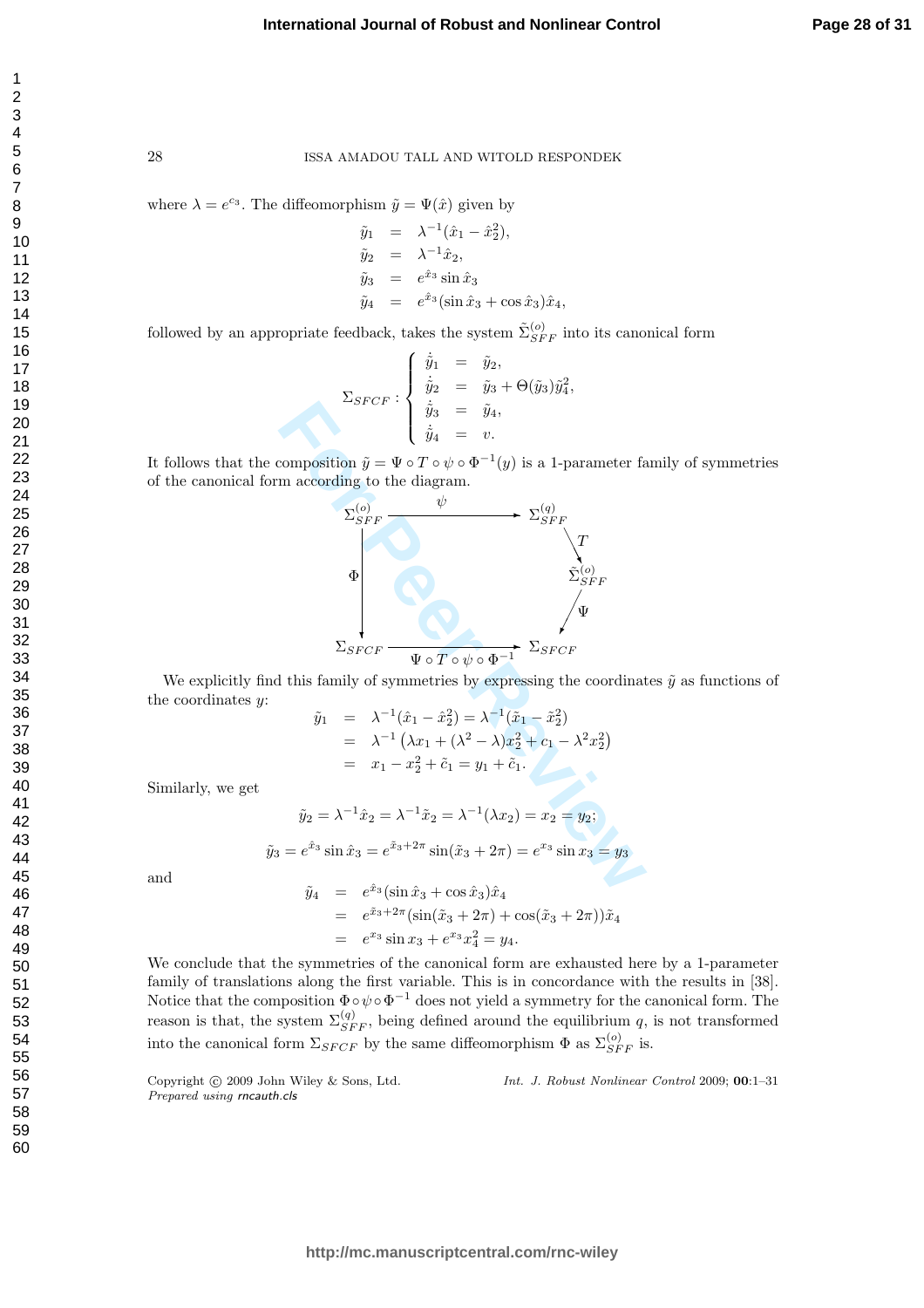$\mathbf{1}$ 

28 ISSA AMADOU TALL AND WITOLD RESPONDEK

where  $\lambda = e^{c_3}$ . The diffeomorphism  $\tilde{y} = \Psi(\hat{x})$  given by

$$
\tilde{y}_1 = \lambda^{-1}(\hat{x}_1 - \hat{x}_2^2), \n\tilde{y}_2 = \lambda^{-1}\hat{x}_2, \n\tilde{y}_3 = e^{\hat{x}_3}\sin \hat{x}_3 \n\tilde{y}_4 = e^{\hat{x}_3}(\sin \hat{x}_3 + \cos \hat{x}_3)\hat{x}_4,
$$

followed by an appropriate feedback, takes the system  $\tilde{\Sigma}_{SFF}^{(o)}$  into its canonical form

$$
\Sigma_{SFCF} : \begin{cases} \n\dot{\tilde{y}}_1 &= \tilde{y}_2, \\ \n\dot{\tilde{y}}_2 &= \tilde{y}_3 + \Theta(\tilde{y}_3)\tilde{y}_4^2, \\ \n\dot{\tilde{y}}_3 &= \tilde{y}_4, \\ \n\dot{\tilde{y}}_4 &= v. \n\end{cases}
$$

It follows that the composition  $\tilde{y} = \Psi \circ T \circ \psi \circ \Phi^{-1}(y)$  is a 1-parameter family of symmetries of the canonical form according to the diagram.



We explicitly find this family of symmetries by expressing the coordinates  $\tilde{y}$  as functions of the coordinates y:

$$
\tilde{y}_1 = \lambda^{-1}(\hat{x}_1 - \hat{x}_2^2) = \lambda^{-1}(\tilde{x}_1 - \tilde{x}_2^2) \n= \lambda^{-1} (\lambda x_1 + (\lambda^2 - \lambda)x_2^2 + c_1 - \lambda^2 x_2^2) \n= x_1 - x_2^2 + \tilde{c}_1 = y_1 + \tilde{c}_1.
$$

Similarly, we get

$$
\tilde{y}_2 = \lambda^{-1}\hat{x}_2 = \lambda^{-1}\tilde{x}_2 = \lambda^{-1}(\lambda x_2) = x_2 = y_2;
$$
  

$$
\tilde{y}_3 = e^{\hat{x}_3}\sin \hat{x}_3 = e^{\tilde{x}_3 + 2\pi}\sin(\tilde{x}_3 + 2\pi) = e^{x_3}\sin x_3 = y_3
$$

and

$$
\tilde{y}_4 = e^{\hat{x}_3} (\sin \hat{x}_3 + \cos \hat{x}_3) \hat{x}_4 \n= e^{\tilde{x}_3 + 2\pi} (\sin(\tilde{x}_3 + 2\pi) + \cos(\tilde{x}_3 + 2\pi)) \tilde{x}_4 \n= e^{\tilde{x}_3} \sin \tilde{x}_3 + e^{\tilde{x}_3} \tilde{x}_4^2 = \tilde{y}_4.
$$

We conclude that the symmetries of the canonical form are exhausted here by a 1-parameter family of translations along the first variable. This is in concordance with the results in [38]. Notice that the composition  $\Phi \circ \psi \circ \Phi^{-1}$  does not yield a symmetry for the canonical form. The reason is that, the system  $\Sigma_{SFF}^{(q)}$ , being defined around the equilibrium q, is not transformed into the canonical form  $\Sigma_{SFCF}$  by the same diffeomorphism  $\Phi$  as  $\Sigma_{SFF}^{(o)}$  is.

Copyright  $\circled{c}$  2009 John Wiley & Sons, Ltd. Prepared using rncauth.cls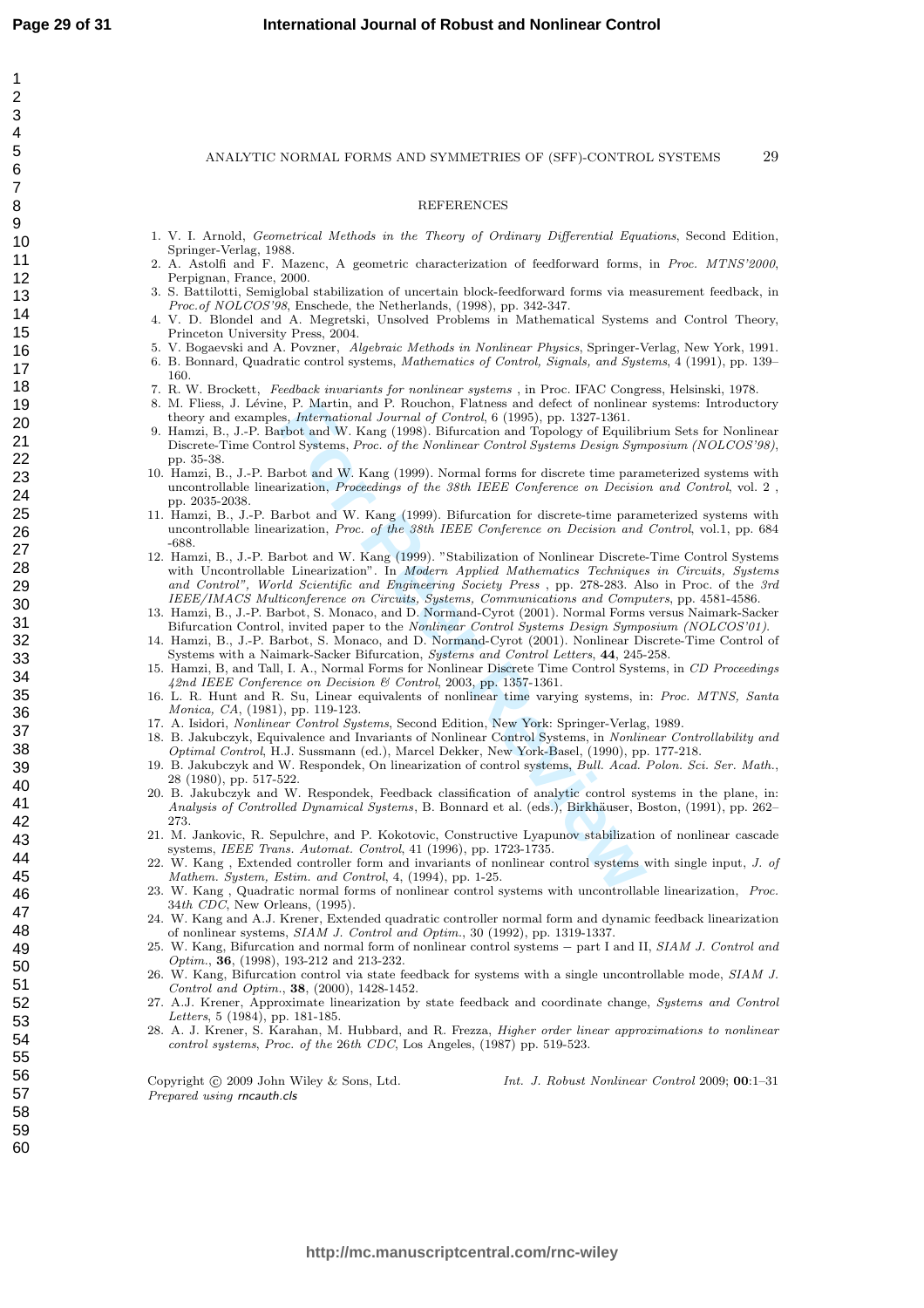$\overline{1}$  $\overline{2}$  $\overline{3}$  $\overline{4}$ 5 6  $\overline{7}$ 8  $\mathbf{Q}$ 

#### REFERENCES

- 1. V. I. Arnold, Geometrical Methods in the Theory of Ordinary Differential Equations, Second Edition, Springer-Verlag, 1988.
- 2. A. Astolfi and F. Mazenc, A geometric characterization of feedforward forms, in Proc. MTNS'2000, Perpignan, France, 2000.
- 3. S. Battilotti, Semiglobal stabilization of uncertain block-feedforward forms via measurement feedback, in *Proc.of NOLCOS'98*, Enschede, the Netherlands,  $(1998)$ , pp. 342-347.
- 4. V. D. Blondel and A. Megretski, Unsolved Problems in Mathematical Systems and Control Theory, Princeton University Press, 2004.
- 5. V. Bogaevski and A. Povzner, Algebraic Methods in Nonlinear Physics, Springer-Verlag, New York, 1991.
- 6. B. Bonnard, Quadratic control systems, Mathematics of Control, Signals, and Systems, 4 (1991), pp. 139– 160.
- 7. R. W. Brockett, Feedback invariants for nonlinear systems , in Proc. IFAC Congress, Helsinski, 1978.
- 8. M. Fliess, J. Lévine, P. Martin, and P. Rouchon, Flatness and defect of nonlinear systems: Introductory theory and examples, International Journal of Control, 6 (1995), pp. 1327-1361.
- 9. Hamzi, B., J.-P. Barbot and W. Kang (1998). Bifurcation and Topology of Equilibrium Sets for Nonlinear Discrete-Time Control Systems, Proc. of the Nonlinear Control Systems Design Symposium (NOLCOS'98), pp. 35-38.
- 10. Hamzi, B., J.-P. Barbot and W. Kang (1999). Normal forms for discrete time parameterized systems with uncontrollable linearization, Proceedings of the 38th IEEE Conference on Decision and Control, vol. 2 , pp. 2035-2038.
- 11. Hamzi, B., J.-P. Barbot and W. Kang (1999). Bifurcation for discrete-time parameterized systems with uncontrollable linearization, Proc. of the 38th IEEE Conference on Decision and Control, vol.1, pp. 684 -688.
- e, P. Martin, and P. Rouchon, Flatness and defect of nonlinear<br>s., *International Journal of Control*, 6 (1995), pp. 1327-1361.<br>
From and W. Kang (1998). Bifurcation and Topology of Equilibrol Systems, *Proc. of the Nonlin* 12. Hamzi, B., J.-P. Barbot and W. Kang (1999). "Stabilization of Nonlinear Discrete-Time Control Systems with Uncontrollable Linearization". In Modern Applied Mathematics Techniques in Circuits, Systems and Control", World Scientific and Engineering Society Press , pp. 278-283. Also in Proc. of the 3rd IEEE/IMACS Multiconference on Circuits, Systems, Communications and Computers, pp. 4581-4586.
- 13. Hamzi, B., J.-P. Barbot, S. Monaco, and D. Normand-Cyrot (2001). Normal Forms versus Naimark-Sacker Bifurcation Control, invited paper to the *Nonlinear Control Systems Design Symposium (NOLCOS'01)*.
- 14. Hamzi, B., J.-P. Barbot, S. Monaco, and D. Normand-Cyrot (2001). Nonlinear Discrete-Time Control of Systems with a Naimark-Sacker Bifurcation, Systems and Control Letters, 44, 245-258.
- 15. Hamzi, B, and Tall, I. A., Normal Forms for Nonlinear Discrete Time Control Systems, in CD Proceedings 42nd IEEE Conference on Decision & Control, 2003, pp. 1357-1361.
- 16. L. R. Hunt and R. Su, Linear equivalents of nonlinear time varying systems, in: Proc. MTNS, Santa Monica, CA, (1981), pp. 119-123.
- 17. A. Isidori, Nonlinear Control Systems, Second Edition, New York: Springer-Verlag, 1989.
- 18. B. Jakubczyk, Equivalence and Invariants of Nonlinear Control Systems, in Nonlinear Controllability and Optimal Control, H.J. Sussmann (ed.), Marcel Dekker, New York-Basel, (1990), pp. 177-218.
- 19. B. Jakubczyk and W. Respondek, On linearization of control systems, Bull. Acad. Polon. Sci. Ser. Math., 28 (1980), pp. 517-522.
- 20. B. Jakubczyk and W. Respondek, Feedback classification of analytic control systems in the plane, in: Analysis of Controlled Dynamical Systems, B. Bonnard et al. (eds.), Birkhäuser, Boston, (1991), pp. 262– 273.
- 21. M. Jankovic, R. Sepulchre, and P. Kokotovic, Constructive Lyapunov stabilization of nonlinear cascade systems, IEEE Trans. Automat. Control, 41 (1996), pp. 1723-1735.
- 22. W. Kang , Extended controller form and invariants of nonlinear control systems with single input, J. of Mathem. System, Estim. and Control, 4, (1994), pp. 1-25.
- 23. W. Kang , Quadratic normal forms of nonlinear control systems with uncontrollable linearization, Proc. 34th CDC, New Orleans, (1995).
- 24. W. Kang and A.J. Krener, Extended quadratic controller normal form and dynamic feedback linearization of nonlinear systems, SIAM J. Control and Optim., 30 (1992), pp. 1319-1337.
- 25. W. Kang, Bifurcation and normal form of nonlinear control systems part I and II, SIAM J. Control and Optim. , 36, (1998), 193-212 and 213-232.
- 26. W. Kang, Bifurcation control via state feedback for systems with a single uncontrollable mode, SIAM J. Control and Optim. , 38, (2000), 1428-1452.
- 27. A.J. Krener, Approximate linearization by state feedback and coordinate change, Systems and Control Letters, 5 (1984), pp. 181-185.
- 28. A. J. Krener, S. Karahan, M. Hubbard, and R. Frezza, Higher order linear approximations to nonlinear control systems , Proc. of the 26th CDC, Los Angeles, (1987) pp. 519-523.

Copyright  $\odot$  2009 John Wiley & Sons, Ltd. Prepared using rncauth.cls

Int. J. Robust Nonlinear Control 2009; 00:1–31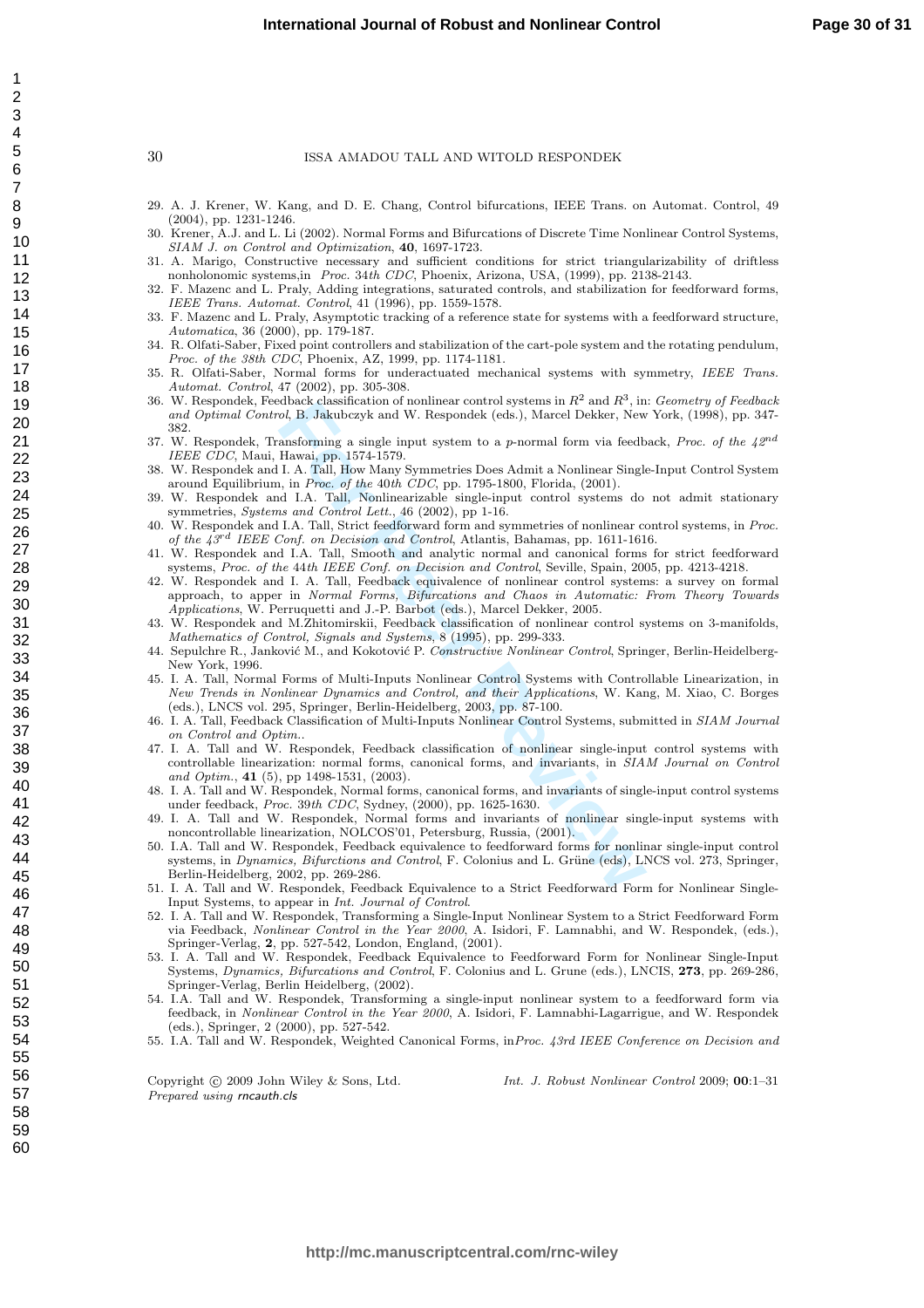- 29. A. J. Krener, W. Kang, and D. E. Chang, Control bifurcations, IEEE Trans. on Automat. Control, 49 (2004), pp. 1231-1246.
- 30. Krener, A.J. and L. Li (2002). Normal Forms and Bifurcations of Discrete Time Nonlinear Control Systems, SIAM J. on Control and Optimization, 40, 1697-1723.
- 31. A. Marigo, Constructive necessary and sufficient conditions for strict triangularizability of driftless nonholonomic systems,in Proc. 34th CDC, Phoenix, Arizona, USA, (1999), pp. 2138-2143.
- 32. F. Mazenc and L. Praly, Adding integrations, saturated controls, and stabilization for feedforward forms, IEEE Trans. Automat. Control, 41 (1996), pp. 1559-1578.
- 33. F. Mazenc and L. Praly, Asymptotic tracking of a reference state for systems with a feedforward structure, Automatica, 36 (2000), pp. 179-187.
- 34. R. Olfati-Saber, Fixed point controllers and stabilization of the cart-pole system and the rotating pendulum, Proc. of the 38th CDC, Phoenix, AZ, 1999, pp. 1174-1181.
- 35. R. Olfati-Saber, Normal forms for underactuated mechanical systems with symmetry, IEEE Trans. Automat. Control, 47 (2002), pp. 305-308.
- 36. W. Respondek, Feedback classification of nonlinear control systems in  $R^2$  and  $R^3$ , in: Geometry of Feedback and Optimal Control, B. Jakubczyk and W. Respondek (eds.), Marcel Dekker, New York, (1998), pp. 347- 382.
- 37. W. Respondek, Transforming a single input system to a p-normal form via feedback, Proc. of the  $42^{nd}$ IEEE CDC, Maui, Hawai, pp. 1574-1579.
- 38. W. Respondek and I. A. Tall, How Many Symmetries Does Admit a Nonlinear Single-Input Control System around Equilibrium, in Proc. of the 40th CDC, pp. 1795-1800, Florida, (2001).
- 39. W. Respondek and I.A. Tall, Nonlinearizable single-input control systems do not admit stationary symmetries, Systems and Control Lett., 46 (2002), pp 1-16.
- 40. W. Respondek and I.A. Tall, Strict feedforward form and symmetries of nonlinear control systems, in Proc. of the  $43^{rd}$  IEEE Conf. on Decision and Control, Atlantis, Bahamas, pp. 1611-1616.
- 41. W. Respondek and I.A. Tall, Smooth and analytic normal and canonical forms for strict feedforward systems, Proc. of the 44th IEEE Conf. on Decision and Control, Seville, Spain, 2005, pp. 4213-4218.
- 42. W. Respondek and I. A. Tall, Feedback equivalence of nonlinear control systems: a survey on formal approach, to apper in Normal Forms, Bifurcations and Chaos in Automatic: From Theory Towards Applications, W. Perruquetti and J.-P. Barbot (eds.), Marcel Dekker, 2005.
- 43. W. Respondek and M.Zhitomirskii, Feedback classification of nonlinear control systems on 3-manifolds, Mathematics of Control, Signals and Systems, 8 (1995), pp. 299-333.
- 44. Sepulchre R., Janković M., and Kokotović P. Constructive Nonlinear Control, Springer, Berlin-Heidelberg-New York, 1996.
- 45. I. A. Tall, Normal Forms of Multi-Inputs Nonlinear Control Systems with Controllable Linearization, in New Trends in Nonlinear Dynamics and Control, and their Applications, W. Kang, M. Xiao, C. Borges (eds.), LNCS vol. 295, Springer, Berlin-Heidelberg, 2003, pp. 87-100.
- 46. I. A. Tall, Feedback Classification of Multi-Inputs Nonlinear Control Systems, submitted in SIAM Journal on Control and Optim. .
- 47. I. A. Tall and W. Respondek, Feedback classification of nonlinear single-input control systems with controllable linearization: normal forms, canonical forms, and invariants, in SIAM Journal on Control and Optim., **41** (5), pp 1498-1531, (2003).
- 48. I. A. Tall and W. Respondek, Normal forms, canonical forms, and invariants of single-input control systems under feedback, Proc. 39th CDC, Sydney, (2000), pp. 1625-1630.
- 49. I. A. Tall and W. Respondek, Normal forms and invariants of nonlinear single-input systems with noncontrollable linearization, NOLCOS'01, Petersburg, Russia, (2001).
- doacex cassincation or nonimear control systems in  $R^{\alpha}$  and  $R^{\alpha}$ , man and  $R^{\alpha}$ , and  $R^{\alpha}$ , B. Jakubczyk and W. Respondek (eds.), Marcel Dekker, New<br>ansforming a single input system to a *p*-normal form via feed 50. I.A. Tall and W. Respondek, Feedback equivalence to feedforward forms for nonlinar single-input control systems, in Dynamics, Bifurctions and Control, F. Colonius and L. Grüne (eds), LNCS vol. 273, Springer, Berlin-Heidelberg, 2002, pp. 269-286.
- 51. I. A. Tall and W. Respondek, Feedback Equivalence to a Strict Feedforward Form for Nonlinear Single-Input Systems, to appear in Int. Journal of Control.
- 52. I. A. Tall and W. Respondek, Transforming a Single-Input Nonlinear System to a Strict Feedforward Form via Feedback, Nonlinear Control in the Year 2000, A. Isidori, F. Lamnabhi, and W. Respondek, (eds.), Springer-Verlag, 2, pp. 527-542, London, England, (2001).
- 53. I. A. Tall and W. Respondek, Feedback Equivalence to Feedforward Form for Nonlinear Single-Input Systems, Dynamics, Bifurcations and Control, F. Colonius and L. Grune (eds.), LNCIS, 273, pp. 269-286, Springer-Verlag, Berlin Heidelberg, (2002).
- 54. I.A. Tall and W. Respondek, Transforming a single-input nonlinear system to a feedforward form via feedback, in Nonlinear Control in the Year 2000, A. Isidori, F. Lamnabhi-Lagarrigue, and W. Respondek (eds.), Springer, 2 (2000), pp. 527-542.
- 55. I.A. Tall and W. Respondek, Weighted Canonical Forms, inProc. 43rd IEEE Conference on Decision and

Copyright  $\odot$  2009 John Wiley & Sons, Ltd. Prepared using rncauth.cls

Int. J. Robust Nonlinear Control 2009; 00:1–31

 $\overline{1}$  $\overline{2}$  $\overline{3}$  $\overline{4}$